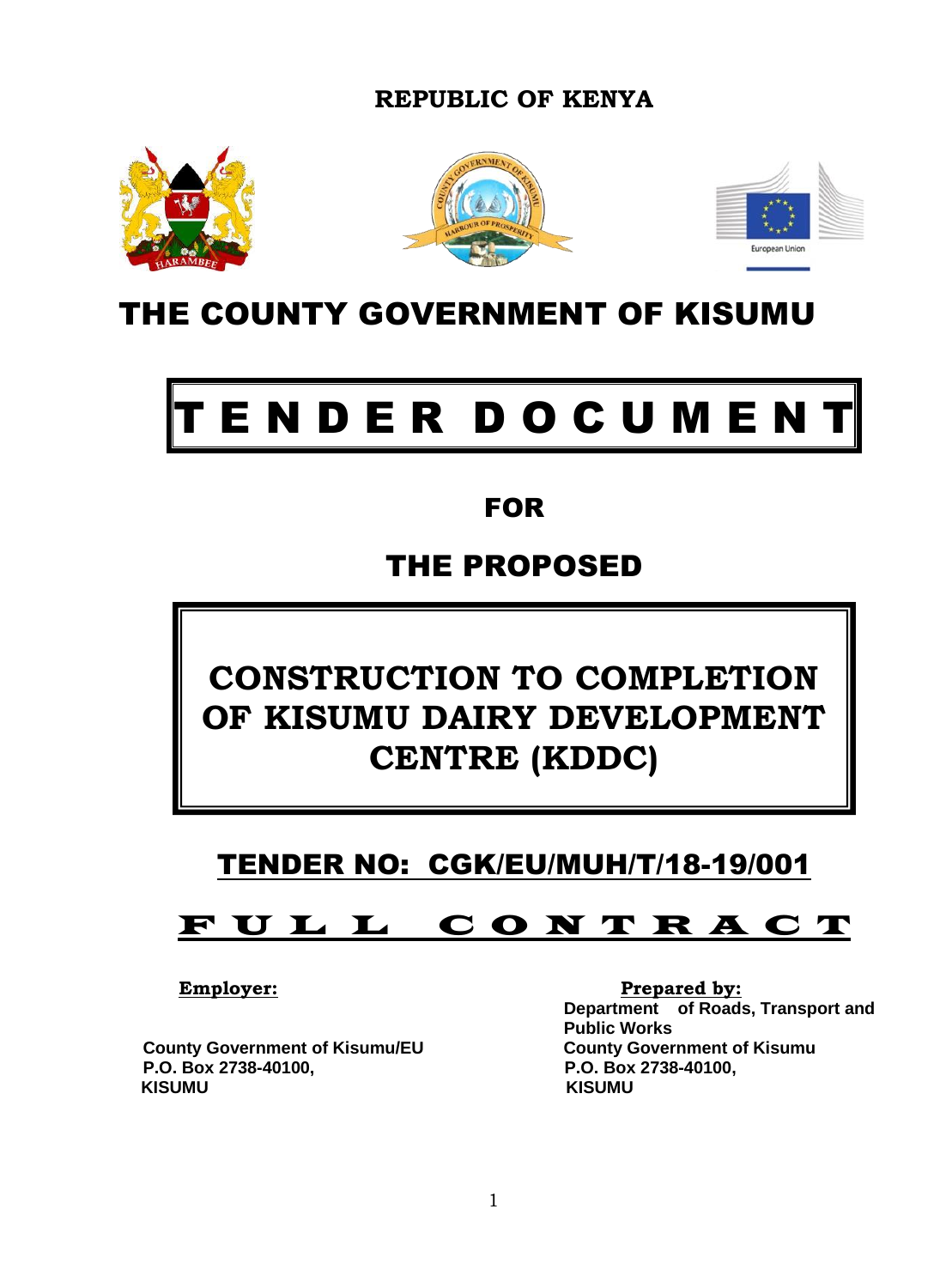**REPUBLIC OF KENYA**







# THE COUNTY GOVERNMENT OF KISUMU

# ENDER DOCUMENT

# FOR

# THE PROPOSED

# **CONSTRUCTION TO COMPLETION OF KISUMU DAIRY DEVELOPMENT CENTRE (KDDC)**

# TENDER NO: CGK/EU/MUH/T/18-19/001

# F U L L C O N T R A C T

 **County Government of Kisumu/EU County Government of Kisumu P.O. Box 2738-40100, P.O. Box 2738-40100, KISUMU KISUMU**

**Employer:** Prepared by: **Department of Roads, Transport and Public Works**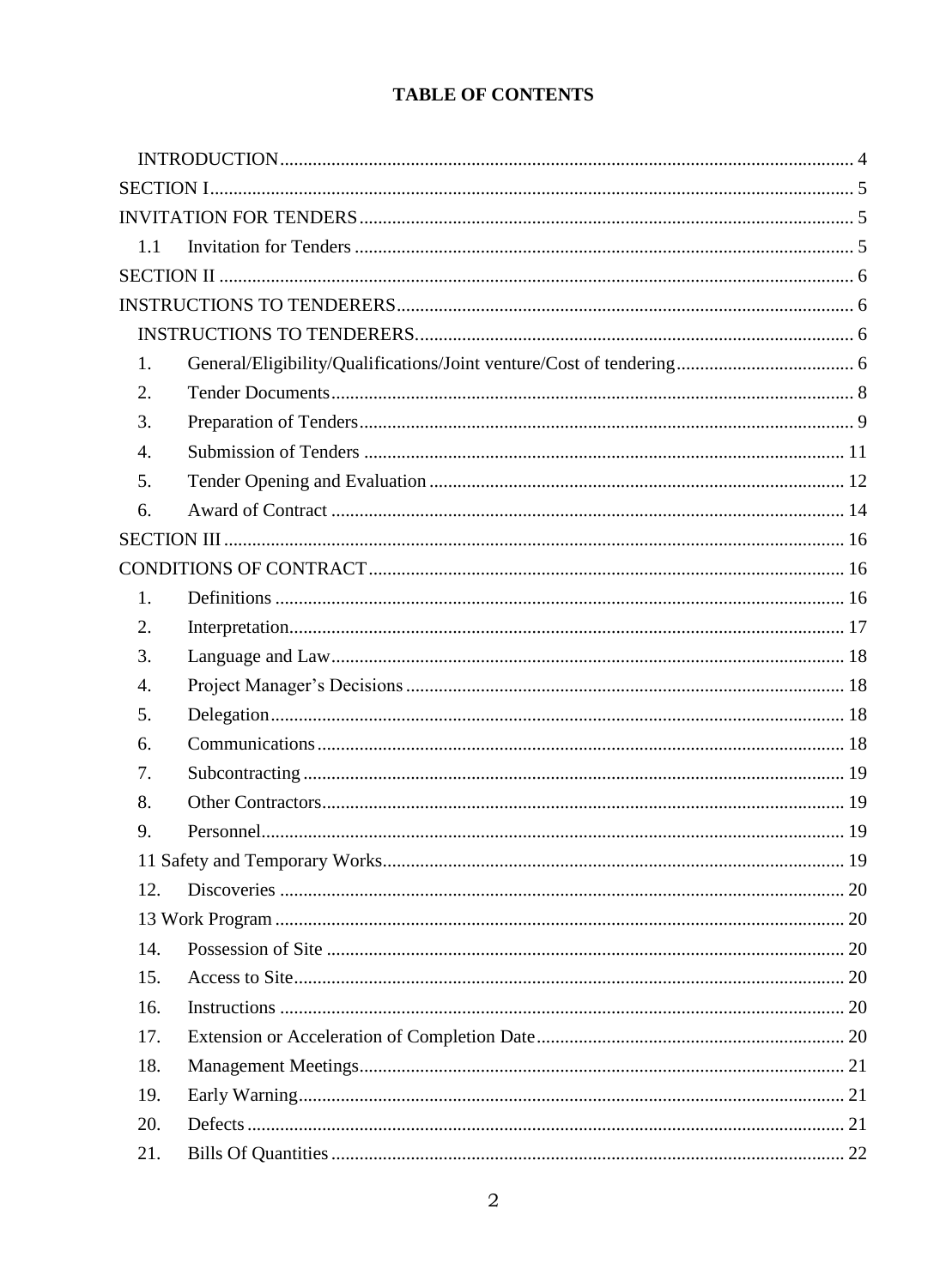# TABLE OF CONTENTS

| 1.1              |  |
|------------------|--|
|                  |  |
|                  |  |
|                  |  |
| 1.               |  |
| 2.               |  |
| 3.               |  |
| $\overline{4}$ . |  |
| 5.               |  |
| 6.               |  |
|                  |  |
|                  |  |
| 1.               |  |
| 2.               |  |
| 3.               |  |
| 4.               |  |
| 5.               |  |
| 6.               |  |
| 7.               |  |
| 8.               |  |
| 9.               |  |
|                  |  |
| 12.              |  |
|                  |  |
| 14.              |  |
| 15.              |  |
| 16.              |  |
| 17.              |  |
| 18.              |  |
| 19.              |  |
| 20.              |  |
| 21.              |  |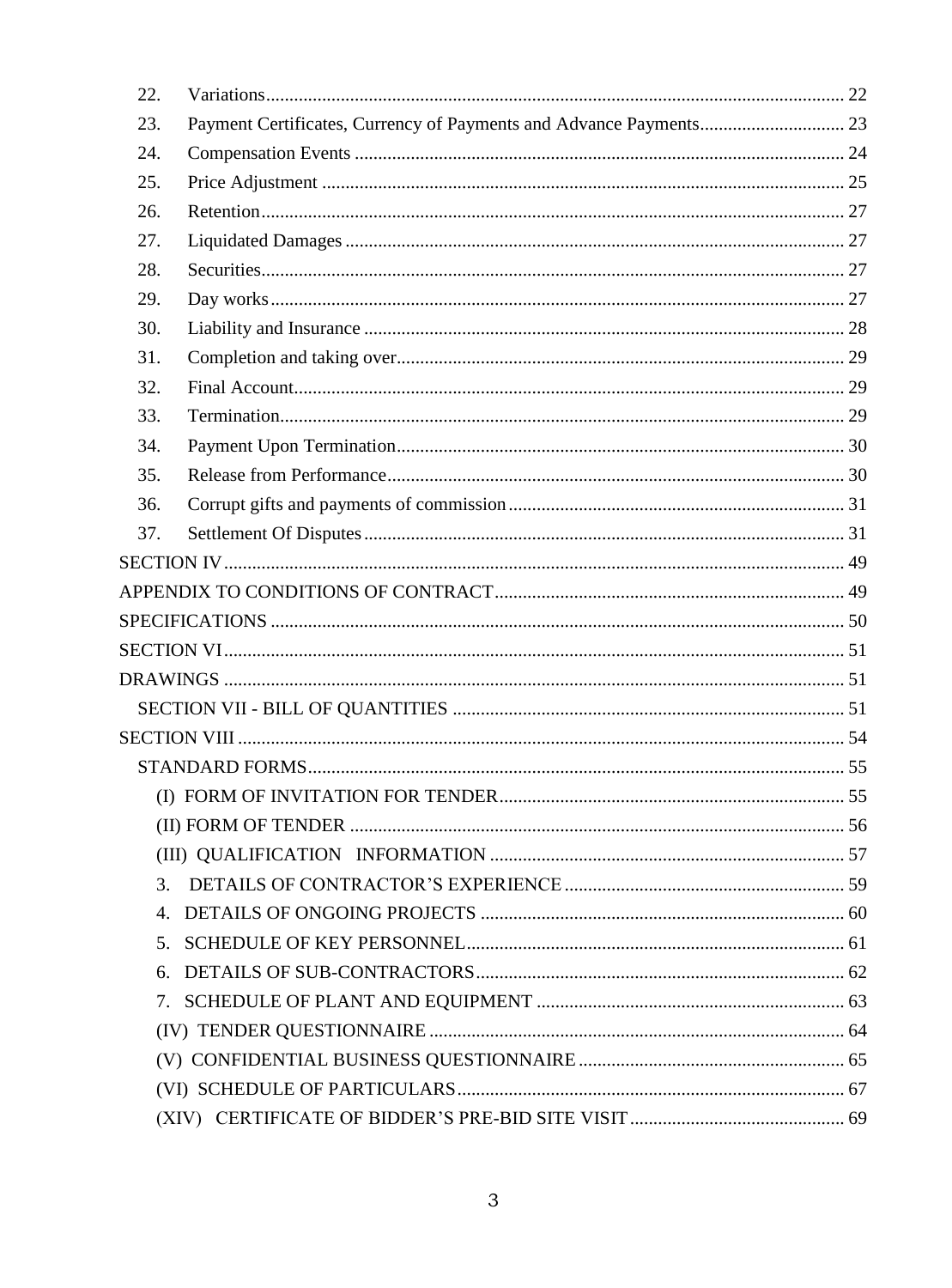| 22.     |  |
|---------|--|
| 23.     |  |
| 24.     |  |
| 25.     |  |
| 26.     |  |
| 27.     |  |
| 28.     |  |
| 29.     |  |
| 30.     |  |
| 31.     |  |
| 32.     |  |
| 33.     |  |
| 34.     |  |
| 35.     |  |
| 36.     |  |
| 37.     |  |
|         |  |
|         |  |
|         |  |
|         |  |
|         |  |
|         |  |
|         |  |
|         |  |
|         |  |
|         |  |
|         |  |
| 3.      |  |
| 4.      |  |
| $5_{-}$ |  |
| 6.      |  |
|         |  |
|         |  |
|         |  |
|         |  |
|         |  |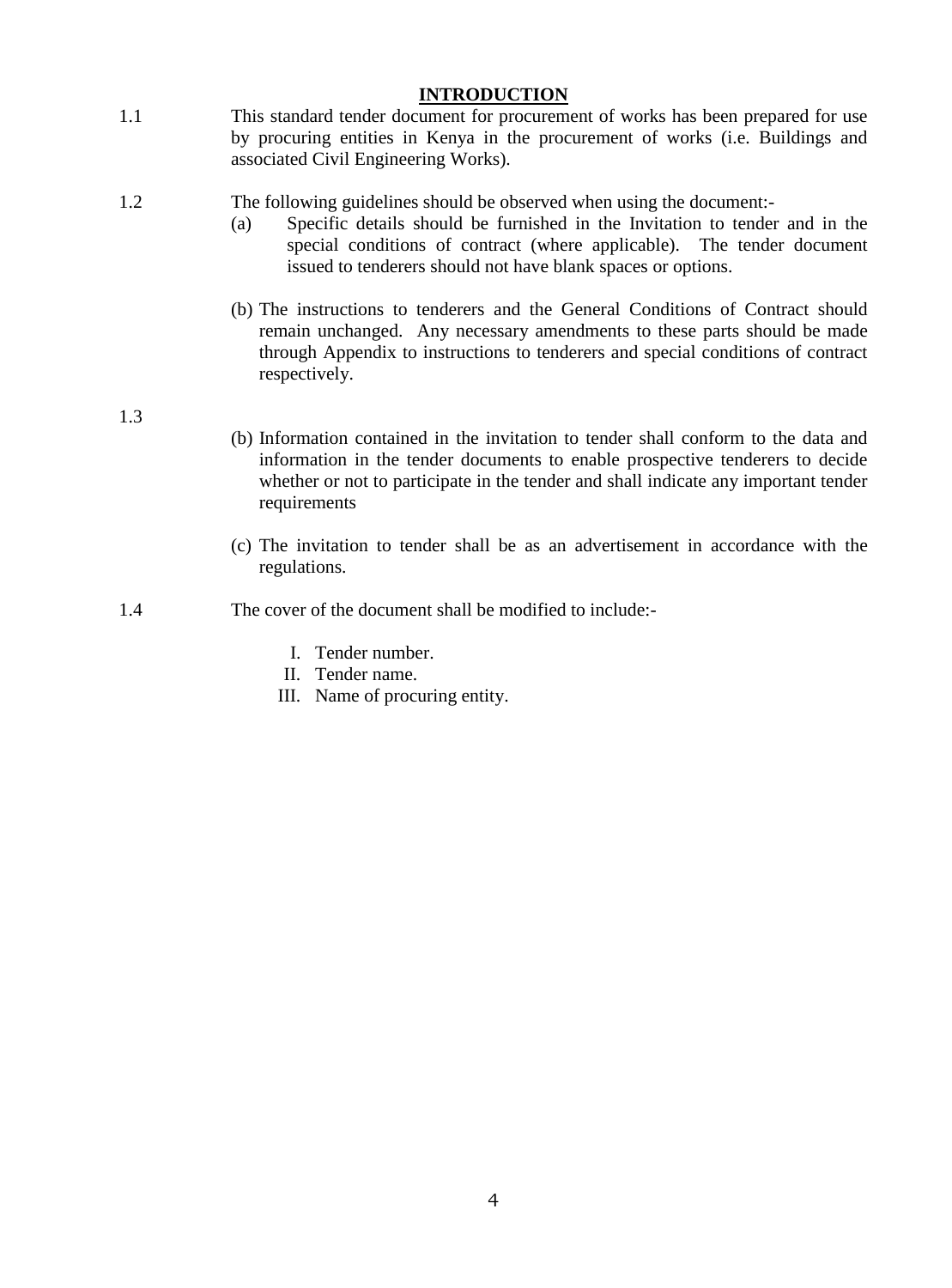#### **INTRODUCTION**

<span id="page-3-0"></span>1.1 This standard tender document for procurement of works has been prepared for use by procuring entities in Kenya in the procurement of works (i.e. Buildings and associated Civil Engineering Works).

#### 1.2 The following guidelines should be observed when using the document:-

- (a) Specific details should be furnished in the Invitation to tender and in the special conditions of contract (where applicable). The tender document issued to tenderers should not have blank spaces or options.
- (b) The instructions to tenderers and the General Conditions of Contract should remain unchanged. Any necessary amendments to these parts should be made through Appendix to instructions to tenderers and special conditions of contract respectively.

1.3

- (b) Information contained in the invitation to tender shall conform to the data and information in the tender documents to enable prospective tenderers to decide whether or not to participate in the tender and shall indicate any important tender requirements
- (c) The invitation to tender shall be as an advertisement in accordance with the regulations.
- 1.4 The cover of the document shall be modified to include:-
	- I. Tender number.
	- II. Tender name.
	- III. Name of procuring entity.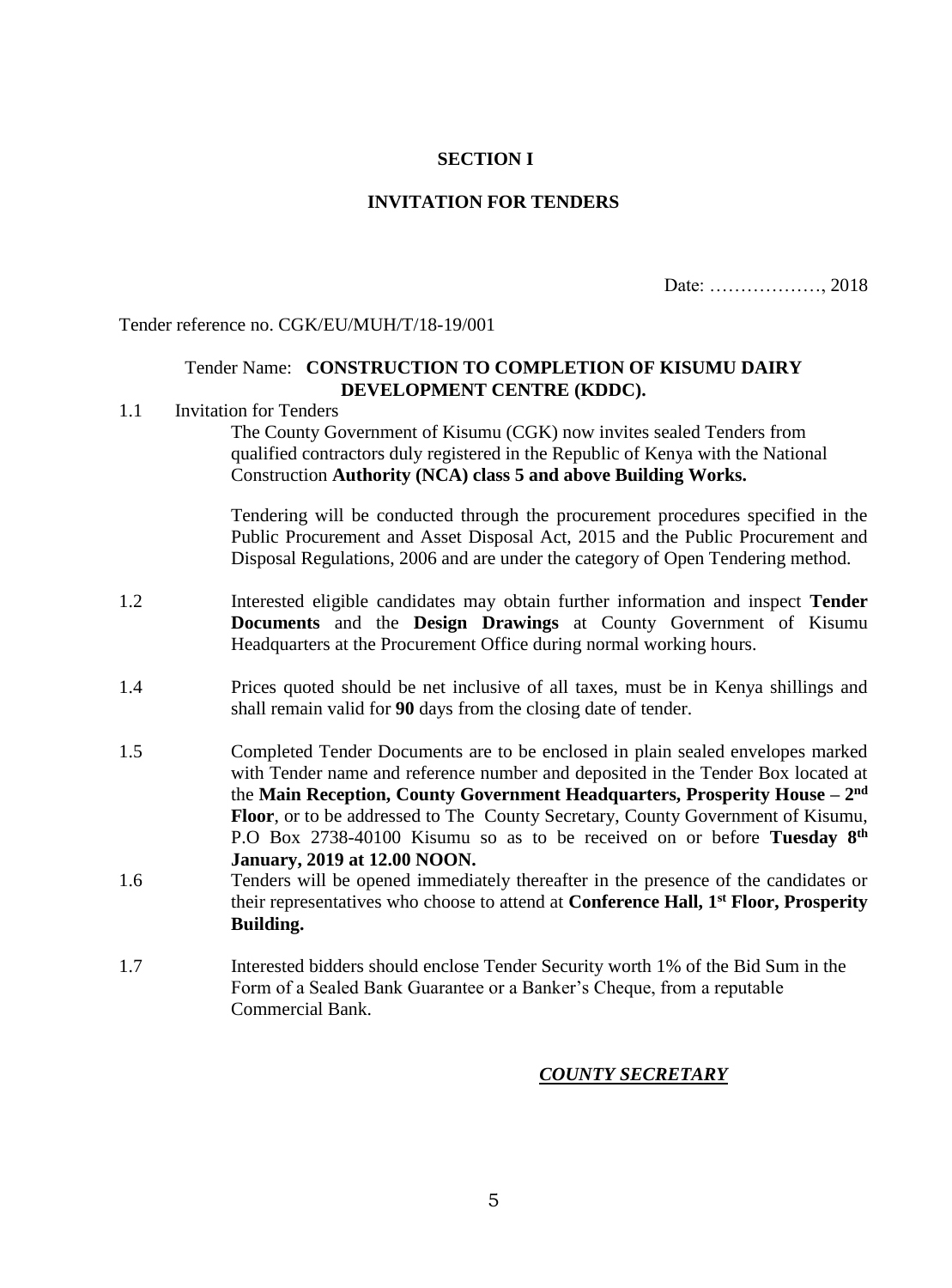#### **SECTION I**

#### **INVITATION FOR TENDERS**

Date: ………………, 2018

<span id="page-4-1"></span><span id="page-4-0"></span>Tender reference no. CGK/EU/MUH/T/18-19/001

#### Tender Name: **CONSTRUCTION TO COMPLETION OF KISUMU DAIRY DEVELOPMENT CENTRE (KDDC).**

#### <span id="page-4-2"></span>1.1 Invitation for Tenders

The County Government of Kisumu (CGK) now invites sealed Tenders from qualified contractors duly registered in the Republic of Kenya with the National Construction **Authority (NCA) class 5 and above Building Works.**

Tendering will be conducted through the procurement procedures specified in the Public Procurement and Asset Disposal Act, 2015 and the Public Procurement and Disposal Regulations, 2006 and are under the category of Open Tendering method.

- 1.2 Interested eligible candidates may obtain further information and inspect **Tender Documents** and the **Design Drawings** at County Government of Kisumu Headquarters at the Procurement Office during normal working hours.
- 1.4 Prices quoted should be net inclusive of all taxes, must be in Kenya shillings and shall remain valid for **90** days from the closing date of tender.
- 1.5 Completed Tender Documents are to be enclosed in plain sealed envelopes marked with Tender name and reference number and deposited in the Tender Box located at the **Main Reception, County Government Headquarters, Prosperity House – 2 nd Floor**, or to be addressed to The County Secretary, County Government of Kisumu, P.O Box 2738-40100 Kisumu so as to be received on or before **Tuesday 8th January, 2019 at 12.00 NOON.**
- 1.6 Tenders will be opened immediately thereafter in the presence of the candidates or their representatives who choose to attend at **Conference Hall, 1st Floor, Prosperity Building.**
- 1.7 Interested bidders should enclose Tender Security worth 1% of the Bid Sum in the Form of a Sealed Bank Guarantee or a Banker's Cheque, from a reputable Commercial Bank.

#### *COUNTY SECRETARY*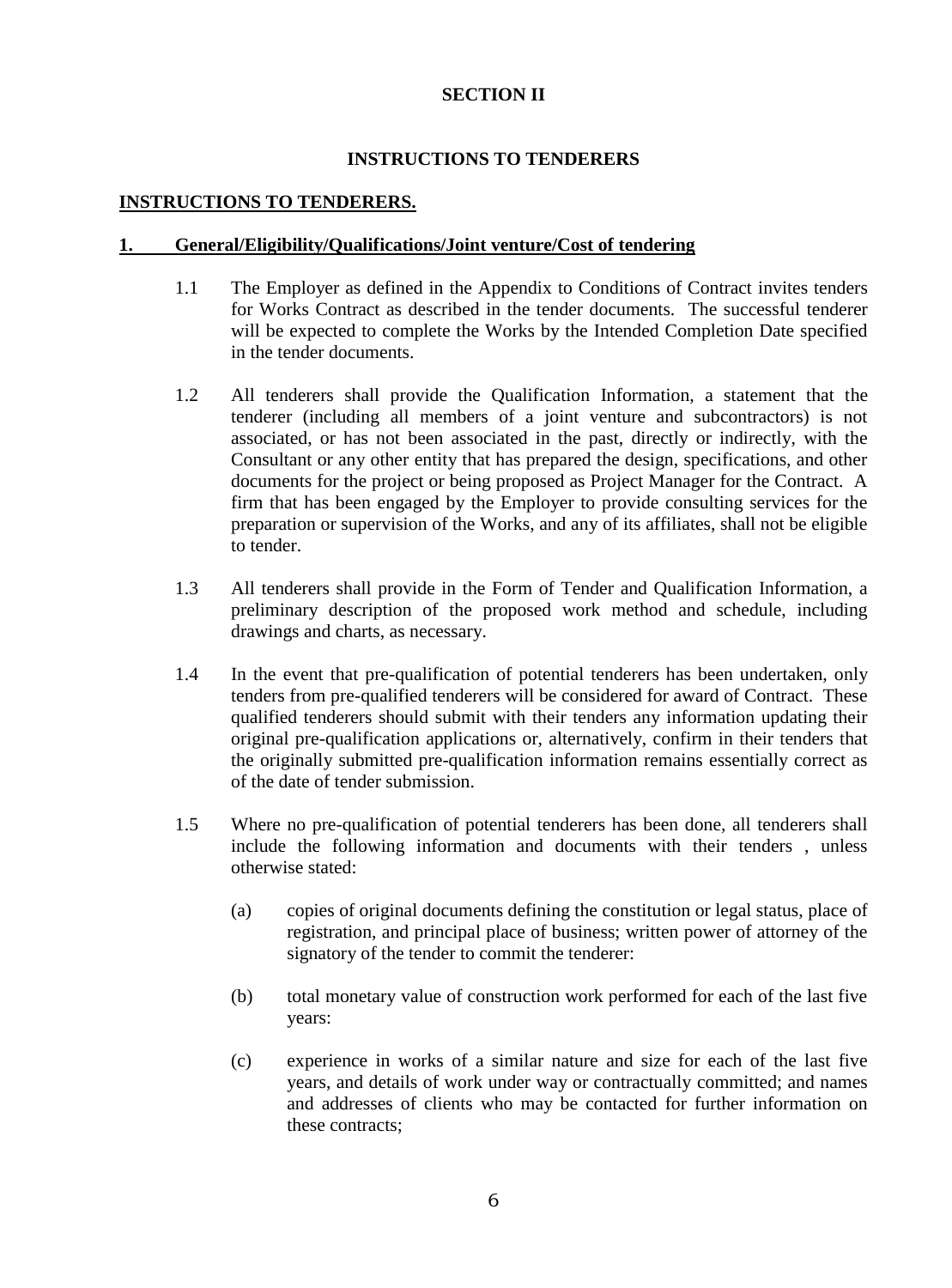#### **SECTION II**

#### **INSTRUCTIONS TO TENDERERS**

#### <span id="page-5-2"></span><span id="page-5-1"></span><span id="page-5-0"></span>**INSTRUCTIONS TO TENDERERS.**

#### <span id="page-5-3"></span>**1. General/Eligibility/Qualifications/Joint venture/Cost of tendering**

- 1.1 The Employer as defined in the Appendix to Conditions of Contract invites tenders for Works Contract as described in the tender documents. The successful tenderer will be expected to complete the Works by the Intended Completion Date specified in the tender documents.
- 1.2 All tenderers shall provide the Qualification Information, a statement that the tenderer (including all members of a joint venture and subcontractors) is not associated, or has not been associated in the past, directly or indirectly, with the Consultant or any other entity that has prepared the design, specifications, and other documents for the project or being proposed as Project Manager for the Contract. A firm that has been engaged by the Employer to provide consulting services for the preparation or supervision of the Works, and any of its affiliates, shall not be eligible to tender.
- 1.3 All tenderers shall provide in the Form of Tender and Qualification Information, a preliminary description of the proposed work method and schedule, including drawings and charts, as necessary.
- 1.4 In the event that pre-qualification of potential tenderers has been undertaken, only tenders from pre-qualified tenderers will be considered for award of Contract. These qualified tenderers should submit with their tenders any information updating their original pre-qualification applications or, alternatively, confirm in their tenders that the originally submitted pre-qualification information remains essentially correct as of the date of tender submission.
- 1.5 Where no pre-qualification of potential tenderers has been done, all tenderers shall include the following information and documents with their tenders , unless otherwise stated:
	- (a) copies of original documents defining the constitution or legal status, place of registration, and principal place of business; written power of attorney of the signatory of the tender to commit the tenderer:
	- (b) total monetary value of construction work performed for each of the last five years:
	- (c) experience in works of a similar nature and size for each of the last five years, and details of work under way or contractually committed; and names and addresses of clients who may be contacted for further information on these contracts;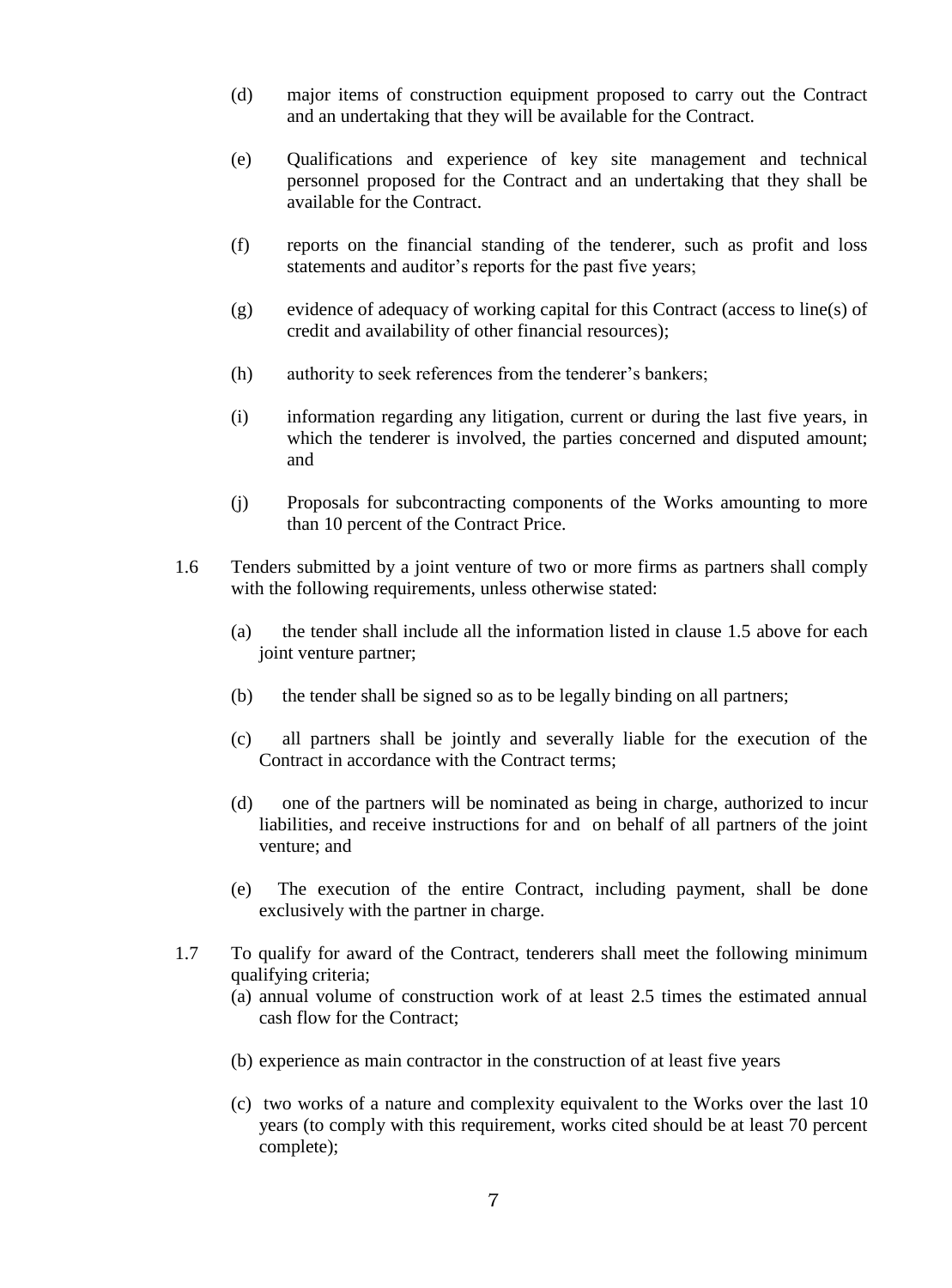- (d) major items of construction equipment proposed to carry out the Contract and an undertaking that they will be available for the Contract.
- (e) Qualifications and experience of key site management and technical personnel proposed for the Contract and an undertaking that they shall be available for the Contract.
- (f) reports on the financial standing of the tenderer, such as profit and loss statements and auditor's reports for the past five years;
- (g) evidence of adequacy of working capital for this Contract (access to line(s) of credit and availability of other financial resources);
- (h) authority to seek references from the tenderer's bankers;
- (i) information regarding any litigation, current or during the last five years, in which the tenderer is involved, the parties concerned and disputed amount; and
- (j) Proposals for subcontracting components of the Works amounting to more than 10 percent of the Contract Price.
- 1.6 Tenders submitted by a joint venture of two or more firms as partners shall comply with the following requirements, unless otherwise stated:
	- (a) the tender shall include all the information listed in clause 1.5 above for each joint venture partner;
	- (b) the tender shall be signed so as to be legally binding on all partners;
	- (c) all partners shall be jointly and severally liable for the execution of the Contract in accordance with the Contract terms;
	- (d) one of the partners will be nominated as being in charge, authorized to incur liabilities, and receive instructions for and on behalf of all partners of the joint venture; and
	- (e) The execution of the entire Contract, including payment, shall be done exclusively with the partner in charge.
- 1.7 To qualify for award of the Contract, tenderers shall meet the following minimum qualifying criteria;
	- (a) annual volume of construction work of at least 2.5 times the estimated annual cash flow for the Contract;
	- (b) experience as main contractor in the construction of at least five years
	- (c) two works of a nature and complexity equivalent to the Works over the last 10 years (to comply with this requirement, works cited should be at least 70 percent complete);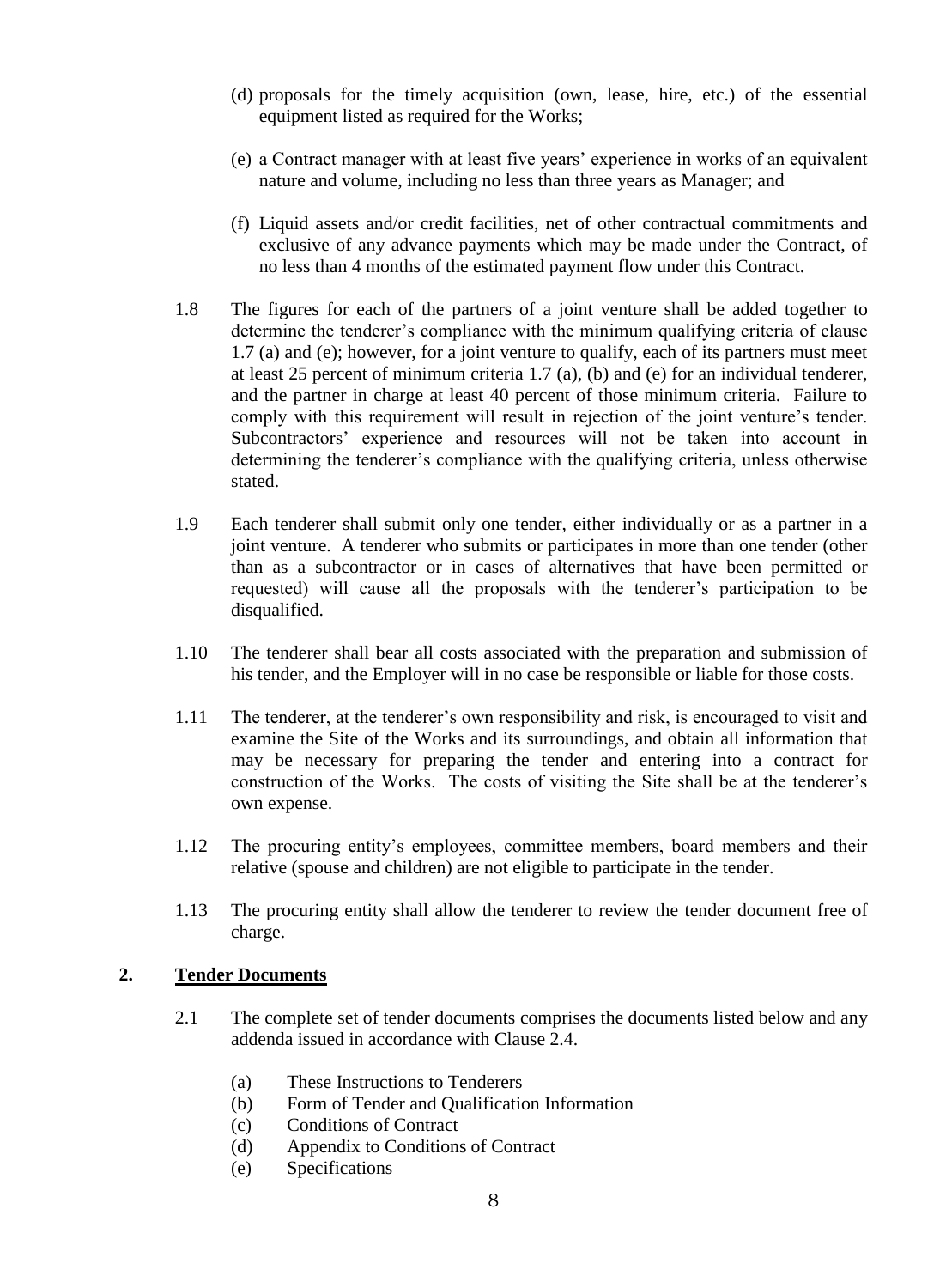- (d) proposals for the timely acquisition (own, lease, hire, etc.) of the essential equipment listed as required for the Works;
- (e) a Contract manager with at least five years' experience in works of an equivalent nature and volume, including no less than three years as Manager; and
- (f) Liquid assets and/or credit facilities, net of other contractual commitments and exclusive of any advance payments which may be made under the Contract, of no less than 4 months of the estimated payment flow under this Contract.
- 1.8 The figures for each of the partners of a joint venture shall be added together to determine the tenderer's compliance with the minimum qualifying criteria of clause 1.7 (a) and (e); however, for a joint venture to qualify, each of its partners must meet at least 25 percent of minimum criteria 1.7 (a), (b) and (e) for an individual tenderer, and the partner in charge at least 40 percent of those minimum criteria. Failure to comply with this requirement will result in rejection of the joint venture's tender. Subcontractors' experience and resources will not be taken into account in determining the tenderer's compliance with the qualifying criteria, unless otherwise stated.
- 1.9 Each tenderer shall submit only one tender, either individually or as a partner in a joint venture. A tenderer who submits or participates in more than one tender (other than as a subcontractor or in cases of alternatives that have been permitted or requested) will cause all the proposals with the tenderer's participation to be disqualified.
- 1.10 The tenderer shall bear all costs associated with the preparation and submission of his tender, and the Employer will in no case be responsible or liable for those costs.
- 1.11 The tenderer, at the tenderer's own responsibility and risk, is encouraged to visit and examine the Site of the Works and its surroundings, and obtain all information that may be necessary for preparing the tender and entering into a contract for construction of the Works. The costs of visiting the Site shall be at the tenderer's own expense.
- 1.12 The procuring entity's employees, committee members, board members and their relative (spouse and children) are not eligible to participate in the tender.
- 1.13 The procuring entity shall allow the tenderer to review the tender document free of charge.

#### <span id="page-7-0"></span>**2. Tender Documents**

- 2.1 The complete set of tender documents comprises the documents listed below and any addenda issued in accordance with Clause 2.4.
	- (a) These Instructions to Tenderers
	- (b) Form of Tender and Qualification Information
	- (c) Conditions of Contract
	- (d) Appendix to Conditions of Contract
	- (e) Specifications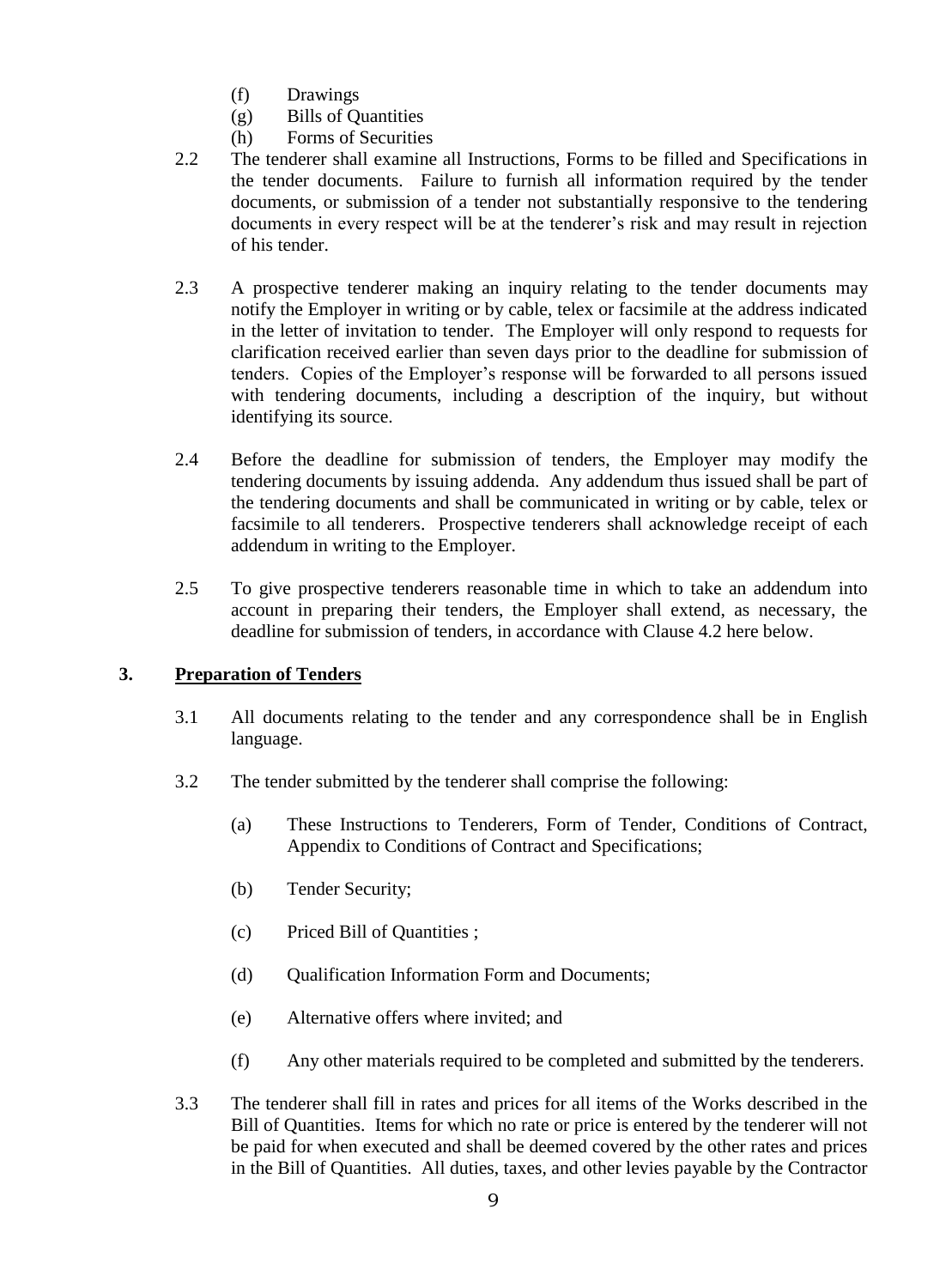- (f) Drawings
- (g) Bills of Quantities
- (h) Forms of Securities
- 2.2 The tenderer shall examine all Instructions, Forms to be filled and Specifications in the tender documents. Failure to furnish all information required by the tender documents, or submission of a tender not substantially responsive to the tendering documents in every respect will be at the tenderer's risk and may result in rejection of his tender.
- 2.3 A prospective tenderer making an inquiry relating to the tender documents may notify the Employer in writing or by cable, telex or facsimile at the address indicated in the letter of invitation to tender. The Employer will only respond to requests for clarification received earlier than seven days prior to the deadline for submission of tenders. Copies of the Employer's response will be forwarded to all persons issued with tendering documents, including a description of the inquiry, but without identifying its source.
- 2.4 Before the deadline for submission of tenders, the Employer may modify the tendering documents by issuing addenda. Any addendum thus issued shall be part of the tendering documents and shall be communicated in writing or by cable, telex or facsimile to all tenderers. Prospective tenderers shall acknowledge receipt of each addendum in writing to the Employer.
- 2.5 To give prospective tenderers reasonable time in which to take an addendum into account in preparing their tenders, the Employer shall extend, as necessary, the deadline for submission of tenders, in accordance with Clause 4.2 here below.

#### <span id="page-8-0"></span>**3. Preparation of Tenders**

- 3.1 All documents relating to the tender and any correspondence shall be in English language.
- 3.2 The tender submitted by the tenderer shall comprise the following:
	- (a) These Instructions to Tenderers, Form of Tender, Conditions of Contract, Appendix to Conditions of Contract and Specifications;
	- (b) Tender Security;
	- (c) Priced Bill of Quantities ;
	- (d) Qualification Information Form and Documents;
	- (e) Alternative offers where invited; and
	- (f) Any other materials required to be completed and submitted by the tenderers.
- 3.3 The tenderer shall fill in rates and prices for all items of the Works described in the Bill of Quantities. Items for which no rate or price is entered by the tenderer will not be paid for when executed and shall be deemed covered by the other rates and prices in the Bill of Quantities. All duties, taxes, and other levies payable by the Contractor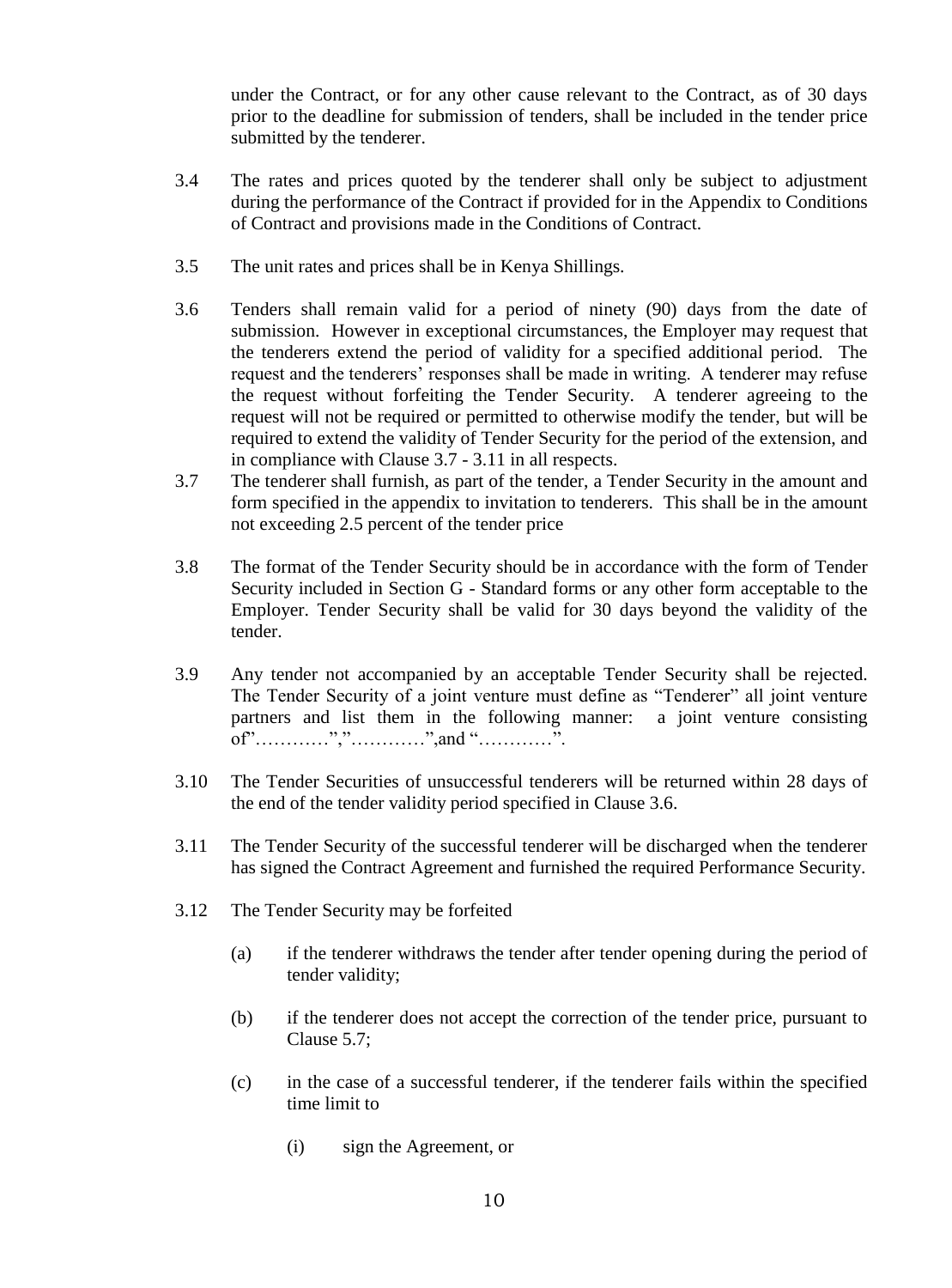under the Contract, or for any other cause relevant to the Contract, as of 30 days prior to the deadline for submission of tenders, shall be included in the tender price submitted by the tenderer.

- 3.4 The rates and prices quoted by the tenderer shall only be subject to adjustment during the performance of the Contract if provided for in the Appendix to Conditions of Contract and provisions made in the Conditions of Contract.
- 3.5 The unit rates and prices shall be in Kenya Shillings.
- 3.6 Tenders shall remain valid for a period of ninety (90) days from the date of submission. However in exceptional circumstances, the Employer may request that the tenderers extend the period of validity for a specified additional period. The request and the tenderers' responses shall be made in writing. A tenderer may refuse the request without forfeiting the Tender Security. A tenderer agreeing to the request will not be required or permitted to otherwise modify the tender, but will be required to extend the validity of Tender Security for the period of the extension, and in compliance with Clause 3.7 - 3.11 in all respects.
- 3.7 The tenderer shall furnish, as part of the tender, a Tender Security in the amount and form specified in the appendix to invitation to tenderers. This shall be in the amount not exceeding 2.5 percent of the tender price
- 3.8 The format of the Tender Security should be in accordance with the form of Tender Security included in Section G - Standard forms or any other form acceptable to the Employer. Tender Security shall be valid for 30 days beyond the validity of the tender.
- 3.9 Any tender not accompanied by an acceptable Tender Security shall be rejected. The Tender Security of a joint venture must define as "Tenderer" all joint venture partners and list them in the following manner: a joint venture consisting of"…………","…………",and "…………".
- 3.10 The Tender Securities of unsuccessful tenderers will be returned within 28 days of the end of the tender validity period specified in Clause 3.6.
- 3.11 The Tender Security of the successful tenderer will be discharged when the tenderer has signed the Contract Agreement and furnished the required Performance Security.
- 3.12 The Tender Security may be forfeited
	- (a) if the tenderer withdraws the tender after tender opening during the period of tender validity;
	- (b) if the tenderer does not accept the correction of the tender price, pursuant to Clause 5.7;
	- (c) in the case of a successful tenderer, if the tenderer fails within the specified time limit to
		- (i) sign the Agreement, or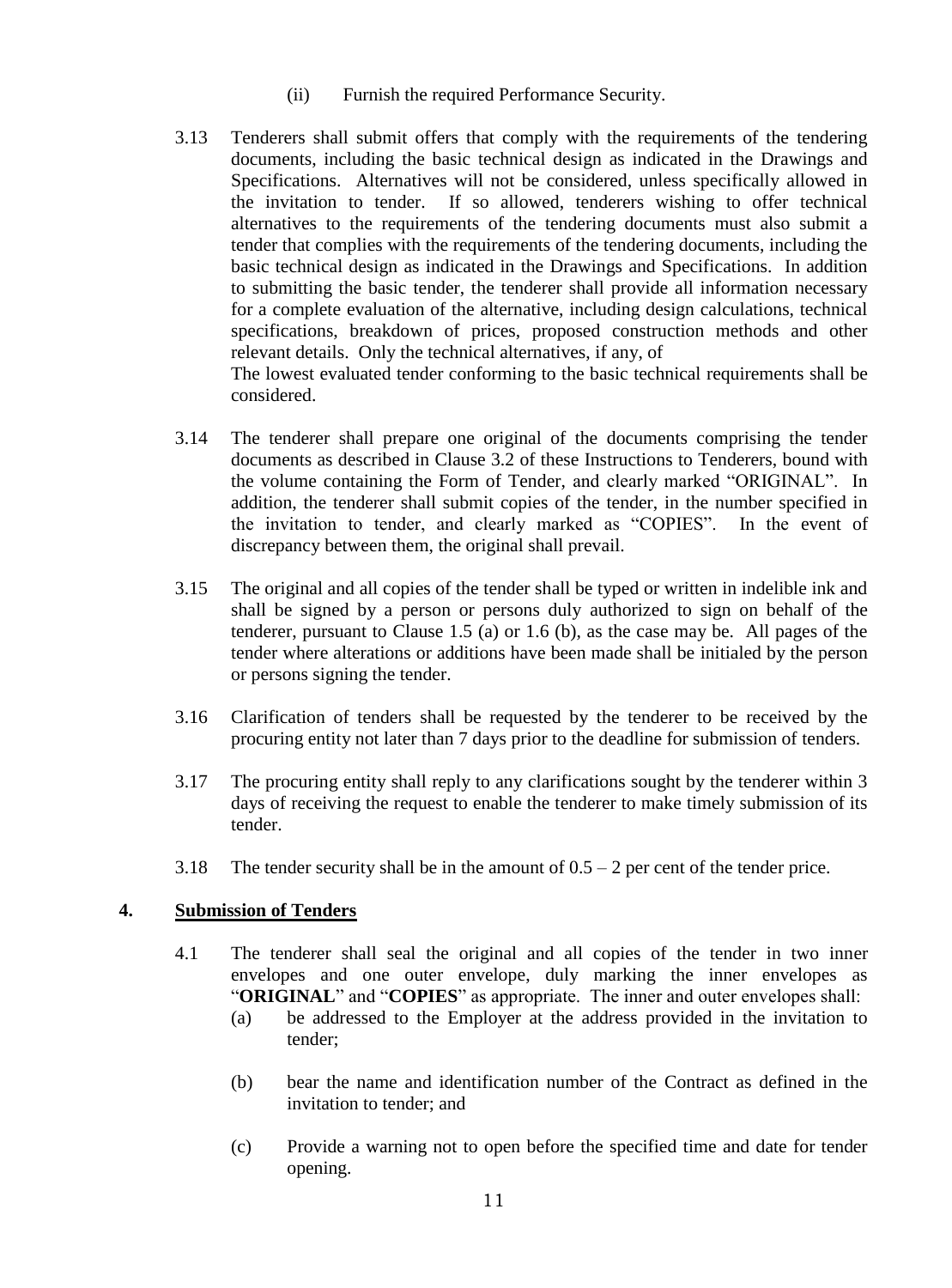- (ii) Furnish the required Performance Security.
- 3.13 Tenderers shall submit offers that comply with the requirements of the tendering documents, including the basic technical design as indicated in the Drawings and Specifications. Alternatives will not be considered, unless specifically allowed in the invitation to tender. If so allowed, tenderers wishing to offer technical alternatives to the requirements of the tendering documents must also submit a tender that complies with the requirements of the tendering documents, including the basic technical design as indicated in the Drawings and Specifications. In addition to submitting the basic tender, the tenderer shall provide all information necessary for a complete evaluation of the alternative, including design calculations, technical specifications, breakdown of prices, proposed construction methods and other relevant details. Only the technical alternatives, if any, of The lowest evaluated tender conforming to the basic technical requirements shall be

considered.

- 3.14 The tenderer shall prepare one original of the documents comprising the tender documents as described in Clause 3.2 of these Instructions to Tenderers, bound with the volume containing the Form of Tender, and clearly marked "ORIGINAL". In addition, the tenderer shall submit copies of the tender, in the number specified in the invitation to tender, and clearly marked as "COPIES". In the event of discrepancy between them, the original shall prevail.
- 3.15 The original and all copies of the tender shall be typed or written in indelible ink and shall be signed by a person or persons duly authorized to sign on behalf of the tenderer, pursuant to Clause 1.5 (a) or 1.6 (b), as the case may be. All pages of the tender where alterations or additions have been made shall be initialed by the person or persons signing the tender.
- 3.16 Clarification of tenders shall be requested by the tenderer to be received by the procuring entity not later than 7 days prior to the deadline for submission of tenders.
- 3.17 The procuring entity shall reply to any clarifications sought by the tenderer within 3 days of receiving the request to enable the tenderer to make timely submission of its tender.
- 3.18 The tender security shall be in the amount of  $0.5 2$  per cent of the tender price.

#### <span id="page-10-0"></span>**4. Submission of Tenders**

- 4.1 The tenderer shall seal the original and all copies of the tender in two inner envelopes and one outer envelope, duly marking the inner envelopes as "**ORIGINAL**" and "**COPIES**" as appropriate. The inner and outer envelopes shall:
	- (a) be addressed to the Employer at the address provided in the invitation to tender;
	- (b) bear the name and identification number of the Contract as defined in the invitation to tender; and
	- (c) Provide a warning not to open before the specified time and date for tender opening.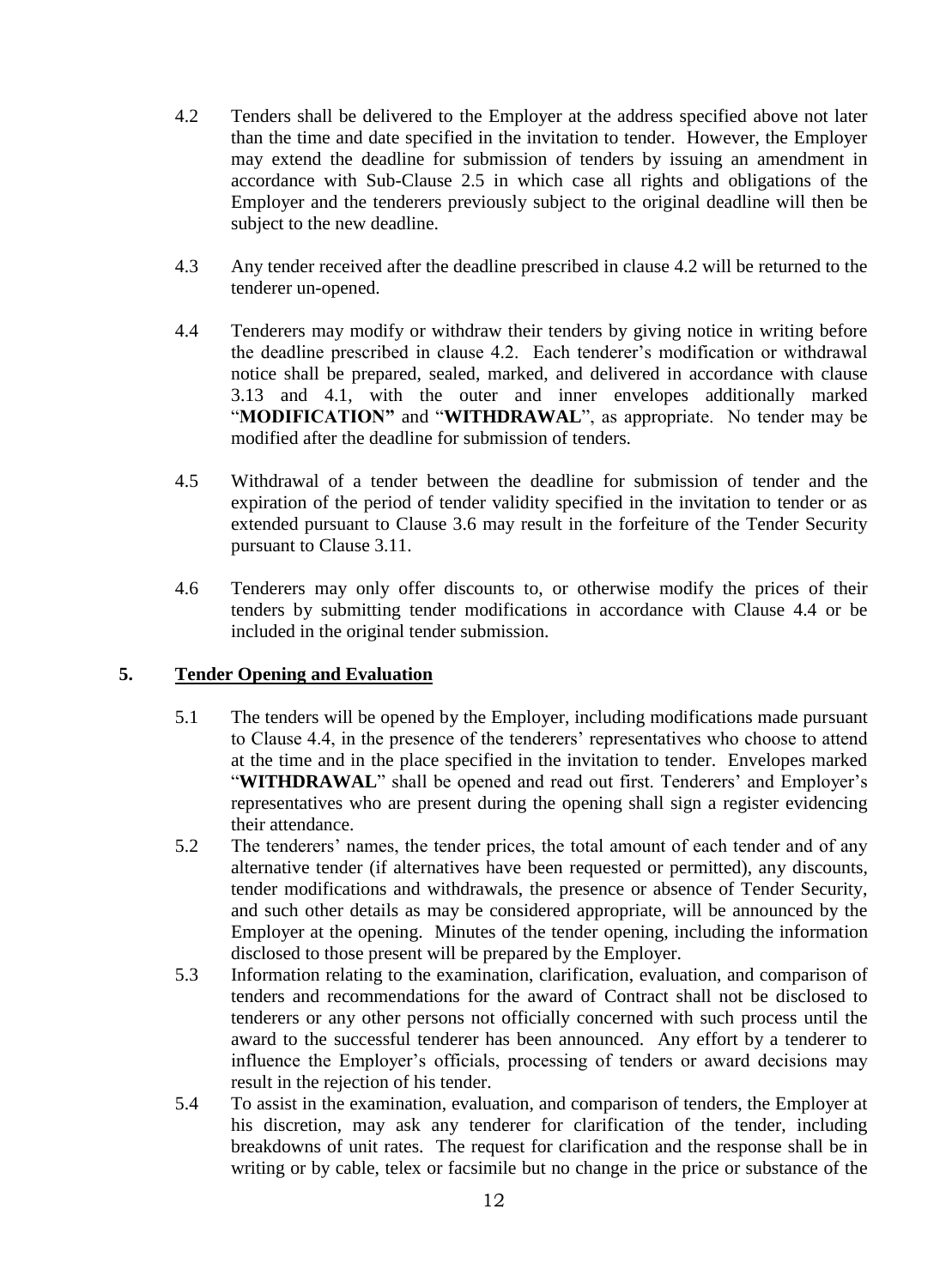- 4.2 Tenders shall be delivered to the Employer at the address specified above not later than the time and date specified in the invitation to tender. However, the Employer may extend the deadline for submission of tenders by issuing an amendment in accordance with Sub-Clause 2.5 in which case all rights and obligations of the Employer and the tenderers previously subject to the original deadline will then be subject to the new deadline.
- 4.3 Any tender received after the deadline prescribed in clause 4.2 will be returned to the tenderer un-opened.
- 4.4 Tenderers may modify or withdraw their tenders by giving notice in writing before the deadline prescribed in clause 4.2. Each tenderer's modification or withdrawal notice shall be prepared, sealed, marked, and delivered in accordance with clause 3.13 and 4.1, with the outer and inner envelopes additionally marked "**MODIFICATION"** and "**WITHDRAWAL**", as appropriate. No tender may be modified after the deadline for submission of tenders.
- 4.5 Withdrawal of a tender between the deadline for submission of tender and the expiration of the period of tender validity specified in the invitation to tender or as extended pursuant to Clause 3.6 may result in the forfeiture of the Tender Security pursuant to Clause 3.11.
- 4.6 Tenderers may only offer discounts to, or otherwise modify the prices of their tenders by submitting tender modifications in accordance with Clause 4.4 or be included in the original tender submission.

#### <span id="page-11-0"></span>**5. Tender Opening and Evaluation**

- 5.1 The tenders will be opened by the Employer, including modifications made pursuant to Clause 4.4, in the presence of the tenderers' representatives who choose to attend at the time and in the place specified in the invitation to tender. Envelopes marked "WITHDRAWAL" shall be opened and read out first. Tenderers' and Employer's representatives who are present during the opening shall sign a register evidencing their attendance.
- 5.2 The tenderers' names, the tender prices, the total amount of each tender and of any alternative tender (if alternatives have been requested or permitted), any discounts, tender modifications and withdrawals, the presence or absence of Tender Security, and such other details as may be considered appropriate, will be announced by the Employer at the opening. Minutes of the tender opening, including the information disclosed to those present will be prepared by the Employer.
- 5.3 Information relating to the examination, clarification, evaluation, and comparison of tenders and recommendations for the award of Contract shall not be disclosed to tenderers or any other persons not officially concerned with such process until the award to the successful tenderer has been announced. Any effort by a tenderer to influence the Employer's officials, processing of tenders or award decisions may result in the rejection of his tender.
- 5.4 To assist in the examination, evaluation, and comparison of tenders, the Employer at his discretion, may ask any tenderer for clarification of the tender, including breakdowns of unit rates. The request for clarification and the response shall be in writing or by cable, telex or facsimile but no change in the price or substance of the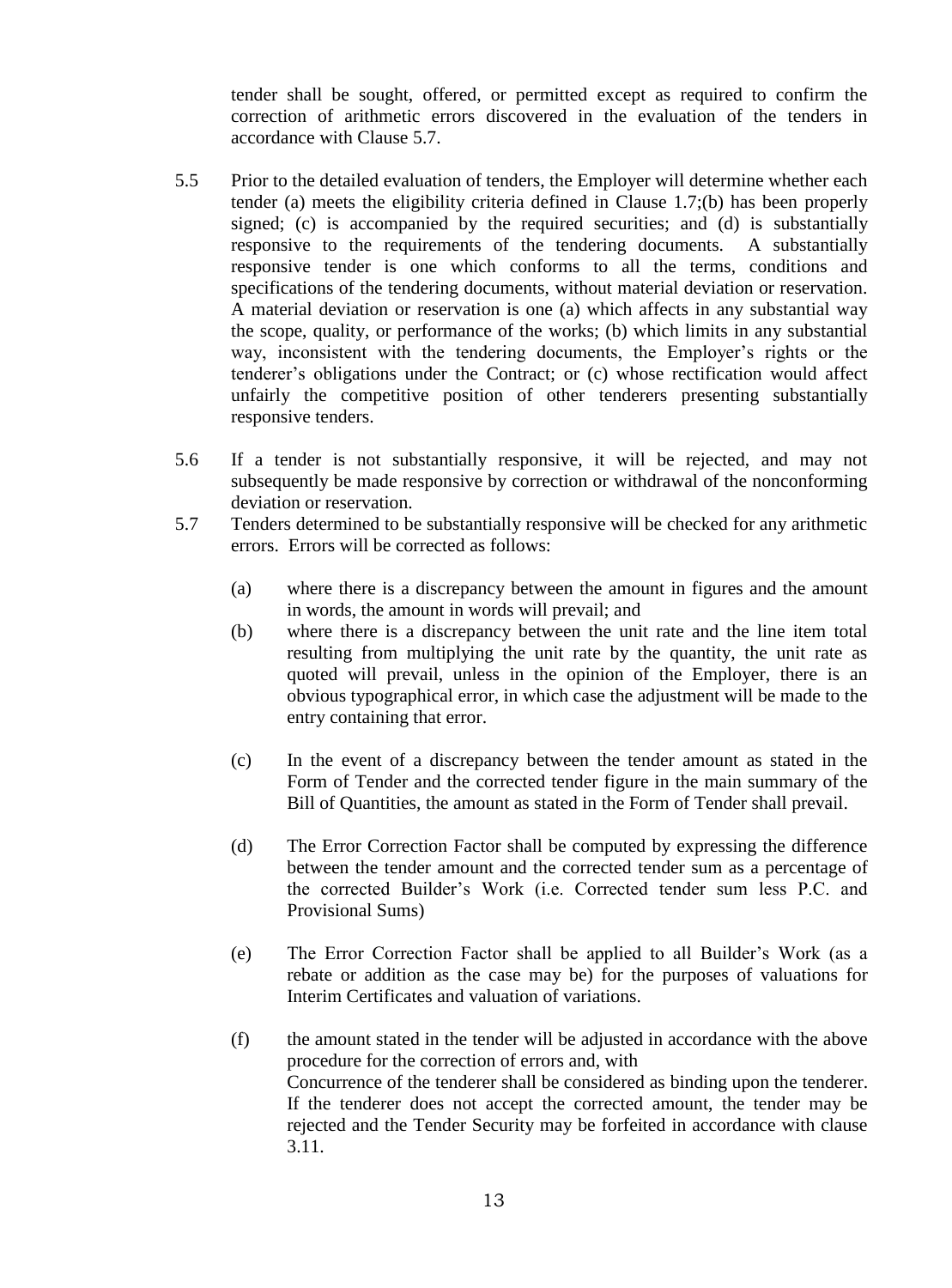tender shall be sought, offered, or permitted except as required to confirm the correction of arithmetic errors discovered in the evaluation of the tenders in accordance with Clause 5.7.

- 5.5 Prior to the detailed evaluation of tenders, the Employer will determine whether each tender (a) meets the eligibility criteria defined in Clause 1.7;(b) has been properly signed; (c) is accompanied by the required securities; and (d) is substantially responsive to the requirements of the tendering documents. A substantially responsive tender is one which conforms to all the terms, conditions and specifications of the tendering documents, without material deviation or reservation. A material deviation or reservation is one (a) which affects in any substantial way the scope, quality, or performance of the works; (b) which limits in any substantial way, inconsistent with the tendering documents, the Employer's rights or the tenderer's obligations under the Contract; or (c) whose rectification would affect unfairly the competitive position of other tenderers presenting substantially responsive tenders.
- 5.6 If a tender is not substantially responsive, it will be rejected, and may not subsequently be made responsive by correction or withdrawal of the nonconforming deviation or reservation.
- 5.7 Tenders determined to be substantially responsive will be checked for any arithmetic errors. Errors will be corrected as follows:
	- (a) where there is a discrepancy between the amount in figures and the amount in words, the amount in words will prevail; and
	- (b) where there is a discrepancy between the unit rate and the line item total resulting from multiplying the unit rate by the quantity, the unit rate as quoted will prevail, unless in the opinion of the Employer, there is an obvious typographical error, in which case the adjustment will be made to the entry containing that error.
	- (c) In the event of a discrepancy between the tender amount as stated in the Form of Tender and the corrected tender figure in the main summary of the Bill of Quantities, the amount as stated in the Form of Tender shall prevail.
	- (d) The Error Correction Factor shall be computed by expressing the difference between the tender amount and the corrected tender sum as a percentage of the corrected Builder's Work (i.e. Corrected tender sum less P.C. and Provisional Sums)
	- (e) The Error Correction Factor shall be applied to all Builder's Work (as a rebate or addition as the case may be) for the purposes of valuations for Interim Certificates and valuation of variations.
	- (f) the amount stated in the tender will be adjusted in accordance with the above procedure for the correction of errors and, with Concurrence of the tenderer shall be considered as binding upon the tenderer. If the tenderer does not accept the corrected amount, the tender may be rejected and the Tender Security may be forfeited in accordance with clause 3.11.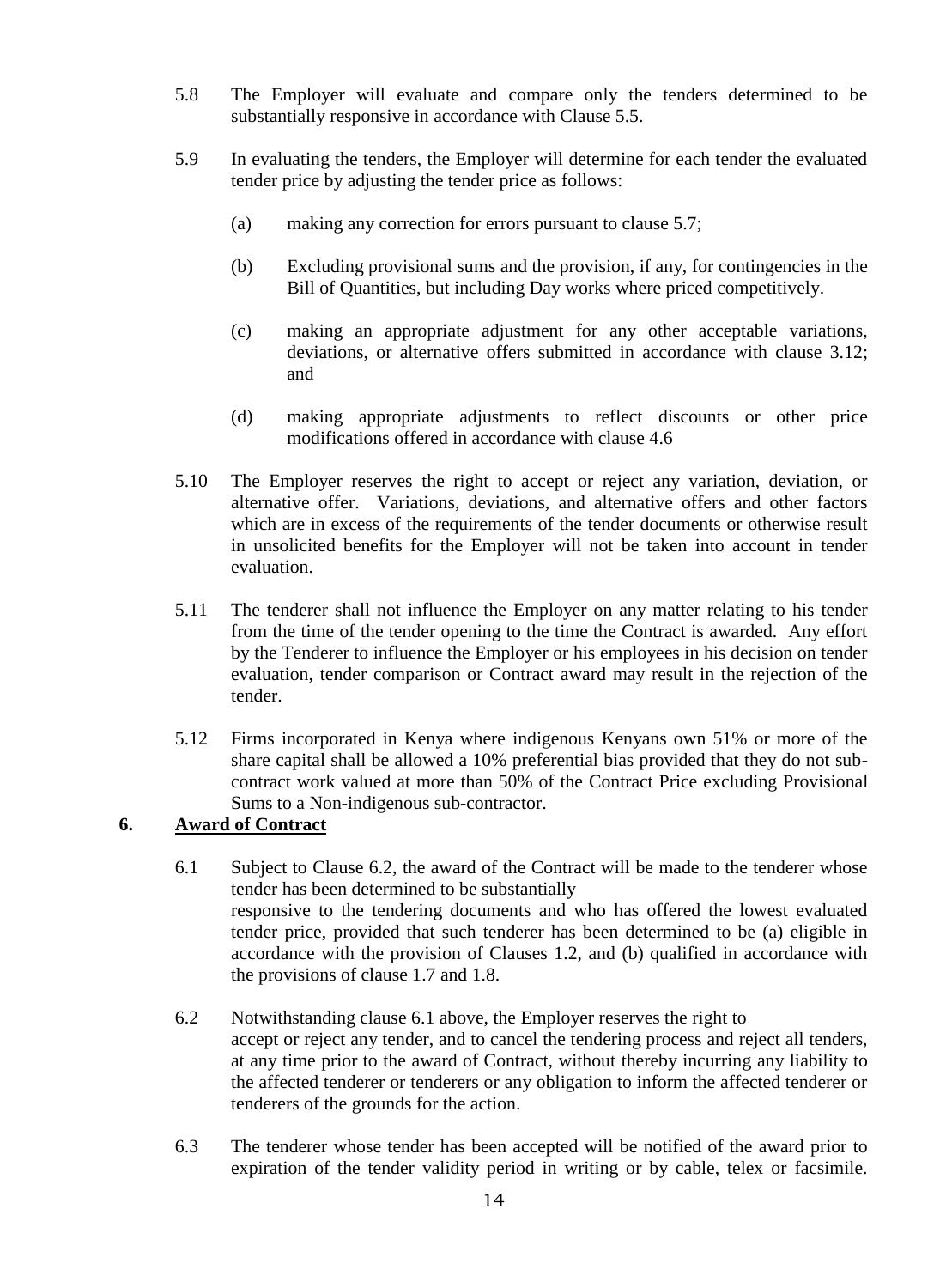- 5.8 The Employer will evaluate and compare only the tenders determined to be substantially responsive in accordance with Clause 5.5.
- 5.9 In evaluating the tenders, the Employer will determine for each tender the evaluated tender price by adjusting the tender price as follows:
	- (a) making any correction for errors pursuant to clause 5.7;
	- (b) Excluding provisional sums and the provision, if any, for contingencies in the Bill of Quantities, but including Day works where priced competitively.
	- (c) making an appropriate adjustment for any other acceptable variations, deviations, or alternative offers submitted in accordance with clause 3.12; and
	- (d) making appropriate adjustments to reflect discounts or other price modifications offered in accordance with clause 4.6
- 5.10 The Employer reserves the right to accept or reject any variation, deviation, or alternative offer. Variations, deviations, and alternative offers and other factors which are in excess of the requirements of the tender documents or otherwise result in unsolicited benefits for the Employer will not be taken into account in tender evaluation.
- 5.11 The tenderer shall not influence the Employer on any matter relating to his tender from the time of the tender opening to the time the Contract is awarded. Any effort by the Tenderer to influence the Employer or his employees in his decision on tender evaluation, tender comparison or Contract award may result in the rejection of the tender.
- 5.12 Firms incorporated in Kenya where indigenous Kenyans own 51% or more of the share capital shall be allowed a 10% preferential bias provided that they do not subcontract work valued at more than 50% of the Contract Price excluding Provisional Sums to a Non-indigenous sub-contractor.

#### <span id="page-13-0"></span>**6. Award of Contract**

- 6.1 Subject to Clause 6.2, the award of the Contract will be made to the tenderer whose tender has been determined to be substantially responsive to the tendering documents and who has offered the lowest evaluated tender price, provided that such tenderer has been determined to be (a) eligible in accordance with the provision of Clauses 1.2, and (b) qualified in accordance with the provisions of clause 1.7 and 1.8.
- 6.2 Notwithstanding clause 6.1 above, the Employer reserves the right to accept or reject any tender, and to cancel the tendering process and reject all tenders, at any time prior to the award of Contract, without thereby incurring any liability to the affected tenderer or tenderers or any obligation to inform the affected tenderer or tenderers of the grounds for the action.
- 6.3 The tenderer whose tender has been accepted will be notified of the award prior to expiration of the tender validity period in writing or by cable, telex or facsimile.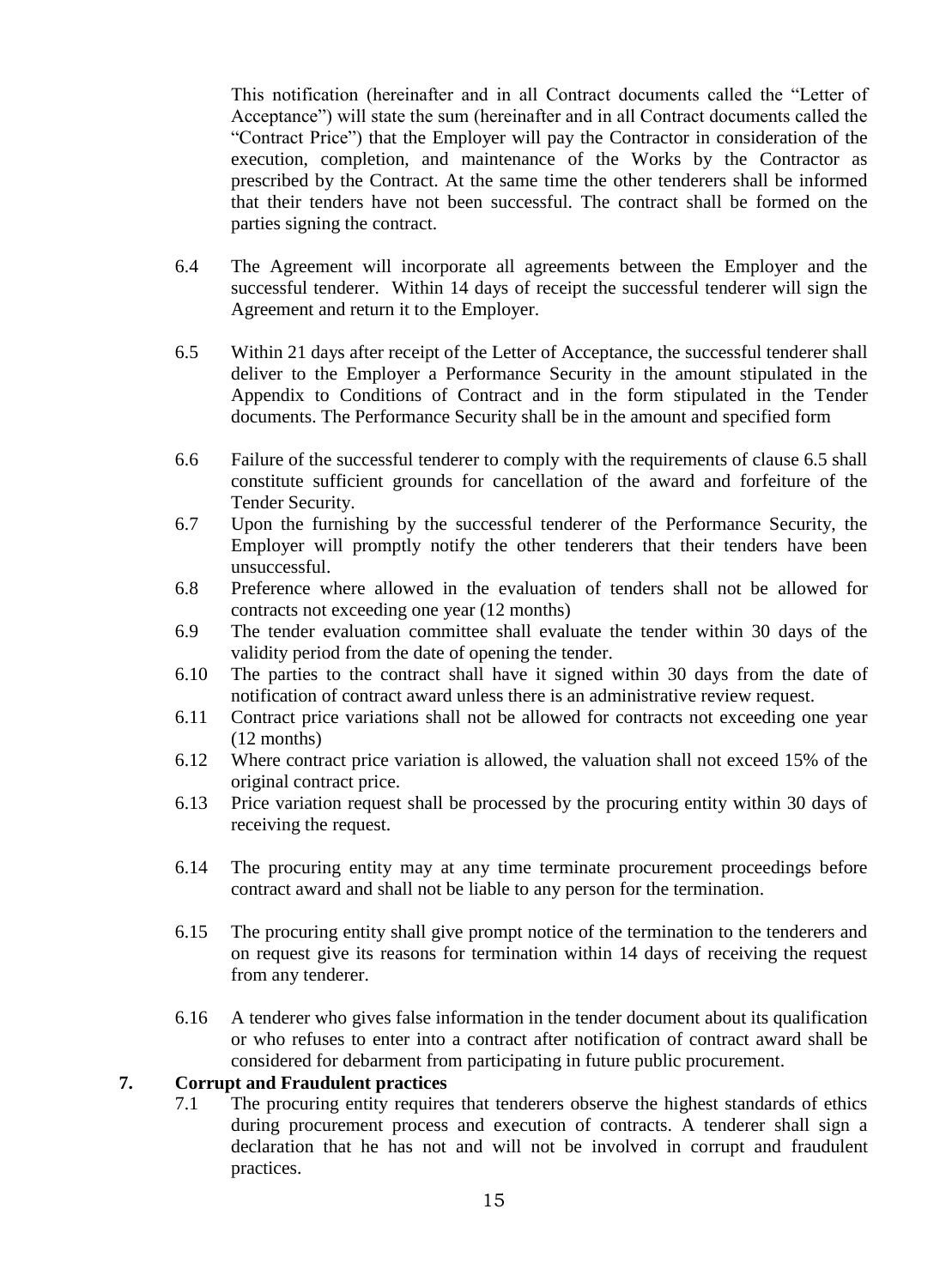This notification (hereinafter and in all Contract documents called the "Letter of Acceptance") will state the sum (hereinafter and in all Contract documents called the "Contract Price") that the Employer will pay the Contractor in consideration of the execution, completion, and maintenance of the Works by the Contractor as prescribed by the Contract. At the same time the other tenderers shall be informed that their tenders have not been successful. The contract shall be formed on the parties signing the contract.

- 6.4 The Agreement will incorporate all agreements between the Employer and the successful tenderer. Within 14 days of receipt the successful tenderer will sign the Agreement and return it to the Employer.
- 6.5 Within 21 days after receipt of the Letter of Acceptance, the successful tenderer shall deliver to the Employer a Performance Security in the amount stipulated in the Appendix to Conditions of Contract and in the form stipulated in the Tender documents. The Performance Security shall be in the amount and specified form
- 6.6 Failure of the successful tenderer to comply with the requirements of clause 6.5 shall constitute sufficient grounds for cancellation of the award and forfeiture of the Tender Security.
- 6.7 Upon the furnishing by the successful tenderer of the Performance Security, the Employer will promptly notify the other tenderers that their tenders have been unsuccessful.
- 6.8 Preference where allowed in the evaluation of tenders shall not be allowed for contracts not exceeding one year (12 months)
- 6.9 The tender evaluation committee shall evaluate the tender within 30 days of the validity period from the date of opening the tender.
- 6.10 The parties to the contract shall have it signed within 30 days from the date of notification of contract award unless there is an administrative review request.
- 6.11 Contract price variations shall not be allowed for contracts not exceeding one year (12 months)
- 6.12 Where contract price variation is allowed, the valuation shall not exceed 15% of the original contract price.
- 6.13 Price variation request shall be processed by the procuring entity within 30 days of receiving the request.
- 6.14 The procuring entity may at any time terminate procurement proceedings before contract award and shall not be liable to any person for the termination.
- 6.15 The procuring entity shall give prompt notice of the termination to the tenderers and on request give its reasons for termination within 14 days of receiving the request from any tenderer.
- 6.16 A tenderer who gives false information in the tender document about its qualification or who refuses to enter into a contract after notification of contract award shall be considered for debarment from participating in future public procurement.

#### **7. Corrupt and Fraudulent practices**

7.1 The procuring entity requires that tenderers observe the highest standards of ethics during procurement process and execution of contracts. A tenderer shall sign a declaration that he has not and will not be involved in corrupt and fraudulent practices.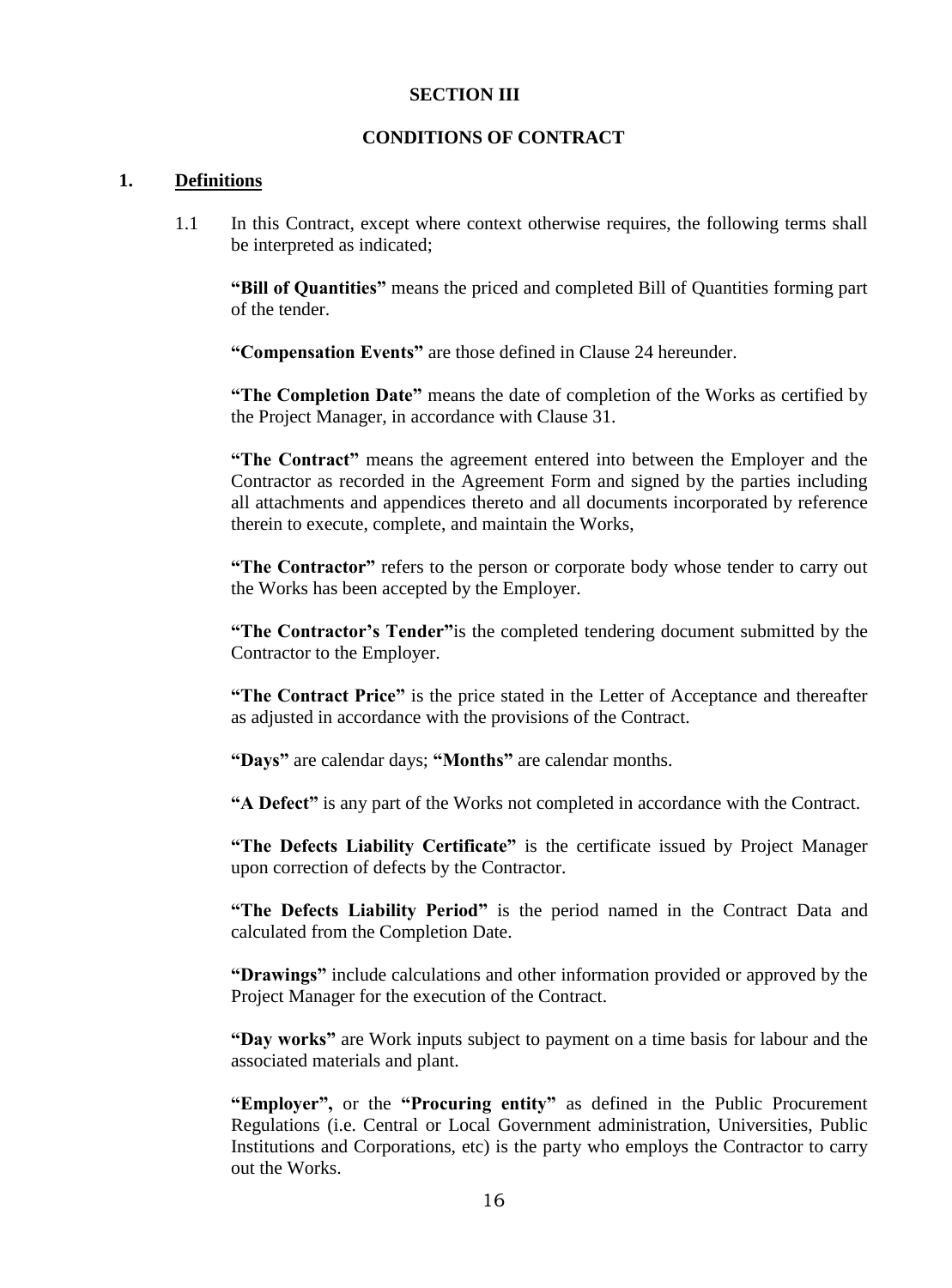#### **SECTION III**

#### **CONDITIONS OF CONTRACT**

#### <span id="page-15-2"></span><span id="page-15-1"></span><span id="page-15-0"></span>**1. Definitions**

1.1 In this Contract, except where context otherwise requires, the following terms shall be interpreted as indicated;

**"Bill of Quantities"** means the priced and completed Bill of Quantities forming part of the tender.

**"Compensation Events"** are those defined in Clause 24 hereunder.

**"The Completion Date"** means the date of completion of the Works as certified by the Project Manager, in accordance with Clause 31.

**"The Contract"** means the agreement entered into between the Employer and the Contractor as recorded in the Agreement Form and signed by the parties including all attachments and appendices thereto and all documents incorporated by reference therein to execute, complete, and maintain the Works,

**"The Contractor"** refers to the person or corporate body whose tender to carry out the Works has been accepted by the Employer.

**"The Contractor's Tender"**is the completed tendering document submitted by the Contractor to the Employer.

**"The Contract Price"** is the price stated in the Letter of Acceptance and thereafter as adjusted in accordance with the provisions of the Contract.

**"Days"** are calendar days; **"Months"** are calendar months.

**"A Defect"** is any part of the Works not completed in accordance with the Contract.

**"The Defects Liability Certificate"** is the certificate issued by Project Manager upon correction of defects by the Contractor.

**"The Defects Liability Period"** is the period named in the Contract Data and calculated from the Completion Date.

**"Drawings"** include calculations and other information provided or approved by the Project Manager for the execution of the Contract.

**"Day works"** are Work inputs subject to payment on a time basis for labour and the associated materials and plant.

**"Employer",** or the **"Procuring entity"** as defined in the Public Procurement Regulations (i.e. Central or Local Government administration, Universities, Public Institutions and Corporations, etc) is the party who employs the Contractor to carry out the Works.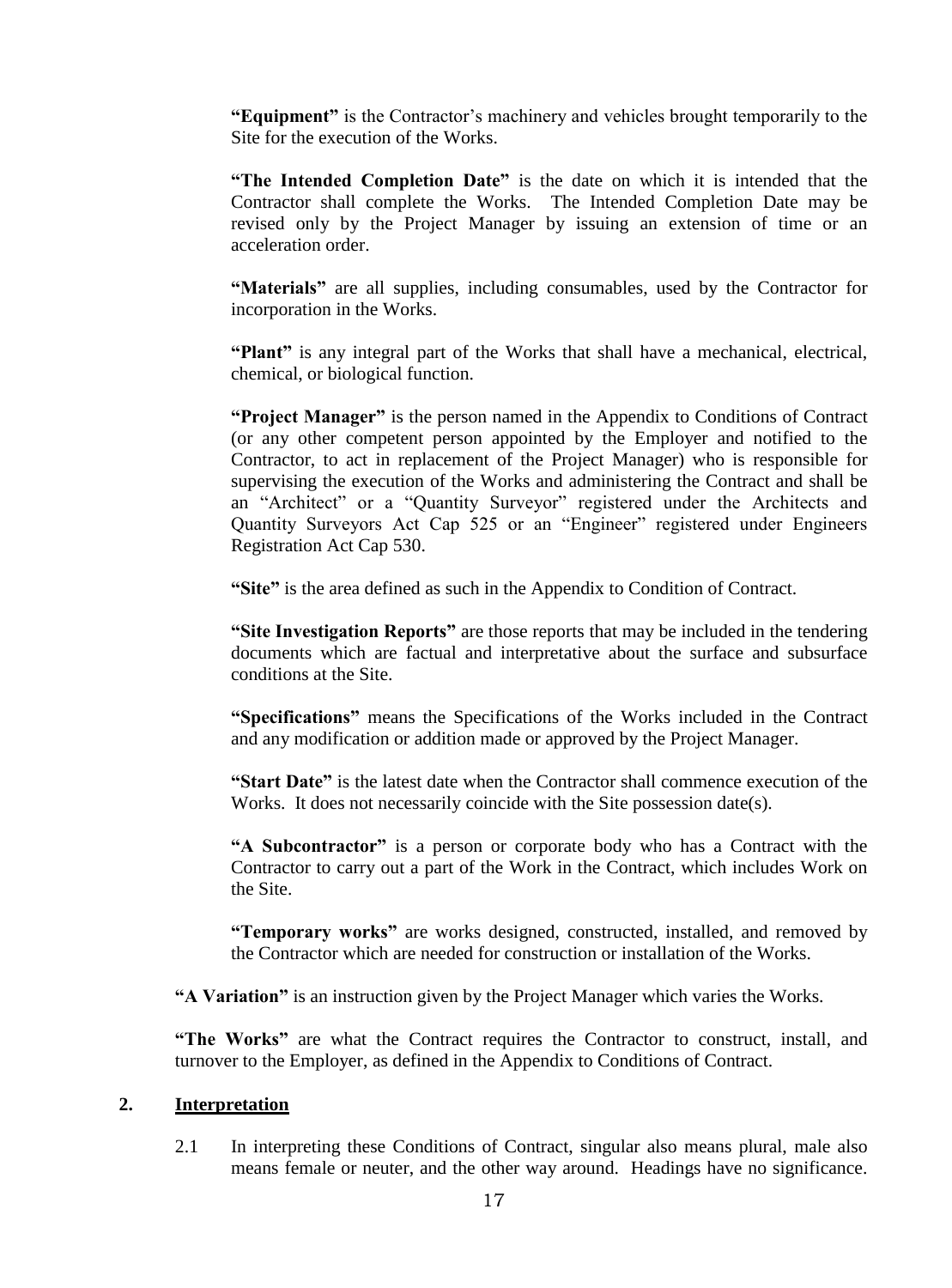**"Equipment"** is the Contractor's machinery and vehicles brought temporarily to the Site for the execution of the Works.

**"The Intended Completion Date"** is the date on which it is intended that the Contractor shall complete the Works. The Intended Completion Date may be revised only by the Project Manager by issuing an extension of time or an acceleration order.

**"Materials"** are all supplies, including consumables, used by the Contractor for incorporation in the Works.

**"Plant"** is any integral part of the Works that shall have a mechanical, electrical, chemical, or biological function.

**"Project Manager"** is the person named in the Appendix to Conditions of Contract (or any other competent person appointed by the Employer and notified to the Contractor, to act in replacement of the Project Manager) who is responsible for supervising the execution of the Works and administering the Contract and shall be an "Architect" or a "Quantity Surveyor" registered under the Architects and Quantity Surveyors Act Cap 525 or an "Engineer" registered under Engineers Registration Act Cap 530.

**"Site"** is the area defined as such in the Appendix to Condition of Contract.

**"Site Investigation Reports"** are those reports that may be included in the tendering documents which are factual and interpretative about the surface and subsurface conditions at the Site.

**"Specifications"** means the Specifications of the Works included in the Contract and any modification or addition made or approved by the Project Manager.

**"Start Date"** is the latest date when the Contractor shall commence execution of the Works. It does not necessarily coincide with the Site possession date(s).

**"A Subcontractor"** is a person or corporate body who has a Contract with the Contractor to carry out a part of the Work in the Contract, which includes Work on the Site.

**"Temporary works"** are works designed, constructed, installed, and removed by the Contractor which are needed for construction or installation of the Works.

**"A Variation"** is an instruction given by the Project Manager which varies the Works.

**"The Works"** are what the Contract requires the Contractor to construct, install, and turnover to the Employer, as defined in the Appendix to Conditions of Contract.

#### <span id="page-16-0"></span>**2. Interpretation**

2.1 In interpreting these Conditions of Contract, singular also means plural, male also means female or neuter, and the other way around. Headings have no significance.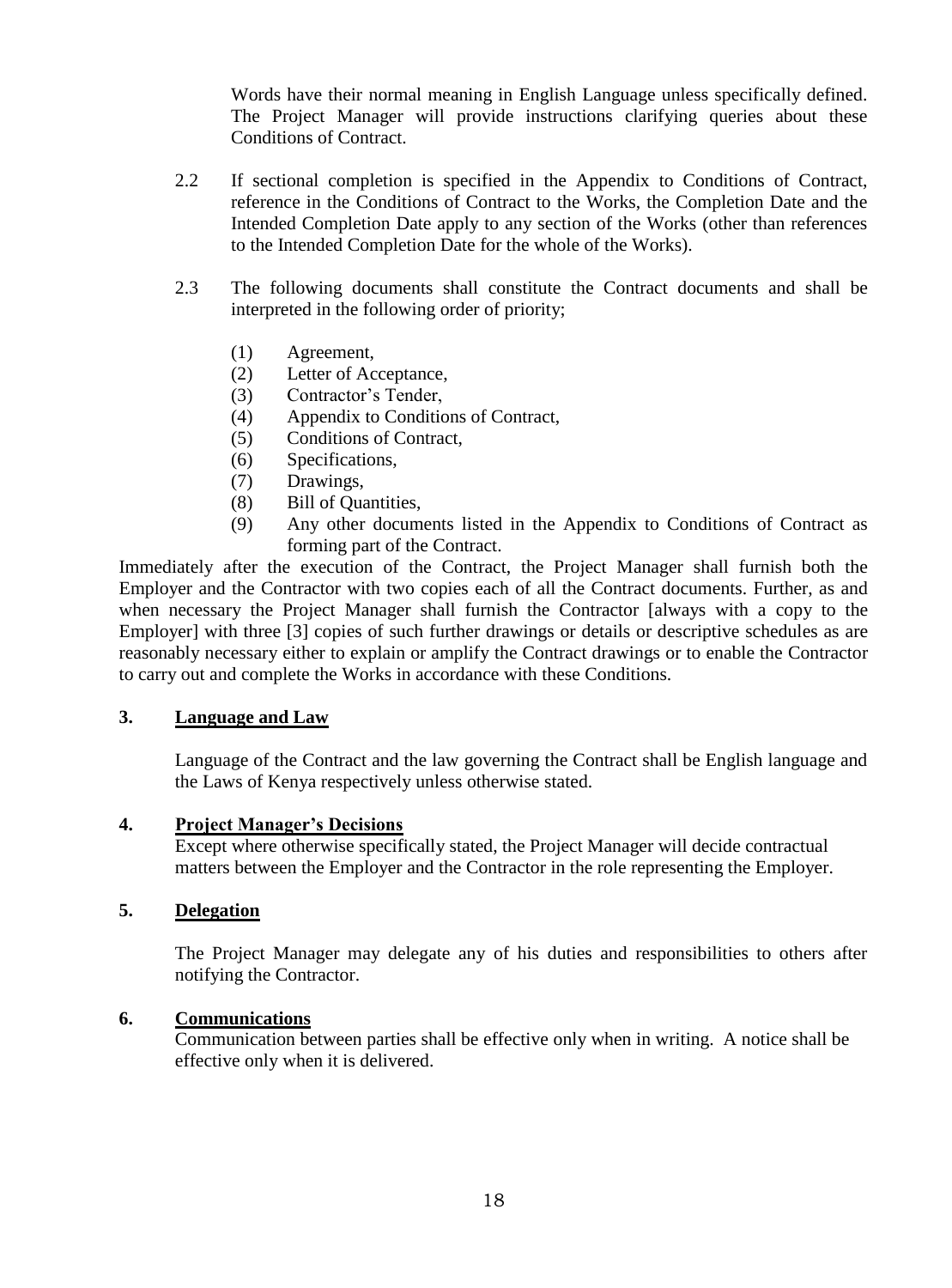Words have their normal meaning in English Language unless specifically defined. The Project Manager will provide instructions clarifying queries about these Conditions of Contract.

- 2.2 If sectional completion is specified in the Appendix to Conditions of Contract, reference in the Conditions of Contract to the Works, the Completion Date and the Intended Completion Date apply to any section of the Works (other than references to the Intended Completion Date for the whole of the Works).
- 2.3 The following documents shall constitute the Contract documents and shall be interpreted in the following order of priority;
	- (1) Agreement,
	- (2) Letter of Acceptance,
	- (3) Contractor's Tender,
	- (4) Appendix to Conditions of Contract,
	- (5) Conditions of Contract,
	- (6) Specifications,
	- (7) Drawings,
	- (8) Bill of Quantities,
	- (9) Any other documents listed in the Appendix to Conditions of Contract as forming part of the Contract.

Immediately after the execution of the Contract, the Project Manager shall furnish both the Employer and the Contractor with two copies each of all the Contract documents. Further, as and when necessary the Project Manager shall furnish the Contractor [always with a copy to the Employer] with three [3] copies of such further drawings or details or descriptive schedules as are reasonably necessary either to explain or amplify the Contract drawings or to enable the Contractor to carry out and complete the Works in accordance with these Conditions.

#### <span id="page-17-0"></span>**3. Language and Law**

Language of the Contract and the law governing the Contract shall be English language and the Laws of Kenya respectively unless otherwise stated.

#### <span id="page-17-1"></span>**4. Project Manager's Decisions**

Except where otherwise specifically stated, the Project Manager will decide contractual matters between the Employer and the Contractor in the role representing the Employer.

#### <span id="page-17-2"></span>**5. Delegation**

The Project Manager may delegate any of his duties and responsibilities to others after notifying the Contractor.

#### <span id="page-17-3"></span>**6. Communications**

Communication between parties shall be effective only when in writing. A notice shall be effective only when it is delivered.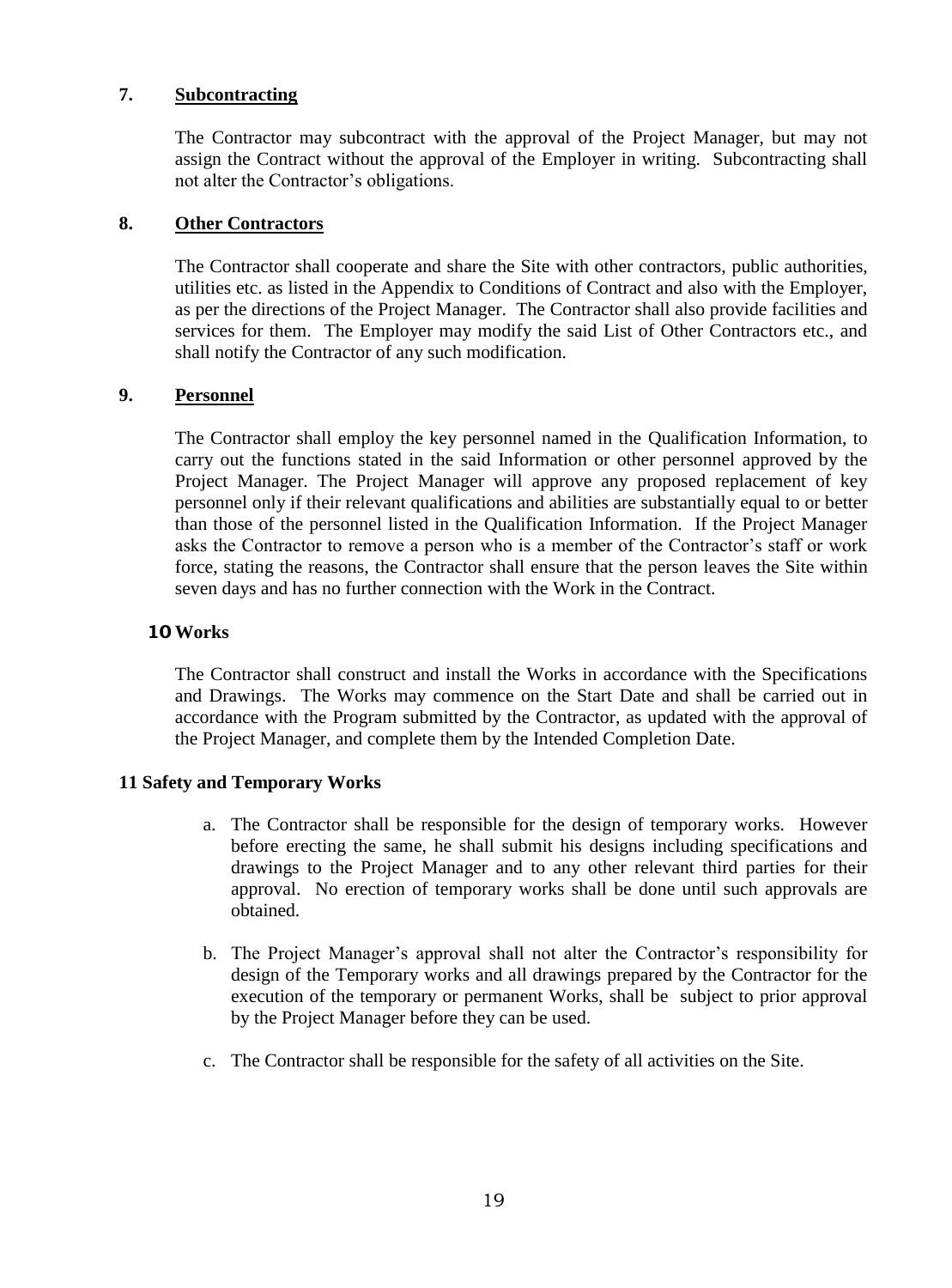#### <span id="page-18-0"></span>**7. Subcontracting**

The Contractor may subcontract with the approval of the Project Manager, but may not assign the Contract without the approval of the Employer in writing. Subcontracting shall not alter the Contractor's obligations.

#### <span id="page-18-1"></span>**8. Other Contractors**

The Contractor shall cooperate and share the Site with other contractors, public authorities, utilities etc. as listed in the Appendix to Conditions of Contract and also with the Employer, as per the directions of the Project Manager. The Contractor shall also provide facilities and services for them. The Employer may modify the said List of Other Contractors etc., and shall notify the Contractor of any such modification.

#### <span id="page-18-2"></span>**9. Personnel**

The Contractor shall employ the key personnel named in the Qualification Information, to carry out the functions stated in the said Information or other personnel approved by the Project Manager. The Project Manager will approve any proposed replacement of key personnel only if their relevant qualifications and abilities are substantially equal to or better than those of the personnel listed in the Qualification Information. If the Project Manager asks the Contractor to remove a person who is a member of the Contractor's staff or work force, stating the reasons, the Contractor shall ensure that the person leaves the Site within seven days and has no further connection with the Work in the Contract.

#### **10 Works**

The Contractor shall construct and install the Works in accordance with the Specifications and Drawings. The Works may commence on the Start Date and shall be carried out in accordance with the Program submitted by the Contractor, as updated with the approval of the Project Manager, and complete them by the Intended Completion Date.

#### <span id="page-18-3"></span>**11 Safety and Temporary Works**

- a. The Contractor shall be responsible for the design of temporary works. However before erecting the same, he shall submit his designs including specifications and drawings to the Project Manager and to any other relevant third parties for their approval. No erection of temporary works shall be done until such approvals are obtained.
- b. The Project Manager's approval shall not alter the Contractor's responsibility for design of the Temporary works and all drawings prepared by the Contractor for the execution of the temporary or permanent Works, shall be subject to prior approval by the Project Manager before they can be used.
- <span id="page-18-4"></span>c. The Contractor shall be responsible for the safety of all activities on the Site.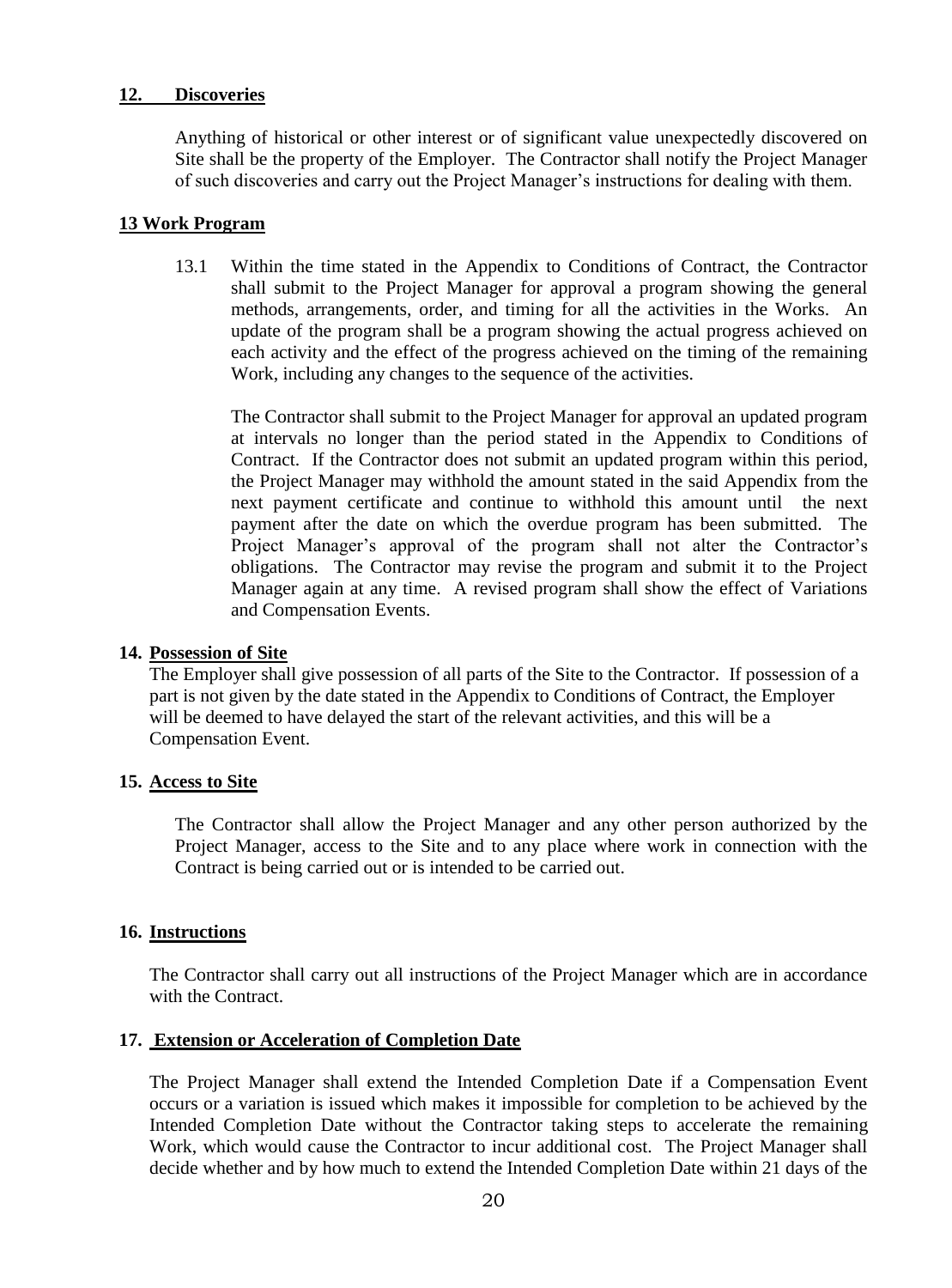#### **12. Discoveries**

Anything of historical or other interest or of significant value unexpectedly discovered on Site shall be the property of the Employer. The Contractor shall notify the Project Manager of such discoveries and carry out the Project Manager's instructions for dealing with them.

#### <span id="page-19-0"></span>**13 Work Program**

13.1 Within the time stated in the Appendix to Conditions of Contract, the Contractor shall submit to the Project Manager for approval a program showing the general methods, arrangements, order, and timing for all the activities in the Works. An update of the program shall be a program showing the actual progress achieved on each activity and the effect of the progress achieved on the timing of the remaining Work, including any changes to the sequence of the activities.

The Contractor shall submit to the Project Manager for approval an updated program at intervals no longer than the period stated in the Appendix to Conditions of Contract. If the Contractor does not submit an updated program within this period, the Project Manager may withhold the amount stated in the said Appendix from the next payment certificate and continue to withhold this amount until the next payment after the date on which the overdue program has been submitted. The Project Manager's approval of the program shall not alter the Contractor's obligations. The Contractor may revise the program and submit it to the Project Manager again at any time. A revised program shall show the effect of Variations and Compensation Events.

#### <span id="page-19-1"></span>**14. Possession of Site**

The Employer shall give possession of all parts of the Site to the Contractor. If possession of a part is not given by the date stated in the Appendix to Conditions of Contract, the Employer will be deemed to have delayed the start of the relevant activities, and this will be a Compensation Event.

#### <span id="page-19-2"></span>**15. Access to Site**

The Contractor shall allow the Project Manager and any other person authorized by the Project Manager, access to the Site and to any place where work in connection with the Contract is being carried out or is intended to be carried out.

#### <span id="page-19-3"></span>**16. Instructions**

The Contractor shall carry out all instructions of the Project Manager which are in accordance with the Contract.

#### <span id="page-19-4"></span>**17. Extension or Acceleration of Completion Date**

The Project Manager shall extend the Intended Completion Date if a Compensation Event occurs or a variation is issued which makes it impossible for completion to be achieved by the Intended Completion Date without the Contractor taking steps to accelerate the remaining Work, which would cause the Contractor to incur additional cost. The Project Manager shall decide whether and by how much to extend the Intended Completion Date within 21 days of the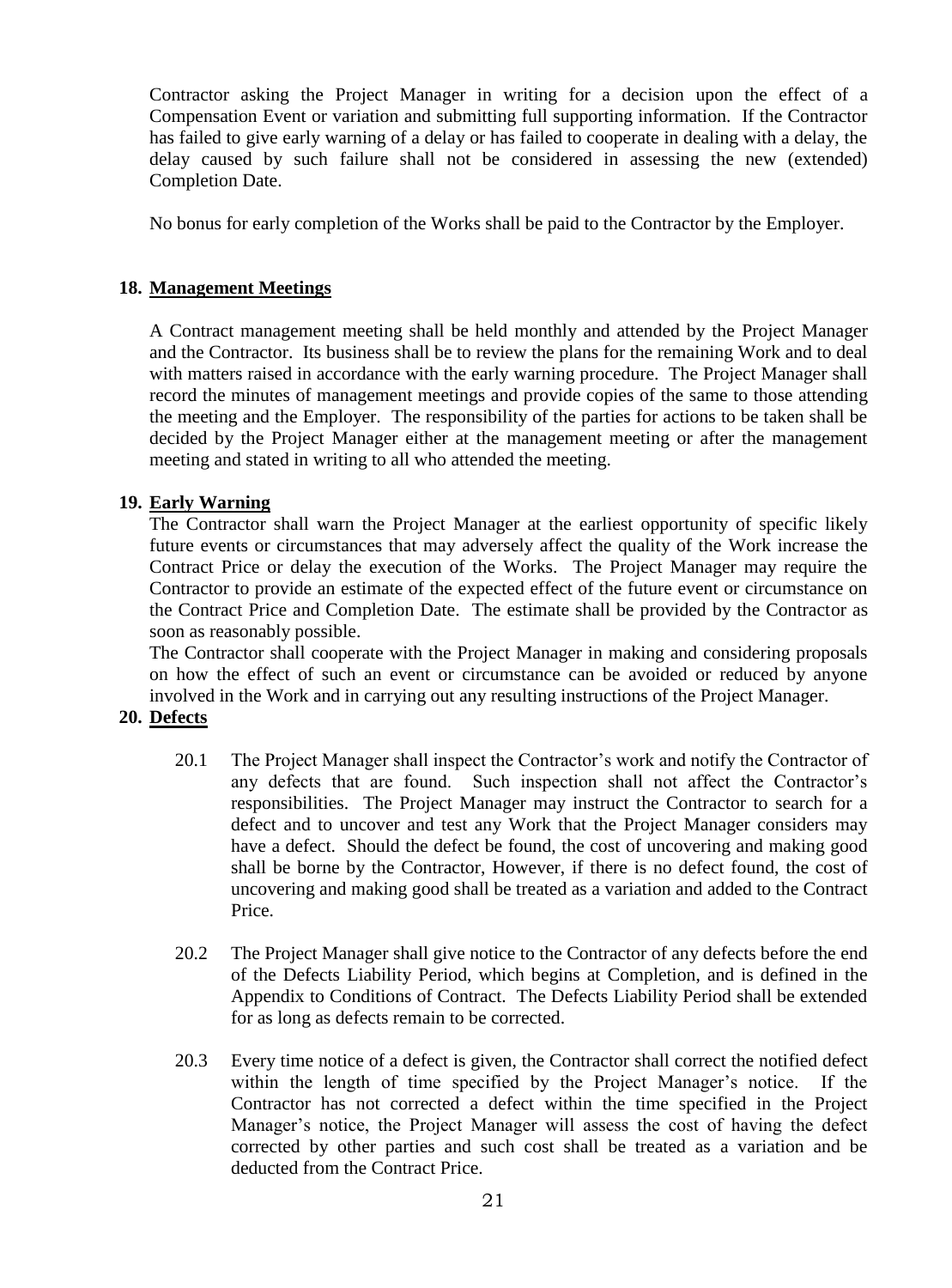Contractor asking the Project Manager in writing for a decision upon the effect of a Compensation Event or variation and submitting full supporting information. If the Contractor has failed to give early warning of a delay or has failed to cooperate in dealing with a delay, the delay caused by such failure shall not be considered in assessing the new (extended) Completion Date.

No bonus for early completion of the Works shall be paid to the Contractor by the Employer.

#### <span id="page-20-0"></span>**18. Management Meetings**

A Contract management meeting shall be held monthly and attended by the Project Manager and the Contractor. Its business shall be to review the plans for the remaining Work and to deal with matters raised in accordance with the early warning procedure. The Project Manager shall record the minutes of management meetings and provide copies of the same to those attending the meeting and the Employer. The responsibility of the parties for actions to be taken shall be decided by the Project Manager either at the management meeting or after the management meeting and stated in writing to all who attended the meeting.

#### <span id="page-20-1"></span>**19. Early Warning**

The Contractor shall warn the Project Manager at the earliest opportunity of specific likely future events or circumstances that may adversely affect the quality of the Work increase the Contract Price or delay the execution of the Works. The Project Manager may require the Contractor to provide an estimate of the expected effect of the future event or circumstance on the Contract Price and Completion Date. The estimate shall be provided by the Contractor as soon as reasonably possible.

The Contractor shall cooperate with the Project Manager in making and considering proposals on how the effect of such an event or circumstance can be avoided or reduced by anyone involved in the Work and in carrying out any resulting instructions of the Project Manager.

#### <span id="page-20-2"></span>**20. Defects**

- 20.1 The Project Manager shall inspect the Contractor's work and notify the Contractor of any defects that are found. Such inspection shall not affect the Contractor's responsibilities. The Project Manager may instruct the Contractor to search for a defect and to uncover and test any Work that the Project Manager considers may have a defect. Should the defect be found, the cost of uncovering and making good shall be borne by the Contractor, However, if there is no defect found, the cost of uncovering and making good shall be treated as a variation and added to the Contract Price.
- 20.2 The Project Manager shall give notice to the Contractor of any defects before the end of the Defects Liability Period, which begins at Completion, and is defined in the Appendix to Conditions of Contract. The Defects Liability Period shall be extended for as long as defects remain to be corrected.
- 20.3 Every time notice of a defect is given, the Contractor shall correct the notified defect within the length of time specified by the Project Manager's notice. If the Contractor has not corrected a defect within the time specified in the Project Manager's notice, the Project Manager will assess the cost of having the defect corrected by other parties and such cost shall be treated as a variation and be deducted from the Contract Price.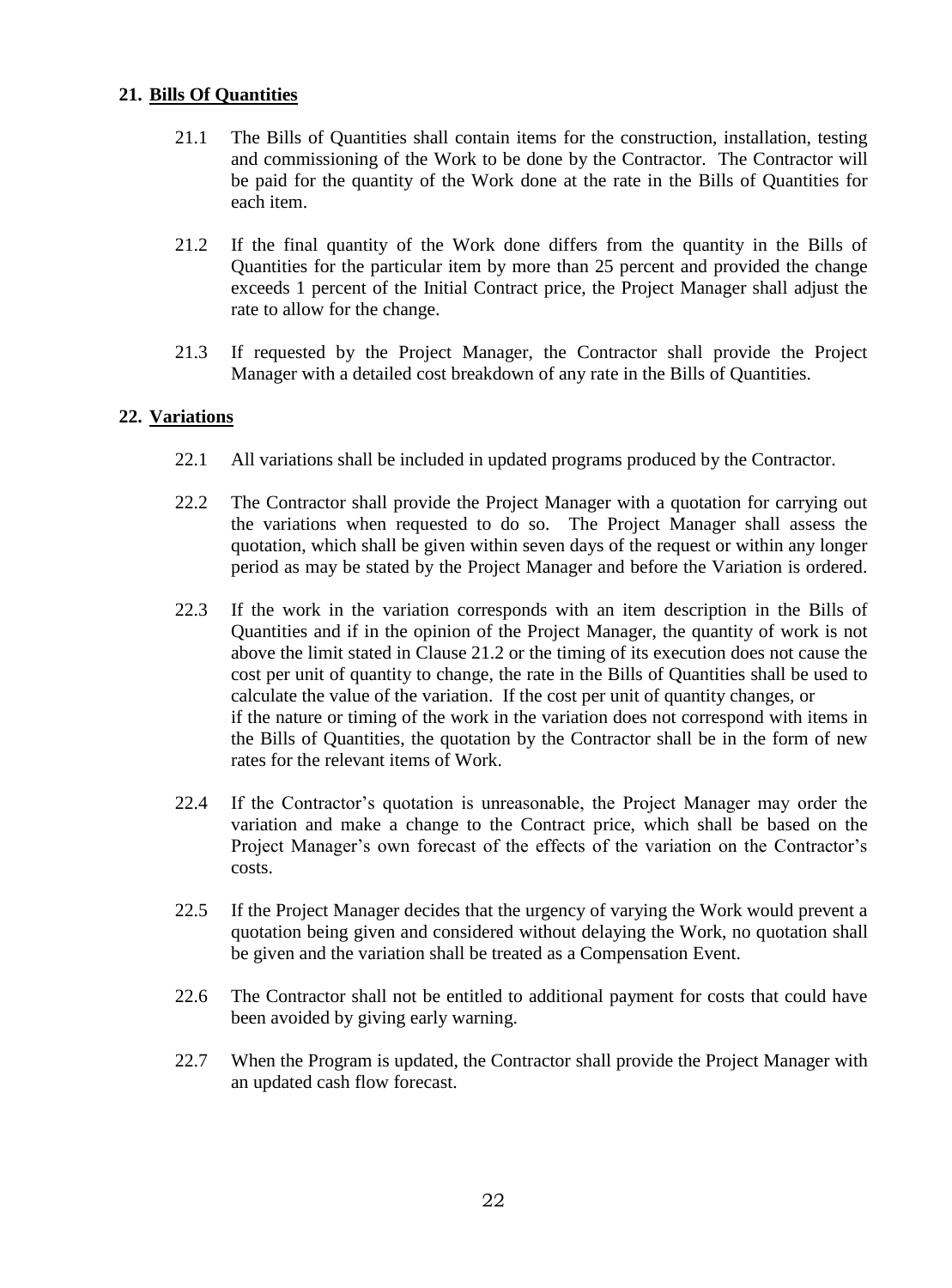#### <span id="page-21-0"></span>**21. Bills Of Quantities**

- 21.1 The Bills of Quantities shall contain items for the construction, installation, testing and commissioning of the Work to be done by the Contractor. The Contractor will be paid for the quantity of the Work done at the rate in the Bills of Quantities for each item.
- 21.2 If the final quantity of the Work done differs from the quantity in the Bills of Quantities for the particular item by more than 25 percent and provided the change exceeds 1 percent of the Initial Contract price, the Project Manager shall adjust the rate to allow for the change.
- 21.3 If requested by the Project Manager, the Contractor shall provide the Project Manager with a detailed cost breakdown of any rate in the Bills of Quantities.

#### <span id="page-21-1"></span>**22. Variations**

- 22.1 All variations shall be included in updated programs produced by the Contractor.
- 22.2 The Contractor shall provide the Project Manager with a quotation for carrying out the variations when requested to do so. The Project Manager shall assess the quotation, which shall be given within seven days of the request or within any longer period as may be stated by the Project Manager and before the Variation is ordered.
- 22.3 If the work in the variation corresponds with an item description in the Bills of Quantities and if in the opinion of the Project Manager, the quantity of work is not above the limit stated in Clause 21.2 or the timing of its execution does not cause the cost per unit of quantity to change, the rate in the Bills of Quantities shall be used to calculate the value of the variation. If the cost per unit of quantity changes, or if the nature or timing of the work in the variation does not correspond with items in the Bills of Quantities, the quotation by the Contractor shall be in the form of new rates for the relevant items of Work.
- 22.4 If the Contractor's quotation is unreasonable, the Project Manager may order the variation and make a change to the Contract price, which shall be based on the Project Manager's own forecast of the effects of the variation on the Contractor's costs.
- 22.5 If the Project Manager decides that the urgency of varying the Work would prevent a quotation being given and considered without delaying the Work, no quotation shall be given and the variation shall be treated as a Compensation Event.
- 22.6 The Contractor shall not be entitled to additional payment for costs that could have been avoided by giving early warning.
- 22.7 When the Program is updated, the Contractor shall provide the Project Manager with an updated cash flow forecast.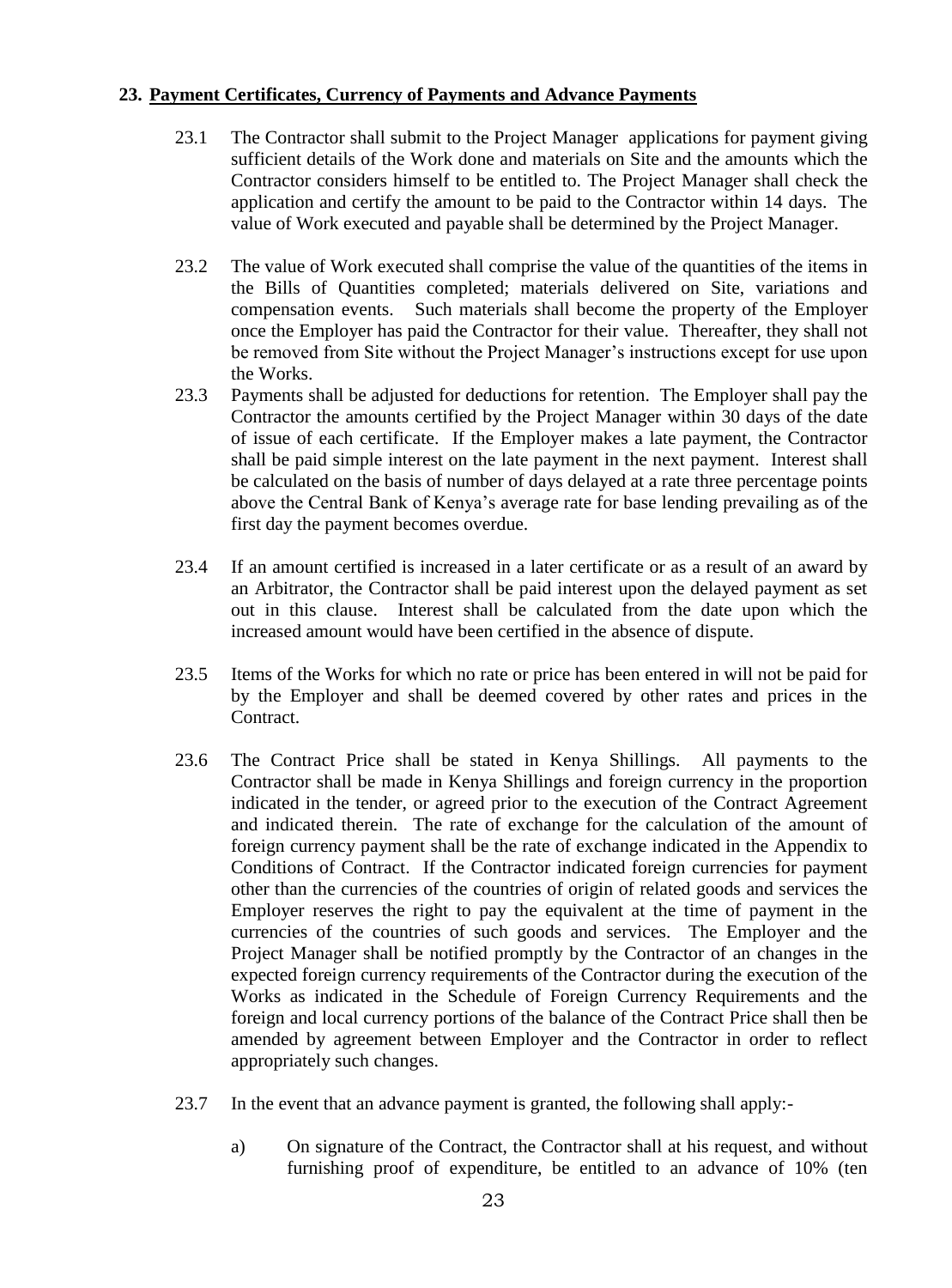#### <span id="page-22-0"></span>**23. Payment Certificates, Currency of Payments and Advance Payments**

- 23.1 The Contractor shall submit to the Project Manager applications for payment giving sufficient details of the Work done and materials on Site and the amounts which the Contractor considers himself to be entitled to. The Project Manager shall check the application and certify the amount to be paid to the Contractor within 14 days. The value of Work executed and payable shall be determined by the Project Manager.
- 23.2 The value of Work executed shall comprise the value of the quantities of the items in the Bills of Quantities completed; materials delivered on Site, variations and compensation events. Such materials shall become the property of the Employer once the Employer has paid the Contractor for their value. Thereafter, they shall not be removed from Site without the Project Manager's instructions except for use upon the Works.
- 23.3 Payments shall be adjusted for deductions for retention. The Employer shall pay the Contractor the amounts certified by the Project Manager within 30 days of the date of issue of each certificate. If the Employer makes a late payment, the Contractor shall be paid simple interest on the late payment in the next payment. Interest shall be calculated on the basis of number of days delayed at a rate three percentage points above the Central Bank of Kenya's average rate for base lending prevailing as of the first day the payment becomes overdue.
- 23.4 If an amount certified is increased in a later certificate or as a result of an award by an Arbitrator, the Contractor shall be paid interest upon the delayed payment as set out in this clause. Interest shall be calculated from the date upon which the increased amount would have been certified in the absence of dispute.
- 23.5 Items of the Works for which no rate or price has been entered in will not be paid for by the Employer and shall be deemed covered by other rates and prices in the Contract.
- 23.6 The Contract Price shall be stated in Kenya Shillings. All payments to the Contractor shall be made in Kenya Shillings and foreign currency in the proportion indicated in the tender, or agreed prior to the execution of the Contract Agreement and indicated therein. The rate of exchange for the calculation of the amount of foreign currency payment shall be the rate of exchange indicated in the Appendix to Conditions of Contract. If the Contractor indicated foreign currencies for payment other than the currencies of the countries of origin of related goods and services the Employer reserves the right to pay the equivalent at the time of payment in the currencies of the countries of such goods and services. The Employer and the Project Manager shall be notified promptly by the Contractor of an changes in the expected foreign currency requirements of the Contractor during the execution of the Works as indicated in the Schedule of Foreign Currency Requirements and the foreign and local currency portions of the balance of the Contract Price shall then be amended by agreement between Employer and the Contractor in order to reflect appropriately such changes.
- 23.7 In the event that an advance payment is granted, the following shall apply:
	- a) On signature of the Contract, the Contractor shall at his request, and without furnishing proof of expenditure, be entitled to an advance of 10% (ten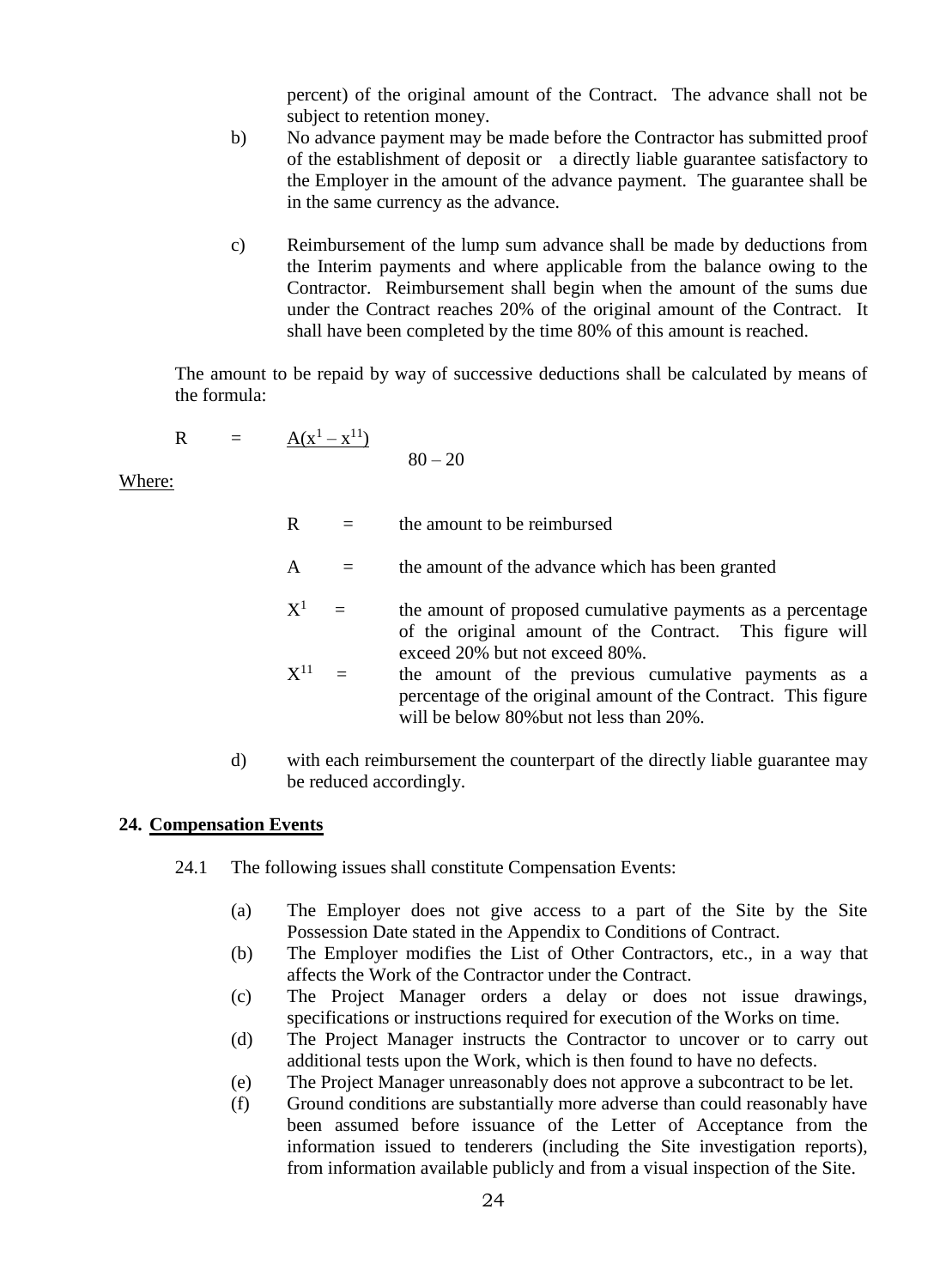percent) of the original amount of the Contract. The advance shall not be subject to retention money.

- b) No advance payment may be made before the Contractor has submitted proof of the establishment of deposit or a directly liable guarantee satisfactory to the Employer in the amount of the advance payment. The guarantee shall be in the same currency as the advance.
- c) Reimbursement of the lump sum advance shall be made by deductions from the Interim payments and where applicable from the balance owing to the Contractor. Reimbursement shall begin when the amount of the sums due under the Contract reaches 20% of the original amount of the Contract. It shall have been completed by the time 80% of this amount is reached.

The amount to be repaid by way of successive deductions shall be calculated by means of the formula:

$$
R = \frac{A(x^1 - x^{11})}{80 - 20}
$$

Where:

 $R =$  the amount to be reimbursed

- $A =$  the amount of the advance which has been granted
- $\mathrm{X}^1$  = the amount of proposed cumulative payments as a percentage of the original amount of the Contract. This figure will exceed 20% but not exceed 80%.
- $\mathrm{X}^{11}$  = the amount of the previous cumulative payments as a percentage of the original amount of the Contract. This figure will be below 80% but not less than 20%.
- d) with each reimbursement the counterpart of the directly liable guarantee may be reduced accordingly.

#### <span id="page-23-0"></span>**24. Compensation Events**

- 24.1 The following issues shall constitute Compensation Events:
	- (a) The Employer does not give access to a part of the Site by the Site Possession Date stated in the Appendix to Conditions of Contract.
	- (b) The Employer modifies the List of Other Contractors, etc., in a way that affects the Work of the Contractor under the Contract.
	- (c) The Project Manager orders a delay or does not issue drawings, specifications or instructions required for execution of the Works on time.
	- (d) The Project Manager instructs the Contractor to uncover or to carry out additional tests upon the Work, which is then found to have no defects.
	- (e) The Project Manager unreasonably does not approve a subcontract to be let.
	- (f) Ground conditions are substantially more adverse than could reasonably have been assumed before issuance of the Letter of Acceptance from the information issued to tenderers (including the Site investigation reports), from information available publicly and from a visual inspection of the Site.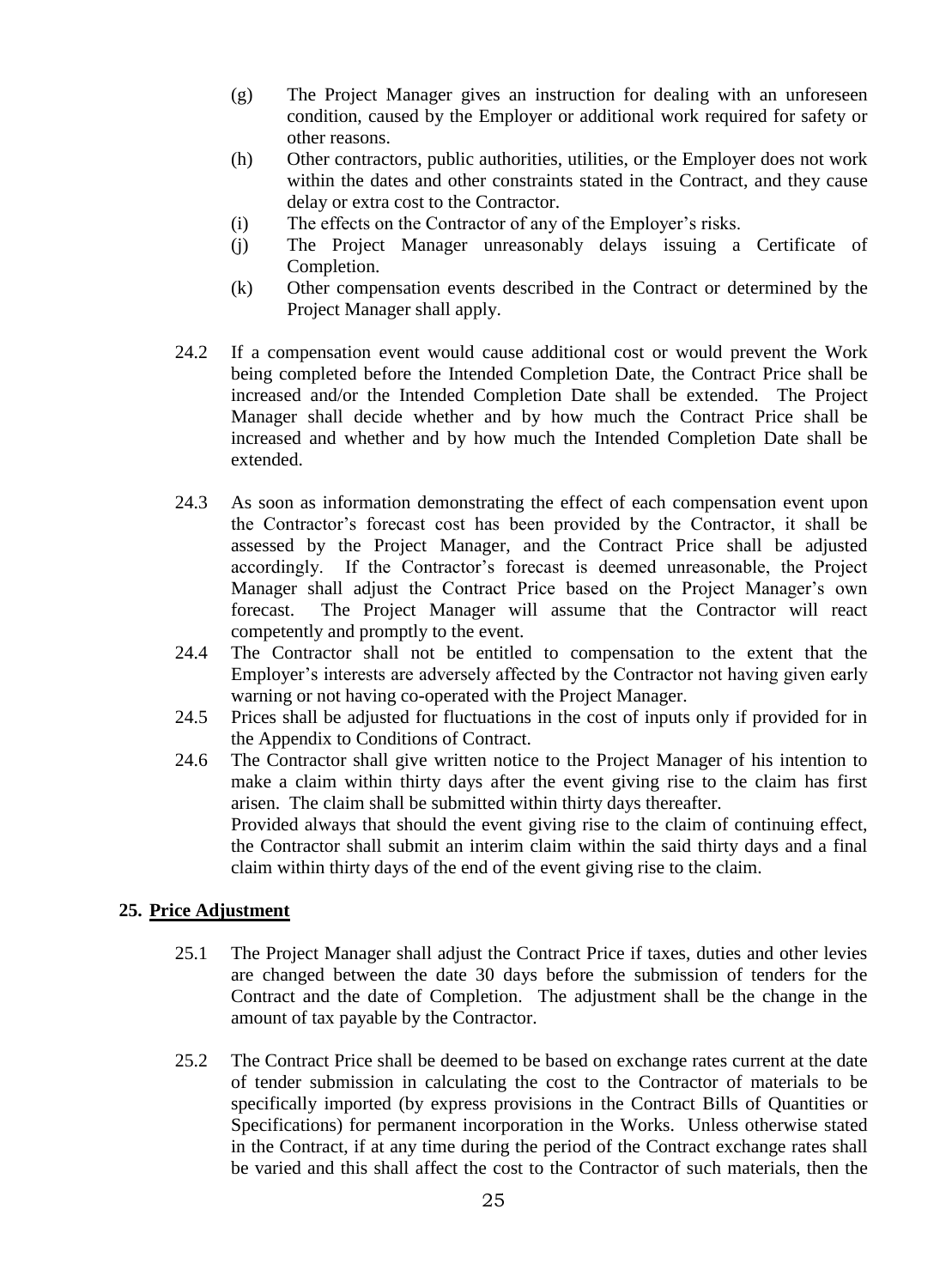- (g) The Project Manager gives an instruction for dealing with an unforeseen condition, caused by the Employer or additional work required for safety or other reasons.
- (h) Other contractors, public authorities, utilities, or the Employer does not work within the dates and other constraints stated in the Contract, and they cause delay or extra cost to the Contractor.
- (i) The effects on the Contractor of any of the Employer's risks.
- (j) The Project Manager unreasonably delays issuing a Certificate of Completion.
- (k) Other compensation events described in the Contract or determined by the Project Manager shall apply.
- 24.2 If a compensation event would cause additional cost or would prevent the Work being completed before the Intended Completion Date, the Contract Price shall be increased and/or the Intended Completion Date shall be extended. The Project Manager shall decide whether and by how much the Contract Price shall be increased and whether and by how much the Intended Completion Date shall be extended.
- 24.3 As soon as information demonstrating the effect of each compensation event upon the Contractor's forecast cost has been provided by the Contractor, it shall be assessed by the Project Manager, and the Contract Price shall be adjusted accordingly. If the Contractor's forecast is deemed unreasonable, the Project Manager shall adjust the Contract Price based on the Project Manager's own forecast. The Project Manager will assume that the Contractor will react competently and promptly to the event.
- 24.4 The Contractor shall not be entitled to compensation to the extent that the Employer's interests are adversely affected by the Contractor not having given early warning or not having co-operated with the Project Manager.
- 24.5 Prices shall be adjusted for fluctuations in the cost of inputs only if provided for in the Appendix to Conditions of Contract.
- 24.6 The Contractor shall give written notice to the Project Manager of his intention to make a claim within thirty days after the event giving rise to the claim has first arisen. The claim shall be submitted within thirty days thereafter. Provided always that should the event giving rise to the claim of continuing effect, the Contractor shall submit an interim claim within the said thirty days and a final claim within thirty days of the end of the event giving rise to the claim.

#### <span id="page-24-0"></span>**25. Price Adjustment**

- 25.1 The Project Manager shall adjust the Contract Price if taxes, duties and other levies are changed between the date 30 days before the submission of tenders for the Contract and the date of Completion. The adjustment shall be the change in the amount of tax payable by the Contractor.
- 25.2 The Contract Price shall be deemed to be based on exchange rates current at the date of tender submission in calculating the cost to the Contractor of materials to be specifically imported (by express provisions in the Contract Bills of Quantities or Specifications) for permanent incorporation in the Works. Unless otherwise stated in the Contract, if at any time during the period of the Contract exchange rates shall be varied and this shall affect the cost to the Contractor of such materials, then the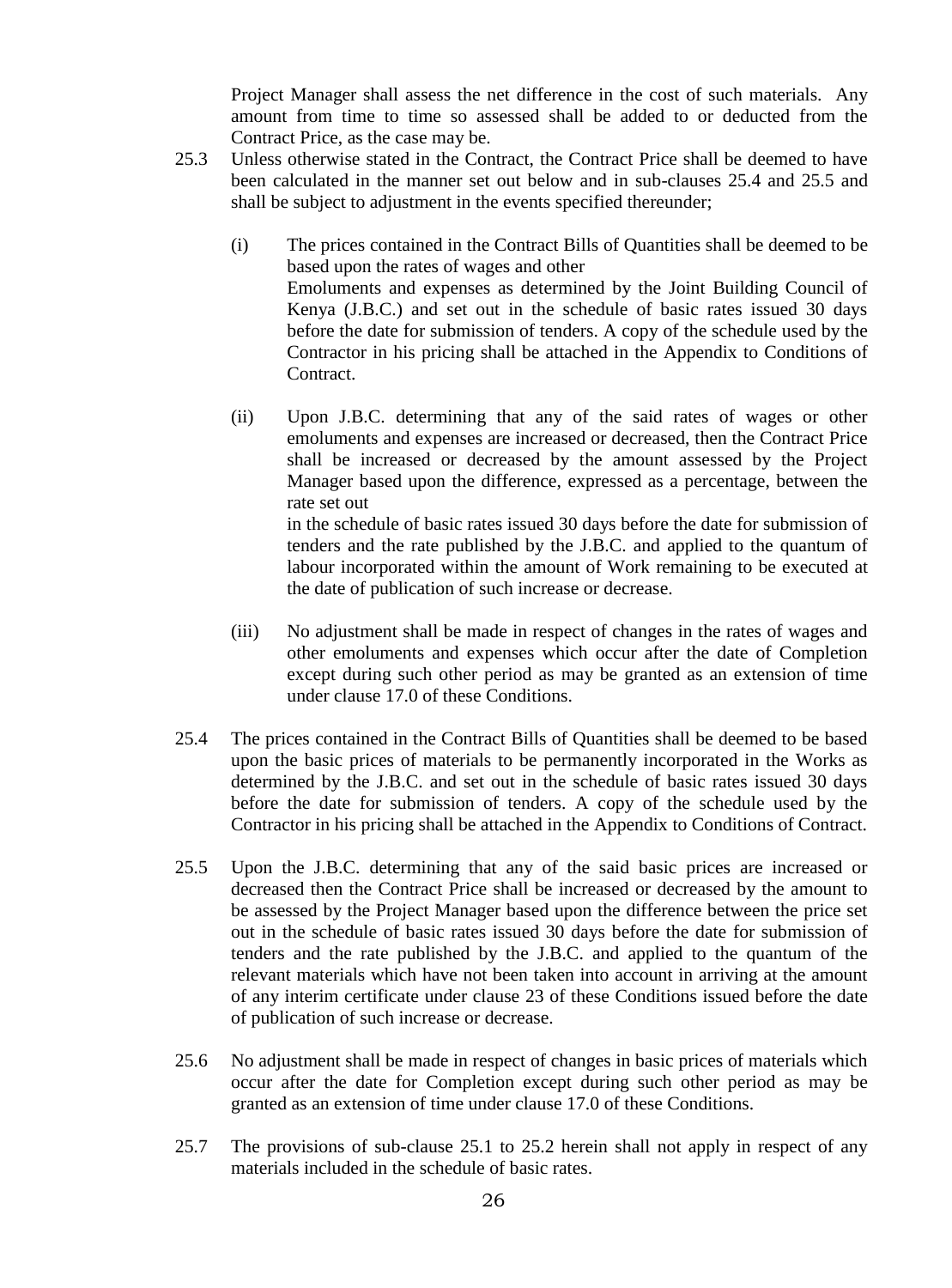Project Manager shall assess the net difference in the cost of such materials. Any amount from time to time so assessed shall be added to or deducted from the Contract Price, as the case may be.

- 25.3 Unless otherwise stated in the Contract, the Contract Price shall be deemed to have been calculated in the manner set out below and in sub-clauses 25.4 and 25.5 and shall be subject to adjustment in the events specified thereunder;
	- (i) The prices contained in the Contract Bills of Quantities shall be deemed to be based upon the rates of wages and other Emoluments and expenses as determined by the Joint Building Council of Kenya (J.B.C.) and set out in the schedule of basic rates issued 30 days before the date for submission of tenders. A copy of the schedule used by the Contractor in his pricing shall be attached in the Appendix to Conditions of Contract.
	- (ii) Upon J.B.C. determining that any of the said rates of wages or other emoluments and expenses are increased or decreased, then the Contract Price shall be increased or decreased by the amount assessed by the Project Manager based upon the difference, expressed as a percentage, between the rate set out in the schedule of basic rates issued 30 days before the date for submission of

tenders and the rate published by the J.B.C. and applied to the quantum of labour incorporated within the amount of Work remaining to be executed at the date of publication of such increase or decrease.

- (iii) No adjustment shall be made in respect of changes in the rates of wages and other emoluments and expenses which occur after the date of Completion except during such other period as may be granted as an extension of time under clause 17.0 of these Conditions.
- 25.4 The prices contained in the Contract Bills of Quantities shall be deemed to be based upon the basic prices of materials to be permanently incorporated in the Works as determined by the J.B.C. and set out in the schedule of basic rates issued 30 days before the date for submission of tenders. A copy of the schedule used by the Contractor in his pricing shall be attached in the Appendix to Conditions of Contract.
- 25.5 Upon the J.B.C. determining that any of the said basic prices are increased or decreased then the Contract Price shall be increased or decreased by the amount to be assessed by the Project Manager based upon the difference between the price set out in the schedule of basic rates issued 30 days before the date for submission of tenders and the rate published by the J.B.C. and applied to the quantum of the relevant materials which have not been taken into account in arriving at the amount of any interim certificate under clause 23 of these Conditions issued before the date of publication of such increase or decrease.
- 25.6 No adjustment shall be made in respect of changes in basic prices of materials which occur after the date for Completion except during such other period as may be granted as an extension of time under clause 17.0 of these Conditions.
- 25.7 The provisions of sub-clause 25.1 to 25.2 herein shall not apply in respect of any materials included in the schedule of basic rates.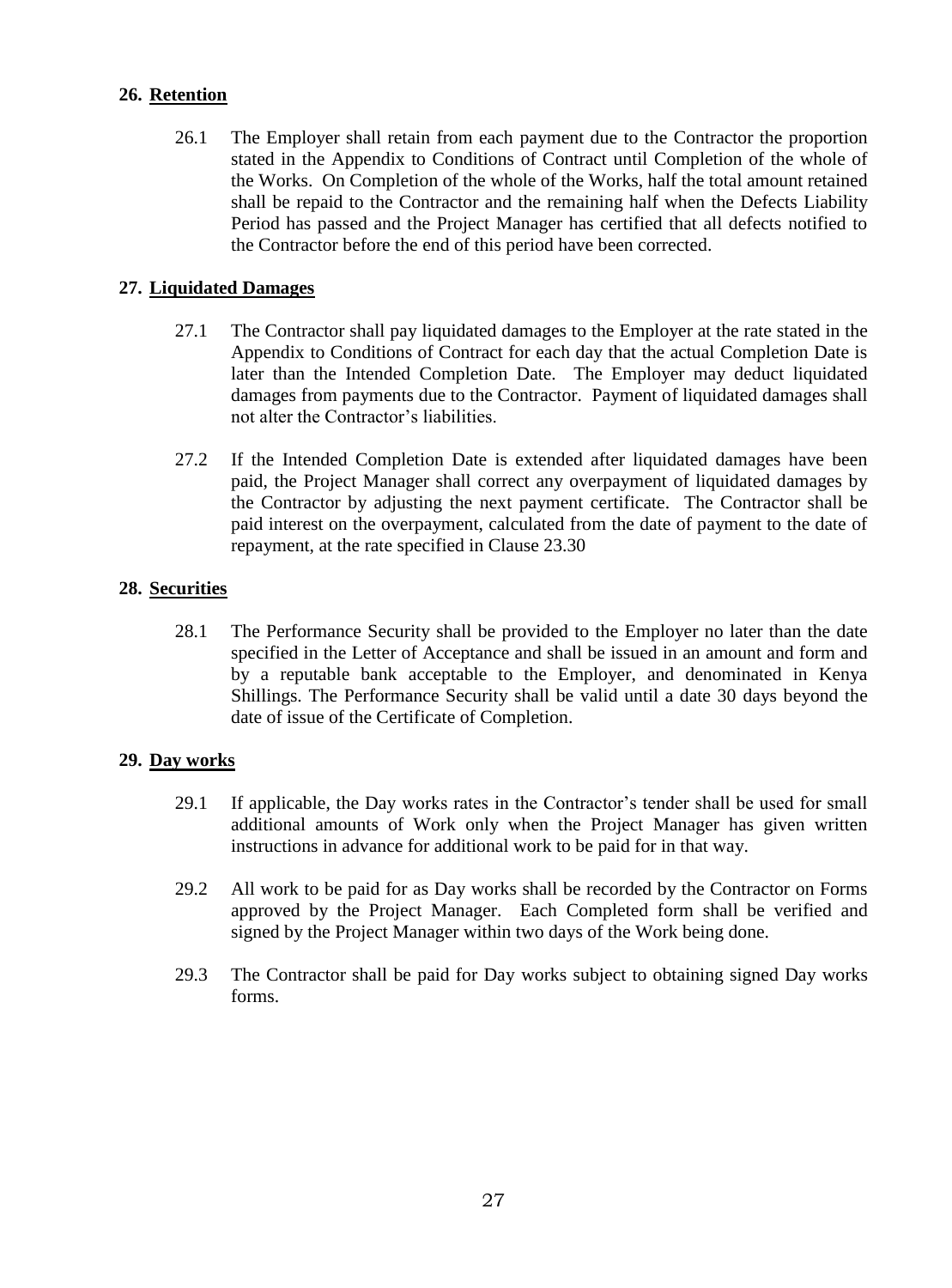#### <span id="page-26-0"></span>**26. Retention**

26.1 The Employer shall retain from each payment due to the Contractor the proportion stated in the Appendix to Conditions of Contract until Completion of the whole of the Works. On Completion of the whole of the Works, half the total amount retained shall be repaid to the Contractor and the remaining half when the Defects Liability Period has passed and the Project Manager has certified that all defects notified to the Contractor before the end of this period have been corrected.

#### <span id="page-26-1"></span>**27. Liquidated Damages**

- 27.1 The Contractor shall pay liquidated damages to the Employer at the rate stated in the Appendix to Conditions of Contract for each day that the actual Completion Date is later than the Intended Completion Date. The Employer may deduct liquidated damages from payments due to the Contractor. Payment of liquidated damages shall not alter the Contractor's liabilities.
- 27.2 If the Intended Completion Date is extended after liquidated damages have been paid, the Project Manager shall correct any overpayment of liquidated damages by the Contractor by adjusting the next payment certificate. The Contractor shall be paid interest on the overpayment, calculated from the date of payment to the date of repayment, at the rate specified in Clause 23.30

#### <span id="page-26-2"></span>**28. Securities**

28.1 The Performance Security shall be provided to the Employer no later than the date specified in the Letter of Acceptance and shall be issued in an amount and form and by a reputable bank acceptable to the Employer, and denominated in Kenya Shillings. The Performance Security shall be valid until a date 30 days beyond the date of issue of the Certificate of Completion.

#### <span id="page-26-3"></span>**29. Day works**

- 29.1 If applicable, the Day works rates in the Contractor's tender shall be used for small additional amounts of Work only when the Project Manager has given written instructions in advance for additional work to be paid for in that way.
- 29.2 All work to be paid for as Day works shall be recorded by the Contractor on Forms approved by the Project Manager. Each Completed form shall be verified and signed by the Project Manager within two days of the Work being done.
- 29.3 The Contractor shall be paid for Day works subject to obtaining signed Day works forms.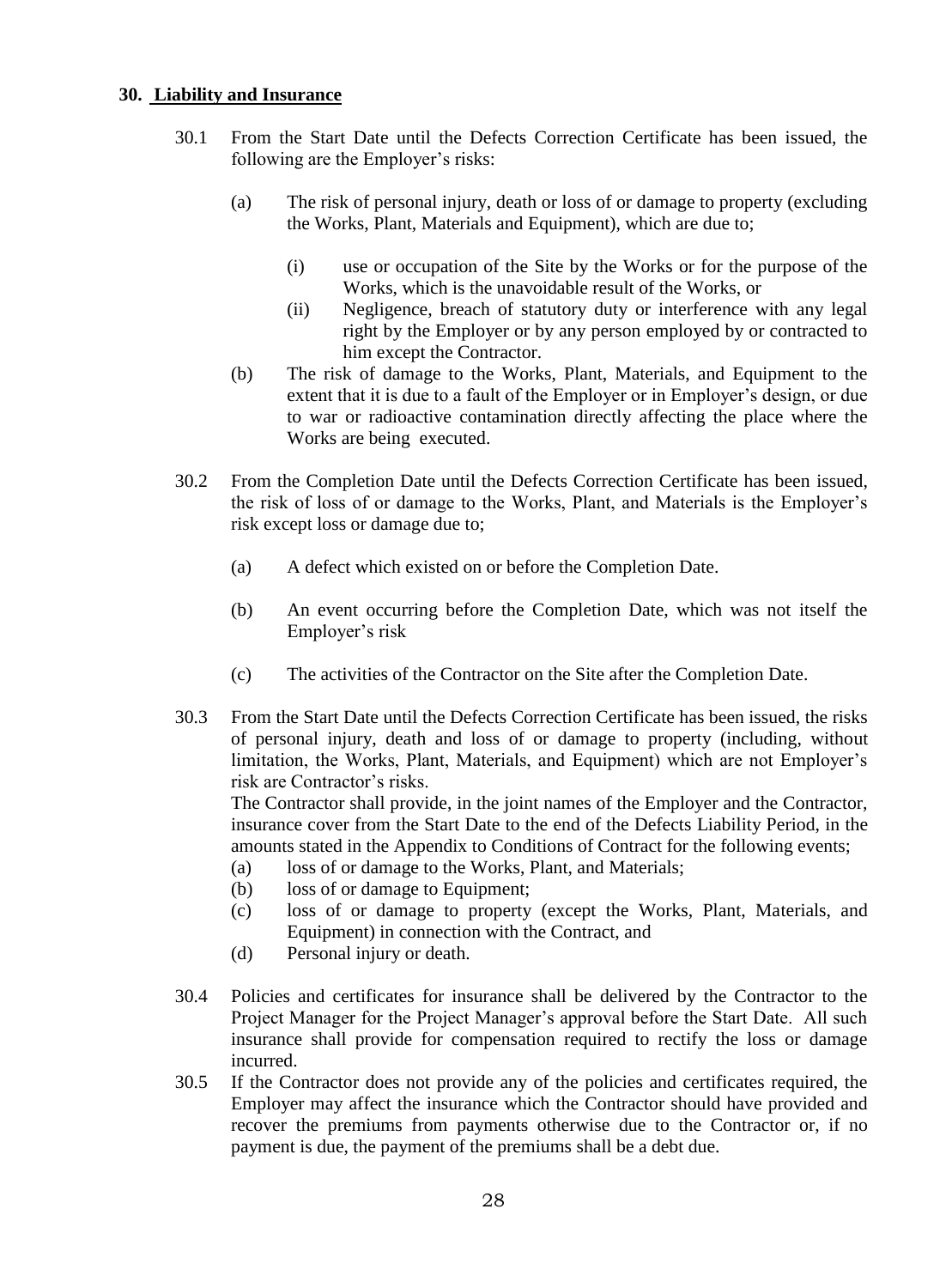#### <span id="page-27-0"></span>**30. Liability and Insurance**

- 30.1 From the Start Date until the Defects Correction Certificate has been issued, the following are the Employer's risks:
	- (a) The risk of personal injury, death or loss of or damage to property (excluding the Works, Plant, Materials and Equipment), which are due to;
		- (i) use or occupation of the Site by the Works or for the purpose of the Works, which is the unavoidable result of the Works, or
		- (ii) Negligence, breach of statutory duty or interference with any legal right by the Employer or by any person employed by or contracted to him except the Contractor.
	- (b) The risk of damage to the Works, Plant, Materials, and Equipment to the extent that it is due to a fault of the Employer or in Employer's design, or due to war or radioactive contamination directly affecting the place where the Works are being executed.
- 30.2 From the Completion Date until the Defects Correction Certificate has been issued, the risk of loss of or damage to the Works, Plant, and Materials is the Employer's risk except loss or damage due to;
	- (a) A defect which existed on or before the Completion Date.
	- (b) An event occurring before the Completion Date, which was not itself the Employer's risk
	- (c) The activities of the Contractor on the Site after the Completion Date.
- 30.3 From the Start Date until the Defects Correction Certificate has been issued, the risks of personal injury, death and loss of or damage to property (including, without limitation, the Works, Plant, Materials, and Equipment) which are not Employer's risk are Contractor's risks.

The Contractor shall provide, in the joint names of the Employer and the Contractor, insurance cover from the Start Date to the end of the Defects Liability Period, in the amounts stated in the Appendix to Conditions of Contract for the following events;

- (a) loss of or damage to the Works, Plant, and Materials;
- (b) loss of or damage to Equipment;
- (c) loss of or damage to property (except the Works, Plant, Materials, and Equipment) in connection with the Contract, and
- (d) Personal injury or death.
- 30.4 Policies and certificates for insurance shall be delivered by the Contractor to the Project Manager for the Project Manager's approval before the Start Date. All such insurance shall provide for compensation required to rectify the loss or damage incurred.
- 30.5 If the Contractor does not provide any of the policies and certificates required, the Employer may affect the insurance which the Contractor should have provided and recover the premiums from payments otherwise due to the Contractor or, if no payment is due, the payment of the premiums shall be a debt due.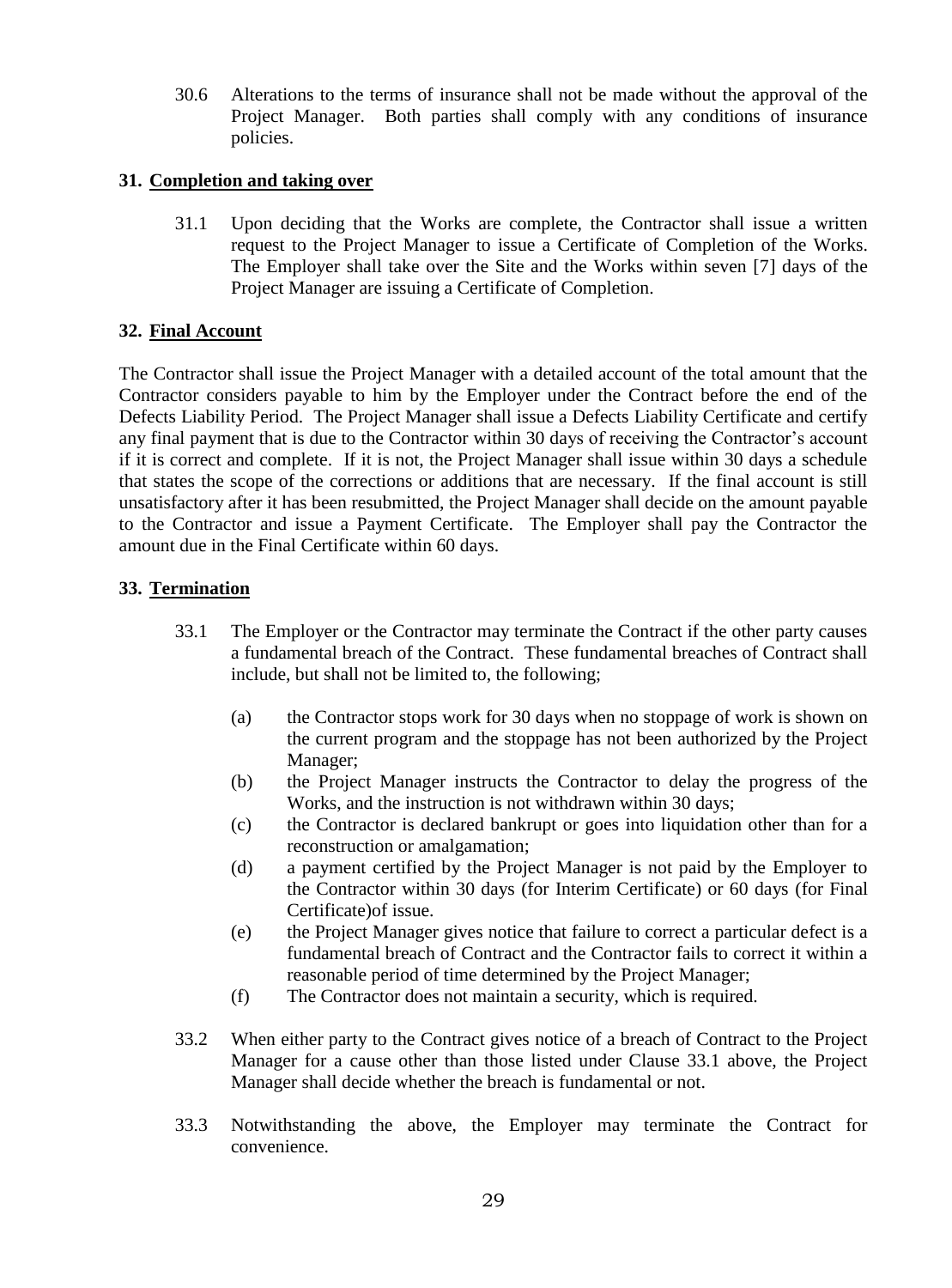30.6 Alterations to the terms of insurance shall not be made without the approval of the Project Manager. Both parties shall comply with any conditions of insurance policies.

#### <span id="page-28-0"></span>**31. Completion and taking over**

31.1 Upon deciding that the Works are complete, the Contractor shall issue a written request to the Project Manager to issue a Certificate of Completion of the Works. The Employer shall take over the Site and the Works within seven [7] days of the Project Manager are issuing a Certificate of Completion.

#### <span id="page-28-1"></span>**32. Final Account**

The Contractor shall issue the Project Manager with a detailed account of the total amount that the Contractor considers payable to him by the Employer under the Contract before the end of the Defects Liability Period. The Project Manager shall issue a Defects Liability Certificate and certify any final payment that is due to the Contractor within 30 days of receiving the Contractor's account if it is correct and complete. If it is not, the Project Manager shall issue within 30 days a schedule that states the scope of the corrections or additions that are necessary. If the final account is still unsatisfactory after it has been resubmitted, the Project Manager shall decide on the amount payable to the Contractor and issue a Payment Certificate. The Employer shall pay the Contractor the amount due in the Final Certificate within 60 days.

#### <span id="page-28-2"></span>**33. Termination**

- 33.1 The Employer or the Contractor may terminate the Contract if the other party causes a fundamental breach of the Contract. These fundamental breaches of Contract shall include, but shall not be limited to, the following;
	- (a) the Contractor stops work for 30 days when no stoppage of work is shown on the current program and the stoppage has not been authorized by the Project Manager;
	- (b) the Project Manager instructs the Contractor to delay the progress of the Works, and the instruction is not withdrawn within 30 days;
	- (c) the Contractor is declared bankrupt or goes into liquidation other than for a reconstruction or amalgamation;
	- (d) a payment certified by the Project Manager is not paid by the Employer to the Contractor within 30 days (for Interim Certificate) or 60 days (for Final Certificate)of issue.
	- (e) the Project Manager gives notice that failure to correct a particular defect is a fundamental breach of Contract and the Contractor fails to correct it within a reasonable period of time determined by the Project Manager;
	- (f) The Contractor does not maintain a security, which is required.
- 33.2 When either party to the Contract gives notice of a breach of Contract to the Project Manager for a cause other than those listed under Clause 33.1 above, the Project Manager shall decide whether the breach is fundamental or not.
- 33.3 Notwithstanding the above, the Employer may terminate the Contract for convenience.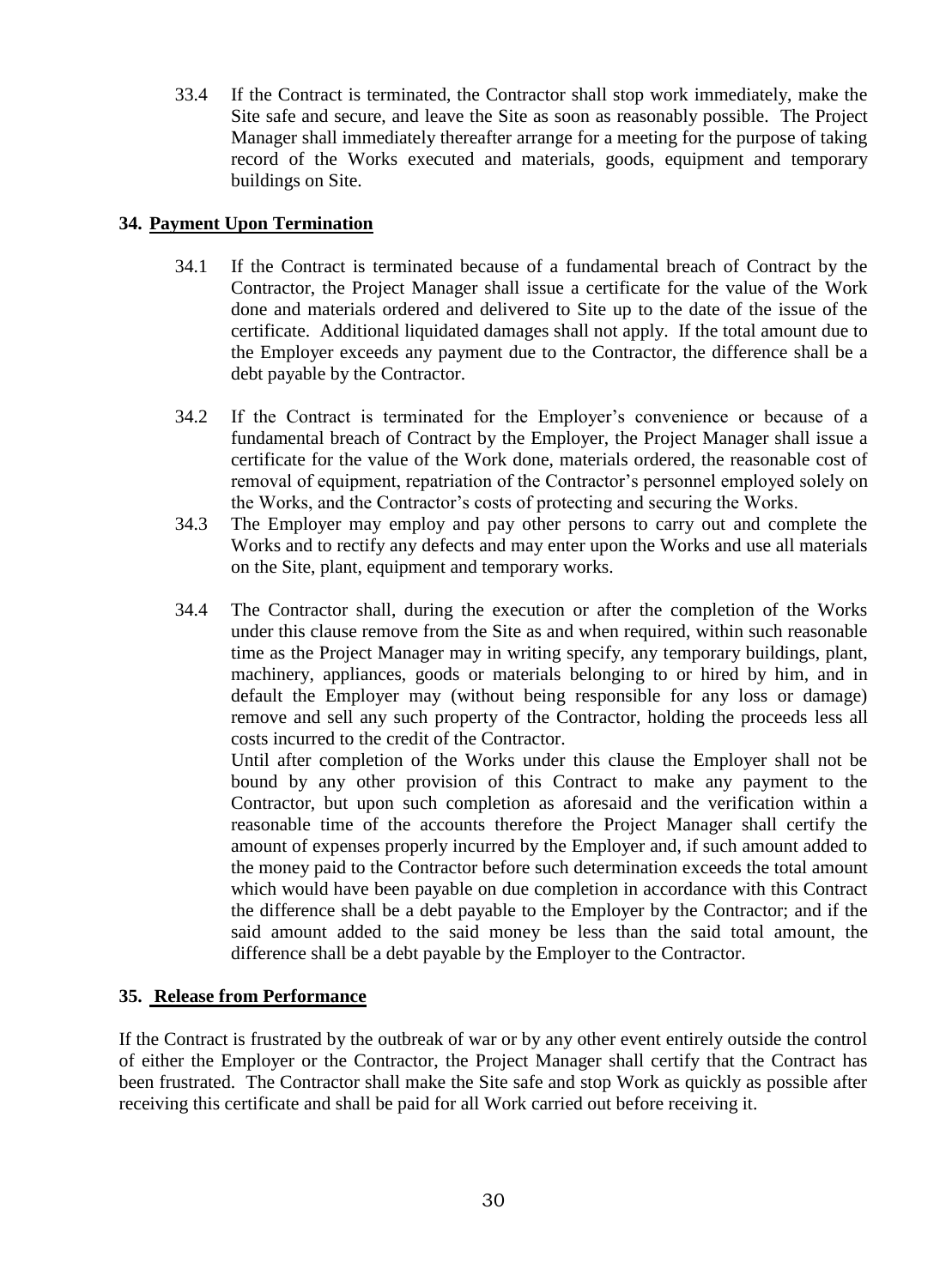33.4 If the Contract is terminated, the Contractor shall stop work immediately, make the Site safe and secure, and leave the Site as soon as reasonably possible. The Project Manager shall immediately thereafter arrange for a meeting for the purpose of taking record of the Works executed and materials, goods, equipment and temporary buildings on Site.

#### <span id="page-29-0"></span>**34. Payment Upon Termination**

- 34.1 If the Contract is terminated because of a fundamental breach of Contract by the Contractor, the Project Manager shall issue a certificate for the value of the Work done and materials ordered and delivered to Site up to the date of the issue of the certificate. Additional liquidated damages shall not apply. If the total amount due to the Employer exceeds any payment due to the Contractor, the difference shall be a debt payable by the Contractor.
- 34.2 If the Contract is terminated for the Employer's convenience or because of a fundamental breach of Contract by the Employer, the Project Manager shall issue a certificate for the value of the Work done, materials ordered, the reasonable cost of removal of equipment, repatriation of the Contractor's personnel employed solely on the Works, and the Contractor's costs of protecting and securing the Works.
- 34.3 The Employer may employ and pay other persons to carry out and complete the Works and to rectify any defects and may enter upon the Works and use all materials on the Site, plant, equipment and temporary works.
- 34.4 The Contractor shall, during the execution or after the completion of the Works under this clause remove from the Site as and when required, within such reasonable time as the Project Manager may in writing specify, any temporary buildings, plant, machinery, appliances, goods or materials belonging to or hired by him, and in default the Employer may (without being responsible for any loss or damage) remove and sell any such property of the Contractor, holding the proceeds less all costs incurred to the credit of the Contractor.

Until after completion of the Works under this clause the Employer shall not be bound by any other provision of this Contract to make any payment to the Contractor, but upon such completion as aforesaid and the verification within a reasonable time of the accounts therefore the Project Manager shall certify the amount of expenses properly incurred by the Employer and, if such amount added to the money paid to the Contractor before such determination exceeds the total amount which would have been payable on due completion in accordance with this Contract the difference shall be a debt payable to the Employer by the Contractor; and if the said amount added to the said money be less than the said total amount, the difference shall be a debt payable by the Employer to the Contractor.

#### <span id="page-29-1"></span>**35. Release from Performance**

If the Contract is frustrated by the outbreak of war or by any other event entirely outside the control of either the Employer or the Contractor, the Project Manager shall certify that the Contract has been frustrated. The Contractor shall make the Site safe and stop Work as quickly as possible after receiving this certificate and shall be paid for all Work carried out before receiving it.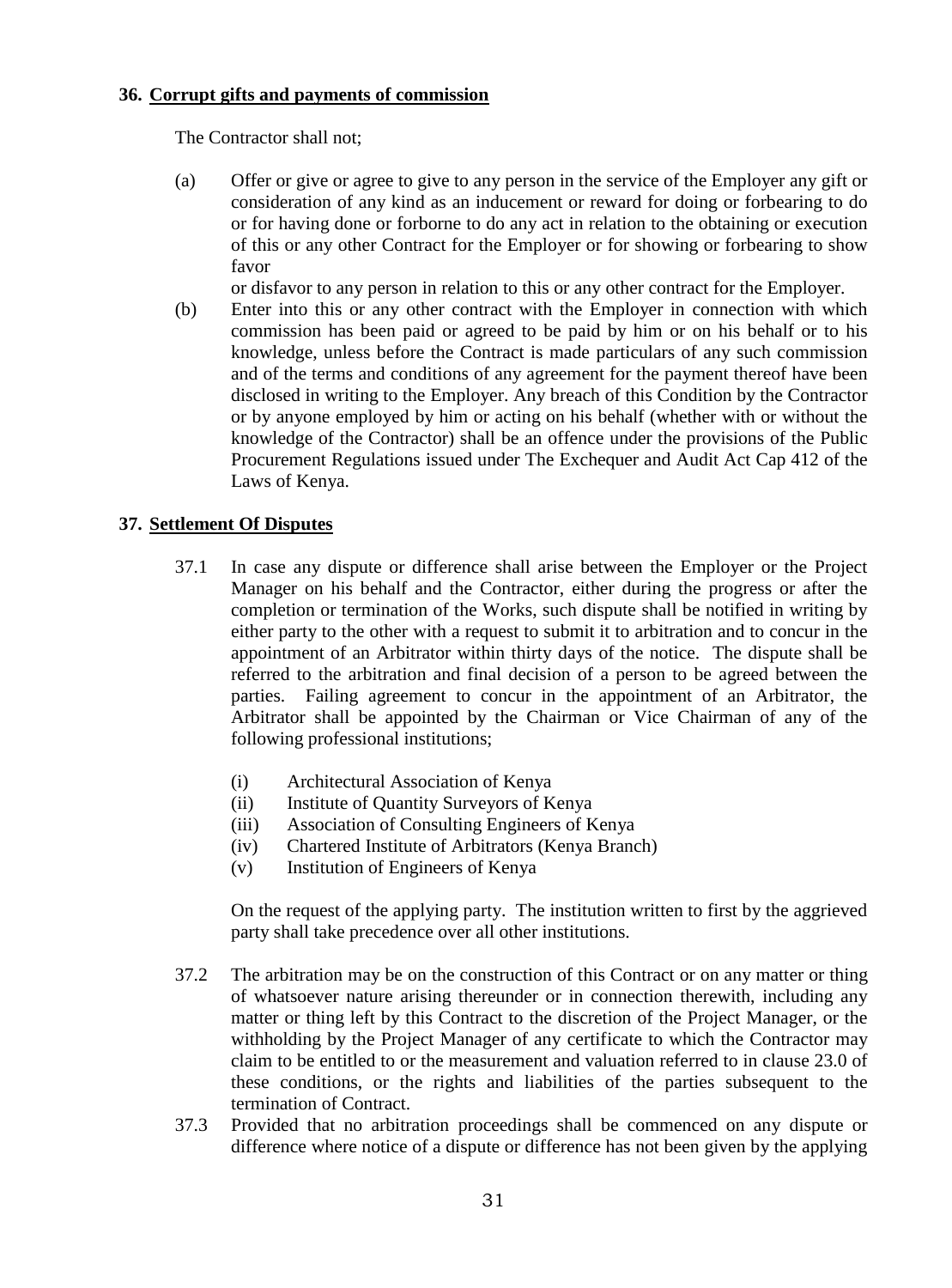#### <span id="page-30-0"></span>**36. Corrupt gifts and payments of commission**

The Contractor shall not;

(a) Offer or give or agree to give to any person in the service of the Employer any gift or consideration of any kind as an inducement or reward for doing or forbearing to do or for having done or forborne to do any act in relation to the obtaining or execution of this or any other Contract for the Employer or for showing or forbearing to show favor

or disfavor to any person in relation to this or any other contract for the Employer.

(b) Enter into this or any other contract with the Employer in connection with which commission has been paid or agreed to be paid by him or on his behalf or to his knowledge, unless before the Contract is made particulars of any such commission and of the terms and conditions of any agreement for the payment thereof have been disclosed in writing to the Employer. Any breach of this Condition by the Contractor or by anyone employed by him or acting on his behalf (whether with or without the knowledge of the Contractor) shall be an offence under the provisions of the Public Procurement Regulations issued under The Exchequer and Audit Act Cap 412 of the Laws of Kenya.

#### <span id="page-30-1"></span>**37. Settlement Of Disputes**

- 37.1 In case any dispute or difference shall arise between the Employer or the Project Manager on his behalf and the Contractor, either during the progress or after the completion or termination of the Works, such dispute shall be notified in writing by either party to the other with a request to submit it to arbitration and to concur in the appointment of an Arbitrator within thirty days of the notice. The dispute shall be referred to the arbitration and final decision of a person to be agreed between the parties. Failing agreement to concur in the appointment of an Arbitrator, the Arbitrator shall be appointed by the Chairman or Vice Chairman of any of the following professional institutions;
	- (i) Architectural Association of Kenya
	- (ii) Institute of Quantity Surveyors of Kenya
	- (iii) Association of Consulting Engineers of Kenya
	- (iv) Chartered Institute of Arbitrators (Kenya Branch)
	- (v) Institution of Engineers of Kenya

On the request of the applying party. The institution written to first by the aggrieved party shall take precedence over all other institutions.

- 37.2 The arbitration may be on the construction of this Contract or on any matter or thing of whatsoever nature arising thereunder or in connection therewith, including any matter or thing left by this Contract to the discretion of the Project Manager, or the withholding by the Project Manager of any certificate to which the Contractor may claim to be entitled to or the measurement and valuation referred to in clause 23.0 of these conditions, or the rights and liabilities of the parties subsequent to the termination of Contract.
- 37.3 Provided that no arbitration proceedings shall be commenced on any dispute or difference where notice of a dispute or difference has not been given by the applying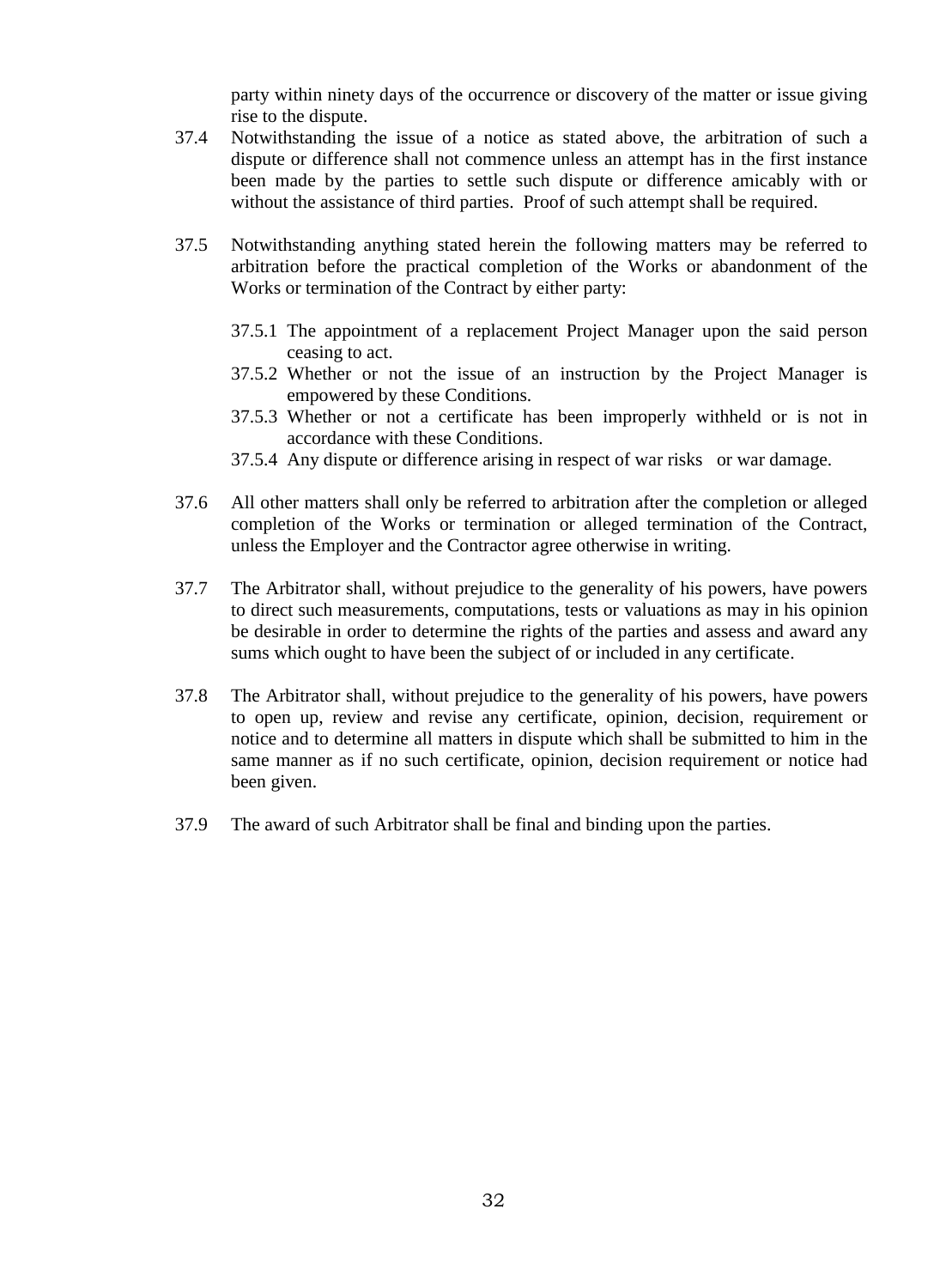party within ninety days of the occurrence or discovery of the matter or issue giving rise to the dispute.

- 37.4 Notwithstanding the issue of a notice as stated above, the arbitration of such a dispute or difference shall not commence unless an attempt has in the first instance been made by the parties to settle such dispute or difference amicably with or without the assistance of third parties. Proof of such attempt shall be required.
- 37.5 Notwithstanding anything stated herein the following matters may be referred to arbitration before the practical completion of the Works or abandonment of the Works or termination of the Contract by either party:
	- 37.5.1 The appointment of a replacement Project Manager upon the said person ceasing to act.
	- 37.5.2 Whether or not the issue of an instruction by the Project Manager is empowered by these Conditions.
	- 37.5.3 Whether or not a certificate has been improperly withheld or is not in accordance with these Conditions.
	- 37.5.4 Any dispute or difference arising in respect of war risks or war damage.
- 37.6 All other matters shall only be referred to arbitration after the completion or alleged completion of the Works or termination or alleged termination of the Contract, unless the Employer and the Contractor agree otherwise in writing.
- 37.7 The Arbitrator shall, without prejudice to the generality of his powers, have powers to direct such measurements, computations, tests or valuations as may in his opinion be desirable in order to determine the rights of the parties and assess and award any sums which ought to have been the subject of or included in any certificate.
- 37.8 The Arbitrator shall, without prejudice to the generality of his powers, have powers to open up, review and revise any certificate, opinion, decision, requirement or notice and to determine all matters in dispute which shall be submitted to him in the same manner as if no such certificate, opinion, decision requirement or notice had been given.
- 37.9 The award of such Arbitrator shall be final and binding upon the parties.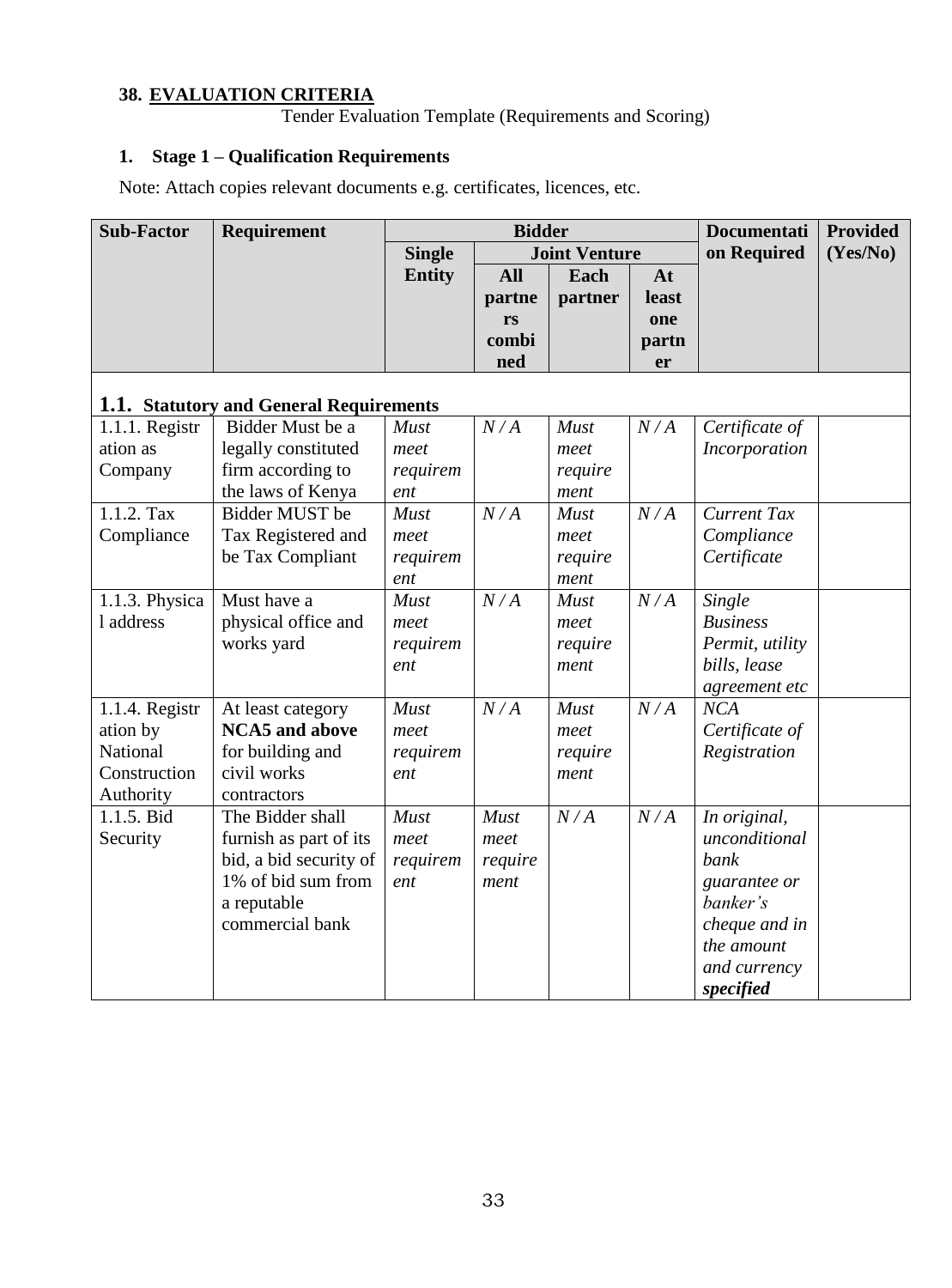# **38. EVALUATION CRITERIA**

Tender Evaluation Template (Requirements and Scoring)

# **1. Stage 1 – Qualification Requirements**

Note: Attach copies relevant documents e.g. certificates, licences, etc.

| <b>Sub-Factor</b> | Requirement                             | <b>Bidder</b> |             |                      |       | <b>Documentati</b> | <b>Provided</b> |
|-------------------|-----------------------------------------|---------------|-------------|----------------------|-------|--------------------|-----------------|
|                   |                                         | <b>Single</b> |             | <b>Joint Venture</b> |       | on Required        | (Yes/No)        |
|                   |                                         | <b>Entity</b> | <b>All</b>  | Each                 | At    |                    |                 |
|                   |                                         |               | partne      | partner              | least |                    |                 |
|                   |                                         |               | rs          |                      | one   |                    |                 |
|                   |                                         |               | combi       |                      | partn |                    |                 |
|                   |                                         |               | ned         |                      | er    |                    |                 |
|                   | 1.1. Statutory and General Requirements |               |             |                      |       |                    |                 |
| 1.1.1. Registr    | Bidder Must be a                        | <b>Must</b>   | N/A         | <b>Must</b>          | N/A   | Certificate of     |                 |
| ation as          | legally constituted                     | meet          |             | meet                 |       | Incorporation      |                 |
| Company           | firm according to                       | requirem      |             | require              |       |                    |                 |
|                   | the laws of Kenya                       | ent           |             | ment                 |       |                    |                 |
| 1.1.2. Tax        | Bidder MUST be                          | <b>Must</b>   | N/A         | <b>Must</b>          | N/A   | <b>Current Tax</b> |                 |
| Compliance        | Tax Registered and                      | meet          |             | meet                 |       | Compliance         |                 |
|                   | be Tax Compliant                        | requirem      |             | require              |       | Certificate        |                 |
|                   |                                         | ent           |             | ment                 |       |                    |                 |
| 1.1.3. Physica    | Must have a                             | <b>Must</b>   | N/A         | <b>Must</b>          | N/A   | Single             |                 |
| 1 address         | physical office and                     | meet          |             | meet                 |       | <b>Business</b>    |                 |
|                   | works yard                              | requirem      |             | require              |       | Permit, utility    |                 |
|                   |                                         | ent           |             | ment                 |       | bills, lease       |                 |
|                   |                                         |               |             |                      |       | agreement etc      |                 |
| 1.1.4. Registr    | At least category                       | <b>Must</b>   | N/A         | <b>Must</b>          | N/A   | NCA                |                 |
| ation by          | <b>NCA5</b> and above                   | meet          |             | meet                 |       | Certificate of     |                 |
| National          | for building and                        | requirem      |             | require              |       | Registration       |                 |
| Construction      | civil works                             | ent           |             | ment                 |       |                    |                 |
| Authority         | contractors                             |               |             |                      |       |                    |                 |
| 1.1.5. Bid        | The Bidder shall                        | <b>Must</b>   | <b>Must</b> | N/A                  | N/A   | In original,       |                 |
| Security          | furnish as part of its                  | meet          | meet        |                      |       | unconditional      |                 |
|                   | bid, a bid security of                  | requirem      | require     |                      |       | bank               |                 |
|                   | 1% of bid sum from                      | ent           | ment        |                      |       | guarantee or       |                 |
|                   | a reputable                             |               |             |                      |       | banker's           |                 |
|                   | commercial bank                         |               |             |                      |       | cheque and in      |                 |
|                   |                                         |               |             |                      |       | the amount         |                 |
|                   |                                         |               |             |                      |       | and currency       |                 |
|                   |                                         |               |             |                      |       | specified          |                 |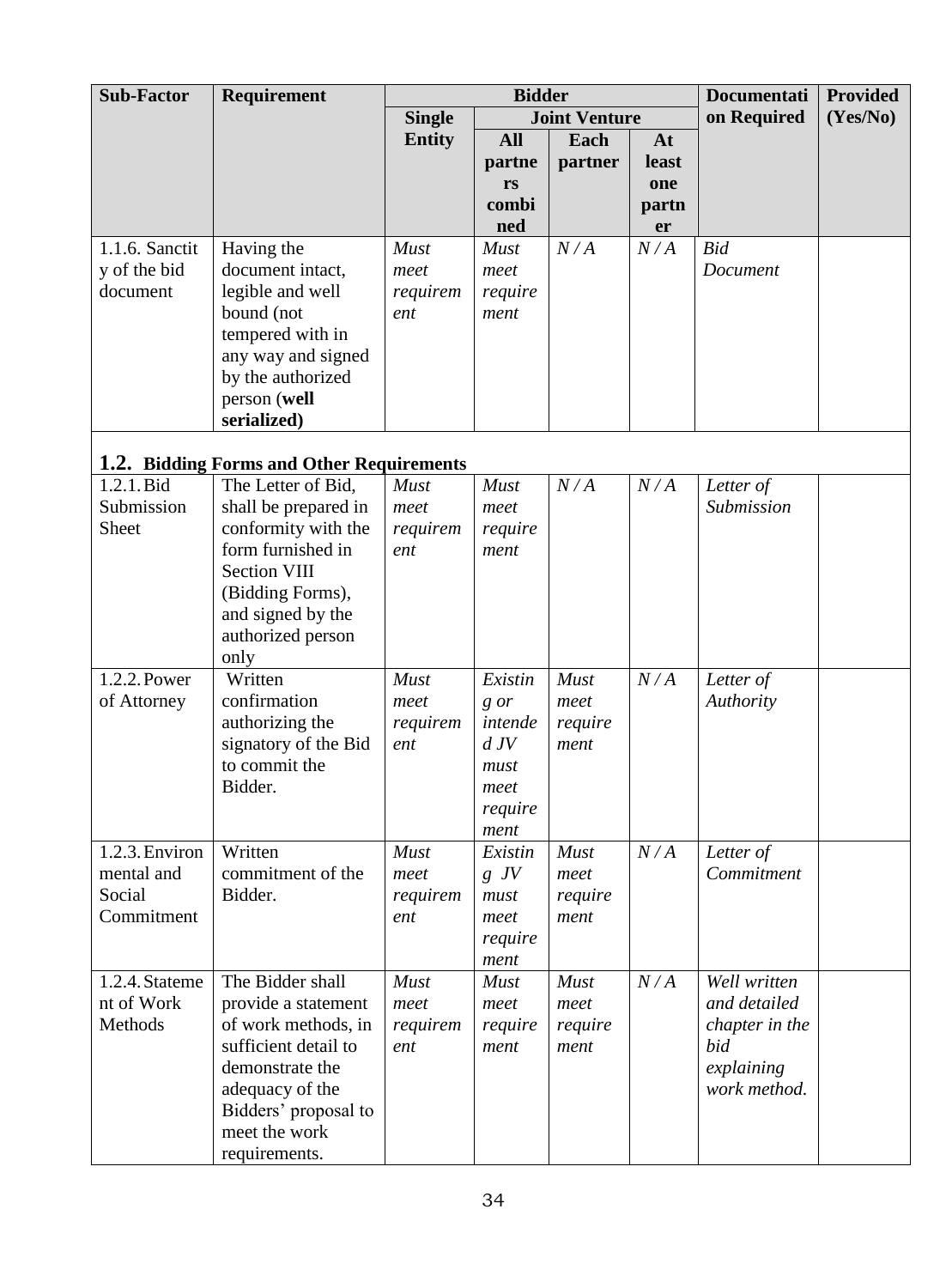| <b>Sub-Factor</b>    | Requirement                               |                 | <b>Bidder</b> |                      |       | <b>Documentati</b> | <b>Provided</b> |
|----------------------|-------------------------------------------|-----------------|---------------|----------------------|-------|--------------------|-----------------|
|                      |                                           | <b>Single</b>   |               | <b>Joint Venture</b> |       | on Required        | (Yes/No)        |
|                      |                                           | <b>Entity</b>   | <b>All</b>    | Each                 | At    |                    |                 |
|                      |                                           |                 | partne        | partner              | least |                    |                 |
|                      |                                           |                 | rs            |                      | one   |                    |                 |
|                      |                                           |                 | combi         |                      | partn |                    |                 |
|                      |                                           |                 | ned           |                      | er    |                    |                 |
| 1.1.6. Sanctit       | Having the                                | <b>Must</b>     | <b>Must</b>   | N/A                  | N/A   | <b>Bid</b>         |                 |
| y of the bid         | document intact,                          | meet            | meet          |                      |       | Document           |                 |
| document             | legible and well                          | requirem        | require       |                      |       |                    |                 |
|                      | bound (not                                | ent             | ment          |                      |       |                    |                 |
|                      | tempered with in                          |                 |               |                      |       |                    |                 |
|                      | any way and signed                        |                 |               |                      |       |                    |                 |
|                      | by the authorized                         |                 |               |                      |       |                    |                 |
|                      | person (well                              |                 |               |                      |       |                    |                 |
|                      | serialized)                               |                 |               |                      |       |                    |                 |
|                      | 1.2. Bidding Forms and Other Requirements |                 |               |                      |       |                    |                 |
| 1.2.1. Bid           | The Letter of Bid.                        | <b>Must</b>     | <b>Must</b>   | N/A                  | N/A   | Letter of          |                 |
| Submission           | shall be prepared in                      | meet            | meet          |                      |       | Submission         |                 |
| Sheet                | conformity with the                       | requirem        | require       |                      |       |                    |                 |
|                      | form furnished in                         | ent             | ment          |                      |       |                    |                 |
|                      | <b>Section VIII</b>                       |                 |               |                      |       |                    |                 |
|                      | (Bidding Forms),                          |                 |               |                      |       |                    |                 |
|                      | and signed by the                         |                 |               |                      |       |                    |                 |
|                      | authorized person                         |                 |               |                      |       |                    |                 |
|                      | only                                      |                 |               |                      |       |                    |                 |
| 1.2.2. Power         | Written                                   | Must            | Existin       | Must                 | N/A   | Letter of          |                 |
| of Attorney          | confirmation                              | meet            | g or          | meet                 |       | Authority          |                 |
|                      | authorizing the                           | requirem        | intende       | require              |       |                    |                 |
|                      | signatory of the Bid                      | ent             | dJV           | ment                 |       |                    |                 |
|                      | to commit the                             |                 | must          |                      |       |                    |                 |
|                      | Bidder.                                   |                 | meet          |                      |       |                    |                 |
|                      |                                           |                 | require       |                      |       |                    |                 |
|                      |                                           |                 | ment          |                      |       |                    |                 |
| 1.2.3. Environ       | Written<br>commitment of the              | <b>Must</b>     | Existin       | <b>Must</b>          | N/A   | Letter of          |                 |
| mental and<br>Social | Bidder.                                   | meet            | $g\,$ JV      | meet                 |       | Commitment         |                 |
| Commitment           |                                           | requirem<br>ent | must<br>meet  | require<br>ment      |       |                    |                 |
|                      |                                           |                 | require       |                      |       |                    |                 |
|                      |                                           |                 | ment          |                      |       |                    |                 |
| 1.2.4. Stateme       | The Bidder shall                          | <b>Must</b>     | <b>Must</b>   | Must                 | N/A   | Well written       |                 |
| nt of Work           | provide a statement                       | meet            | meet          | meet                 |       | and detailed       |                 |
| Methods              | of work methods, in                       | requirem        | require       | require              |       | chapter in the     |                 |
|                      | sufficient detail to                      | ent             | ment          | ment                 |       | bid                |                 |
|                      | demonstrate the                           |                 |               |                      |       | explaining         |                 |
|                      | adequacy of the                           |                 |               |                      |       | work method.       |                 |
|                      | Bidders' proposal to                      |                 |               |                      |       |                    |                 |
|                      | meet the work                             |                 |               |                      |       |                    |                 |
|                      | requirements.                             |                 |               |                      |       |                    |                 |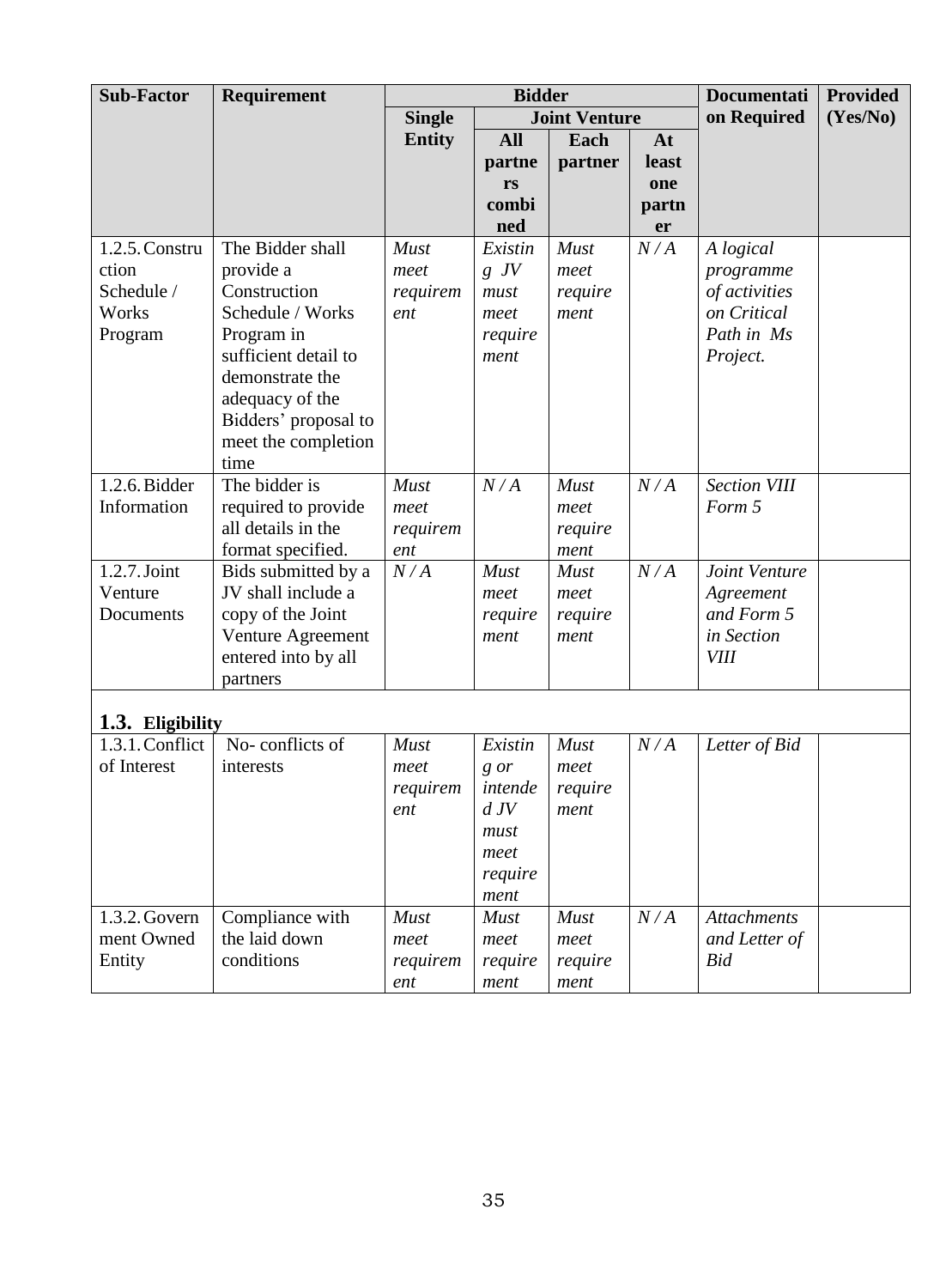| <b>Sub-Factor</b> | Requirement          | <b>Bidder</b> |            |                      |       | <b>Documentati</b>  | <b>Provided</b> |
|-------------------|----------------------|---------------|------------|----------------------|-------|---------------------|-----------------|
|                   |                      | <b>Single</b> |            | <b>Joint Venture</b> |       | on Required         | (Yes/No)        |
|                   |                      | <b>Entity</b> | <b>All</b> | Each                 | At    |                     |                 |
|                   |                      |               | partne     | partner              | least |                     |                 |
|                   |                      |               | rs         |                      | one   |                     |                 |
|                   |                      |               | combi      |                      | partn |                     |                 |
|                   |                      |               | ned        |                      | er    |                     |                 |
| 1.2.5. Constru    | The Bidder shall     | Must          | Existin    | <b>Must</b>          | N/A   | A logical           |                 |
| ction             | provide a            | meet          | $g$ JV     | meet                 |       | programme           |                 |
| Schedule /        | Construction         | requirem      | must       | require              |       | of activities       |                 |
| Works             | Schedule / Works     | ent           | meet       | ment                 |       | on Critical         |                 |
| Program           | Program in           |               | require    |                      |       | Path in Ms          |                 |
|                   | sufficient detail to |               | ment       |                      |       | Project.            |                 |
|                   | demonstrate the      |               |            |                      |       |                     |                 |
|                   | adequacy of the      |               |            |                      |       |                     |                 |
|                   | Bidders' proposal to |               |            |                      |       |                     |                 |
|                   | meet the completion  |               |            |                      |       |                     |                 |
|                   | time                 |               |            |                      |       |                     |                 |
| 1.2.6. Bidder     | The bidder is        | <b>Must</b>   | N/A        | Must                 | N/A   | <b>Section VIII</b> |                 |
| Information       | required to provide  | meet          |            | meet                 |       | Form 5              |                 |
|                   | all details in the   | requirem      |            | require              |       |                     |                 |
|                   | format specified.    | ent           |            | ment                 |       |                     |                 |
| $1.2.7$ . Joint   | Bids submitted by a  | N/A           | Must       | Must                 | N/A   | Joint Venture       |                 |
| Venture           | JV shall include a   |               | meet       | meet                 |       | Agreement           |                 |
| Documents         | copy of the Joint    |               | require    | require              |       | and Form 5          |                 |
|                   | Venture Agreement    |               | ment       | ment                 |       | in Section          |                 |
|                   | entered into by all  |               |            |                      |       | <b>VIII</b>         |                 |
|                   | partners             |               |            |                      |       |                     |                 |
| 1.3. Eligibility  |                      |               |            |                      |       |                     |                 |
| 1.3.1. Conflict   | No-conflicts of      | <b>Must</b>   | Existin    | <b>Must</b>          | N/A   | Letter of Bid       |                 |
| of Interest       | interests            | meet          | g or       | meet                 |       |                     |                 |
|                   |                      | requirem      | intende    | require              |       |                     |                 |
|                   |                      | ent           | dJV        | ment                 |       |                     |                 |
|                   |                      |               | must       |                      |       |                     |                 |
|                   |                      |               | meet       |                      |       |                     |                 |
|                   |                      |               | require    |                      |       |                     |                 |
|                   |                      |               | ment       |                      |       |                     |                 |
|                   |                      |               |            |                      |       |                     |                 |

| $1.3.$ Engibility |                 |                         |                                                           |                         |     |                    |  |
|-------------------|-----------------|-------------------------|-----------------------------------------------------------|-------------------------|-----|--------------------|--|
| 1.3.1. Conflict   | No-conflicts of | <b>Must</b>             | Existin                                                   | <b>Must</b>             | N/A | Letter of Bid      |  |
| of Interest       | interests       | meet<br>requirem<br>ent | g or<br>intende<br>dJV<br>must<br>meet<br>require<br>ment | meet<br>require<br>ment |     |                    |  |
| $1.3.2$ . Govern  | Compliance with | <b>Must</b>             | <b>Must</b>                                               | <b>Must</b>             | N/A | <b>Attachments</b> |  |
| ment Owned        | the laid down   | meet                    | meet                                                      | meet                    |     | and Letter of      |  |
| Entity            | conditions      | requirem                | require                                                   | require                 |     | Bid                |  |
|                   |                 | ent                     | ment                                                      | ment                    |     |                    |  |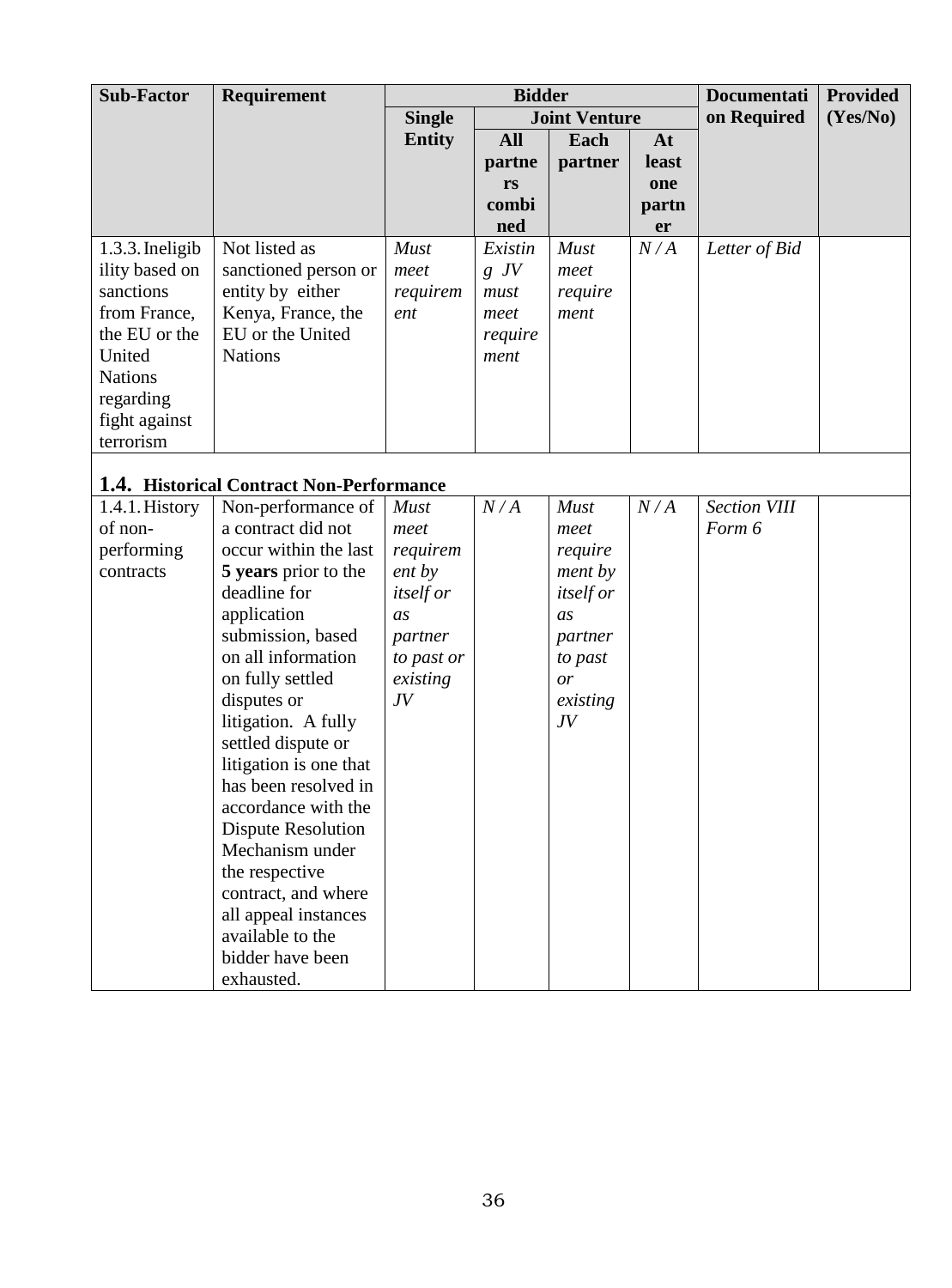| <b>Sub-Factor</b>                                                                                                                                      | Requirement                                                                                                                                                                                                                                                                                                                                                                                                                                                       |                                                                                                                            | <b>Bidder</b>                                          |                                                                                                                   |                                   | <b>Documentati</b>            | <b>Provided</b> |
|--------------------------------------------------------------------------------------------------------------------------------------------------------|-------------------------------------------------------------------------------------------------------------------------------------------------------------------------------------------------------------------------------------------------------------------------------------------------------------------------------------------------------------------------------------------------------------------------------------------------------------------|----------------------------------------------------------------------------------------------------------------------------|--------------------------------------------------------|-------------------------------------------------------------------------------------------------------------------|-----------------------------------|-------------------------------|-----------------|
|                                                                                                                                                        |                                                                                                                                                                                                                                                                                                                                                                                                                                                                   | <b>Single</b>                                                                                                              |                                                        | <b>Joint Venture</b>                                                                                              |                                   | on Required                   | (Yes/No)        |
|                                                                                                                                                        |                                                                                                                                                                                                                                                                                                                                                                                                                                                                   | <b>Entity</b>                                                                                                              | <b>All</b><br>partne<br>rs<br>combi<br>ned             | Each<br>partner                                                                                                   | At<br>least<br>one<br>partn<br>er |                               |                 |
| 1.3.3. Ineligib<br>ility based on<br>sanctions<br>from France,<br>the EU or the<br>United<br><b>Nations</b><br>regarding<br>fight against<br>terrorism | Not listed as<br>sanctioned person or<br>entity by either<br>Kenya, France, the<br>EU or the United<br><b>Nations</b>                                                                                                                                                                                                                                                                                                                                             | Must<br>meet<br>requirem<br>ent                                                                                            | Existin<br>$g\,$ JV<br>must<br>meet<br>require<br>ment | Must<br>meet<br>require<br>ment                                                                                   | N/A                               | Letter of Bid                 |                 |
|                                                                                                                                                        | 1.4. Historical Contract Non-Performance                                                                                                                                                                                                                                                                                                                                                                                                                          |                                                                                                                            |                                                        |                                                                                                                   |                                   |                               |                 |
| 1.4.1. History<br>of non-<br>performing<br>contracts                                                                                                   | Non-performance of<br>a contract did not<br>occur within the last<br>5 years prior to the<br>deadline for<br>application<br>submission, based<br>on all information<br>on fully settled<br>disputes or<br>litigation. A fully<br>settled dispute or<br>litigation is one that<br>has been resolved in<br>accordance with the<br><b>Dispute Resolution</b><br>Mechanism under<br>the respective<br>contract, and where<br>all appeal instances<br>available to the | <b>Must</b><br>meet<br>requirem<br>ent by<br><i>itself or</i><br>as<br>partner<br>to past or<br>existing<br>J <sub>V</sub> | N/A                                                    | <b>Must</b><br>meet<br>require<br>ment by<br><i>itself or</i><br>as<br>partner<br>to past<br>or<br>existing<br>JV | N/A                               | <b>Section VIII</b><br>Form 6 |                 |

bidder have been

exhausted.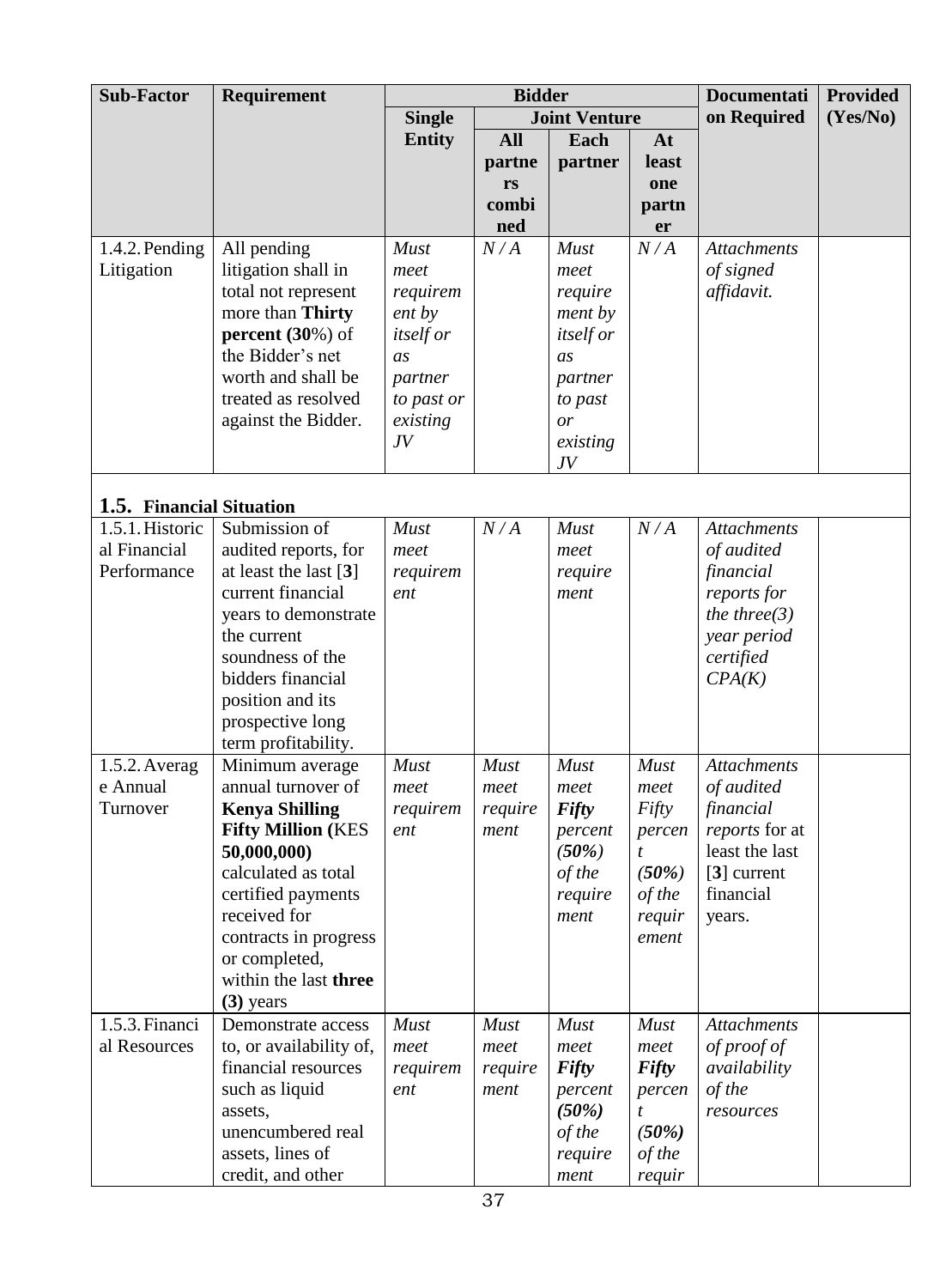| <b>Sub-Factor</b>        | <b>Requirement</b>                 |                  | <b>Bidder</b> |                      |                  | <b>Documentati</b> | <b>Provided</b> |
|--------------------------|------------------------------------|------------------|---------------|----------------------|------------------|--------------------|-----------------|
|                          |                                    | <b>Single</b>    |               | <b>Joint Venture</b> |                  | on Required        | (Yes/No)        |
|                          |                                    | <b>Entity</b>    | <b>All</b>    | Each                 | At               |                    |                 |
|                          |                                    |                  | partne        | partner              | least            |                    |                 |
|                          |                                    |                  | rs            |                      | one              |                    |                 |
|                          |                                    |                  | combi         |                      | partn            |                    |                 |
|                          |                                    |                  | ned           |                      | er               |                    |                 |
| 1.4.2. Pending           | All pending                        | <b>Must</b>      | N/A           | <b>Must</b>          | N/A              | <b>Attachments</b> |                 |
| Litigation               | litigation shall in                | meet             |               | meet                 |                  | of signed          |                 |
|                          | total not represent                | requirem         |               | require              |                  | affidavit.         |                 |
|                          | more than Thirty                   | ent by           |               | ment by              |                  |                    |                 |
|                          | percent $(30\%)$ of                | <i>itself or</i> |               | <i>itself or</i>     |                  |                    |                 |
|                          | the Bidder's net                   | $\overline{a}$ s |               | $\overline{a}$ s     |                  |                    |                 |
|                          | worth and shall be                 | partner          |               | partner              |                  |                    |                 |
|                          | treated as resolved                | to past or       |               | to past              |                  |                    |                 |
|                          | against the Bidder.                | existing         |               | or                   |                  |                    |                 |
|                          |                                    | J <sub>V</sub>   |               | existing             |                  |                    |                 |
|                          |                                    |                  |               | J V                  |                  |                    |                 |
| 1.5. Financial Situation |                                    |                  |               |                      |                  |                    |                 |
| 1.5.1. Historic          | Submission of                      | <b>Must</b>      | N/A           | <b>Must</b>          | N/A              | <b>Attachments</b> |                 |
| al Financial             | audited reports, for               | meet             |               | meet                 |                  | of audited         |                 |
| Performance              | at least the last $[3]$            | requirem         |               | require              |                  | financial          |                 |
|                          | current financial                  | ent              |               | ment                 |                  | reports for        |                 |
|                          | years to demonstrate               |                  |               |                      |                  | the three $(3)$    |                 |
|                          | the current                        |                  |               |                      |                  | year period        |                 |
|                          | soundness of the                   |                  |               |                      |                  | certified          |                 |
|                          | bidders financial                  |                  |               |                      |                  | CPA(K)             |                 |
|                          | position and its                   |                  |               |                      |                  |                    |                 |
|                          | prospective long                   |                  |               |                      |                  |                    |                 |
|                          | term profitability.                |                  |               |                      |                  |                    |                 |
| 1.5.2. Averag            | Minimum average                    | <b>Must</b>      | <b>Must</b>   | Must                 | <b>Must</b>      | <b>Attachments</b> |                 |
| e Annual                 | annual turnover of                 | meet             | meet          | meet                 | meet             | of audited         |                 |
| Turnover                 | <b>Kenya Shilling</b>              | requirem         | require       | <b>Fifty</b>         | Fifty            | financial          |                 |
|                          | <b>Fifty Million (KES</b>          | ent              | ment          | percent              | percen           | reports for at     |                 |
|                          | 50,000,000)                        |                  |               | (50%)                | $\boldsymbol{t}$ | least the last     |                 |
|                          | calculated as total                |                  |               | of the               | (50%)            | $[3]$ current      |                 |
|                          | certified payments<br>received for |                  |               | require<br>ment      | of the           | financial          |                 |
|                          | contracts in progress              |                  |               |                      | requir<br>ement  | years.             |                 |
|                          | or completed,                      |                  |               |                      |                  |                    |                 |
|                          | within the last three              |                  |               |                      |                  |                    |                 |
|                          | $(3)$ years                        |                  |               |                      |                  |                    |                 |
| 1.5.3. Financi           | Demonstrate access                 | <b>Must</b>      | <b>Must</b>   | <b>Must</b>          | <b>Must</b>      | <b>Attachments</b> |                 |
| al Resources             | to, or availability of,            | meet             | meet          | meet                 | meet             | of proof of        |                 |
|                          | financial resources                | requirem         | require       | <b>Fifty</b>         | <b>Fifty</b>     | availability       |                 |
|                          | such as liquid                     | ent              | ment          | percent              | percen           | of the             |                 |
|                          | assets,                            |                  |               | (50%)                | $\boldsymbol{t}$ | resources          |                 |
|                          | unencumbered real                  |                  |               | of the               | (50%)            |                    |                 |
|                          | assets, lines of                   |                  |               | require              | of the           |                    |                 |
|                          | credit, and other                  |                  |               | ment                 | requir           |                    |                 |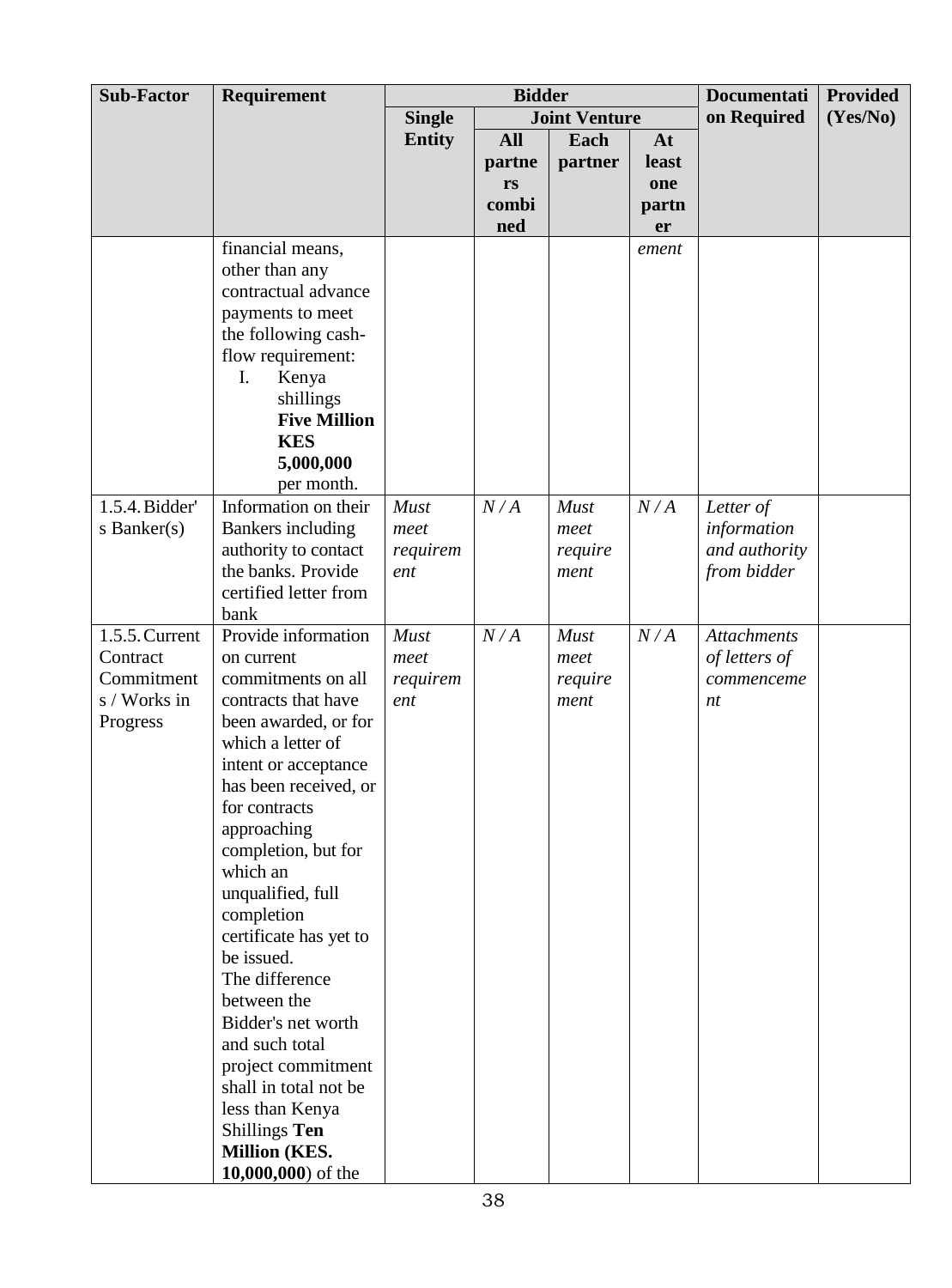| <b>Sub-Factor</b> | Requirement                          | <b>Bidder</b> |            |                      | <b>Documentati</b> | <b>Provided</b>    |          |
|-------------------|--------------------------------------|---------------|------------|----------------------|--------------------|--------------------|----------|
|                   |                                      | <b>Single</b> |            | <b>Joint Venture</b> |                    | on Required        | (Yes/No) |
|                   |                                      | <b>Entity</b> | <b>All</b> | Each                 | At                 |                    |          |
|                   |                                      |               | partne     | partner              | <b>least</b>       |                    |          |
|                   |                                      |               | rs         |                      | one                |                    |          |
|                   |                                      |               | combi      |                      | partn              |                    |          |
|                   |                                      |               | ned        |                      | er                 |                    |          |
|                   | financial means,                     |               |            |                      | ement              |                    |          |
|                   | other than any                       |               |            |                      |                    |                    |          |
|                   | contractual advance                  |               |            |                      |                    |                    |          |
|                   | payments to meet                     |               |            |                      |                    |                    |          |
|                   | the following cash-                  |               |            |                      |                    |                    |          |
|                   | flow requirement:                    |               |            |                      |                    |                    |          |
|                   | I.<br>Kenya                          |               |            |                      |                    |                    |          |
|                   | shillings                            |               |            |                      |                    |                    |          |
|                   | <b>Five Million</b>                  |               |            |                      |                    |                    |          |
|                   | <b>KES</b>                           |               |            |                      |                    |                    |          |
|                   | 5,000,000<br>per month.              |               |            |                      |                    |                    |          |
| 1.5.4. Bidder'    | Information on their                 | <b>Must</b>   | N/A        | Must                 | N/A                | Letter of          |          |
| s Banker $(s)$    | <b>Bankers</b> including             | meet          |            | meet                 |                    | information        |          |
|                   | authority to contact                 | requirem      |            | require              |                    | and authority      |          |
|                   | the banks. Provide                   | ent           |            | ment                 |                    | from bidder        |          |
|                   | certified letter from                |               |            |                      |                    |                    |          |
|                   | bank                                 |               |            |                      |                    |                    |          |
| 1.5.5. Current    | Provide information                  | <b>Must</b>   | N/A        | <b>Must</b>          | N/A                | <b>Attachments</b> |          |
| Contract          | on current                           | meet          |            | meet                 |                    | of letters of      |          |
| Commitment        | commitments on all                   | requirem      |            | require              |                    | commenceme         |          |
| s / Works in      | contracts that have                  | ent           |            | ment                 |                    | nt                 |          |
| Progress          | been awarded, or for                 |               |            |                      |                    |                    |          |
|                   | which a letter of                    |               |            |                      |                    |                    |          |
|                   | intent or acceptance                 |               |            |                      |                    |                    |          |
|                   | has been received, or                |               |            |                      |                    |                    |          |
|                   | for contracts                        |               |            |                      |                    |                    |          |
|                   | approaching                          |               |            |                      |                    |                    |          |
|                   | completion, but for                  |               |            |                      |                    |                    |          |
|                   | which an                             |               |            |                      |                    |                    |          |
|                   | unqualified, full                    |               |            |                      |                    |                    |          |
|                   | completion<br>certificate has yet to |               |            |                      |                    |                    |          |
|                   | be issued.                           |               |            |                      |                    |                    |          |
|                   | The difference                       |               |            |                      |                    |                    |          |
|                   | between the                          |               |            |                      |                    |                    |          |
|                   | Bidder's net worth                   |               |            |                      |                    |                    |          |
|                   | and such total                       |               |            |                      |                    |                    |          |
|                   | project commitment                   |               |            |                      |                    |                    |          |
|                   | shall in total not be                |               |            |                      |                    |                    |          |
|                   | less than Kenya                      |               |            |                      |                    |                    |          |
|                   | <b>Shillings Ten</b>                 |               |            |                      |                    |                    |          |
|                   | <b>Million (KES.</b>                 |               |            |                      |                    |                    |          |
|                   | 10,000,000) of the                   |               |            |                      |                    |                    |          |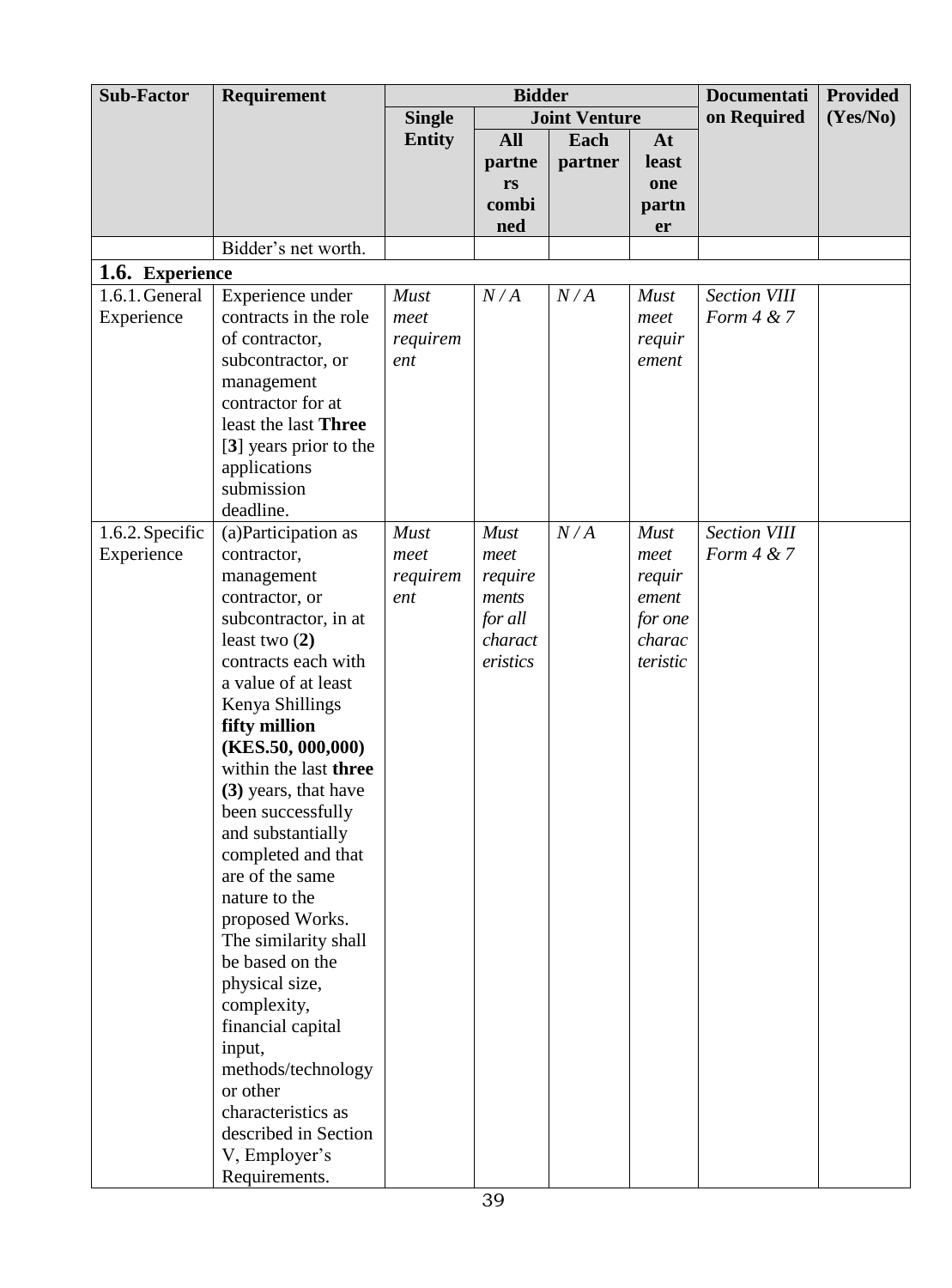| <b>Sub-Factor</b> | Requirement                               | <b>Bidder</b>   |             |                      |                 | <b>Documentati</b>  | <b>Provided</b> |
|-------------------|-------------------------------------------|-----------------|-------------|----------------------|-----------------|---------------------|-----------------|
|                   |                                           | <b>Single</b>   |             | <b>Joint Venture</b> |                 | on Required         | (Yes/No)        |
|                   |                                           | <b>Entity</b>   | <b>All</b>  | Each                 | At              |                     |                 |
|                   |                                           |                 | partne      | partner              | least           |                     |                 |
|                   |                                           |                 | rs          |                      | one             |                     |                 |
|                   |                                           |                 | combi       |                      | partn           |                     |                 |
|                   | Bidder's net worth.                       |                 | ned         |                      | er              |                     |                 |
|                   |                                           |                 |             |                      |                 |                     |                 |
| 1.6. Experience   |                                           |                 |             |                      |                 |                     |                 |
| 1.6.1. General    | Experience under<br>contracts in the role | <b>Must</b>     | N/A         | N/A                  | <b>Must</b>     | <b>Section VIII</b> |                 |
| Experience        |                                           | meet            |             |                      | meet            | Form $4 & 7$        |                 |
|                   | of contractor,<br>subcontractor, or       | requirem<br>ent |             |                      | requir<br>ement |                     |                 |
|                   | management                                |                 |             |                      |                 |                     |                 |
|                   | contractor for at                         |                 |             |                      |                 |                     |                 |
|                   | least the last Three                      |                 |             |                      |                 |                     |                 |
|                   | [3] years prior to the                    |                 |             |                      |                 |                     |                 |
|                   | applications                              |                 |             |                      |                 |                     |                 |
|                   | submission                                |                 |             |                      |                 |                     |                 |
|                   | deadline.                                 |                 |             |                      |                 |                     |                 |
| 1.6.2. Specific   | (a) Participation as                      | <b>Must</b>     | <b>Must</b> | N/A                  | Must            | <b>Section VIII</b> |                 |
| Experience        | contractor,                               | meet            | meet        |                      | meet            | Form $4 & 7$        |                 |
|                   | management                                | requirem        | require     |                      | requir          |                     |                 |
|                   | contractor, or                            | ent             | ments       |                      | ement           |                     |                 |
|                   | subcontractor, in at                      |                 | for all     |                      | for one         |                     |                 |
|                   | least two $(2)$                           |                 | charact     |                      | charac          |                     |                 |
|                   | contracts each with                       |                 | eristics    |                      | teristic        |                     |                 |
|                   | a value of at least                       |                 |             |                      |                 |                     |                 |
|                   | Kenya Shillings<br>fifty million          |                 |             |                      |                 |                     |                 |
|                   | (KES.50, 000, 000)                        |                 |             |                      |                 |                     |                 |
|                   | within the last three                     |                 |             |                      |                 |                     |                 |
|                   | (3) years, that have                      |                 |             |                      |                 |                     |                 |
|                   | been successfully                         |                 |             |                      |                 |                     |                 |
|                   | and substantially                         |                 |             |                      |                 |                     |                 |
|                   | completed and that                        |                 |             |                      |                 |                     |                 |
|                   | are of the same                           |                 |             |                      |                 |                     |                 |
|                   | nature to the                             |                 |             |                      |                 |                     |                 |
|                   | proposed Works.                           |                 |             |                      |                 |                     |                 |
|                   | The similarity shall                      |                 |             |                      |                 |                     |                 |
|                   | be based on the                           |                 |             |                      |                 |                     |                 |
|                   | physical size,                            |                 |             |                      |                 |                     |                 |
|                   | complexity,                               |                 |             |                      |                 |                     |                 |
|                   | financial capital                         |                 |             |                      |                 |                     |                 |
|                   | input,                                    |                 |             |                      |                 |                     |                 |
|                   | methods/technology<br>or other            |                 |             |                      |                 |                     |                 |
|                   | characteristics as                        |                 |             |                      |                 |                     |                 |
|                   | described in Section                      |                 |             |                      |                 |                     |                 |
|                   | V, Employer's                             |                 |             |                      |                 |                     |                 |
|                   | Requirements.                             |                 |             |                      |                 |                     |                 |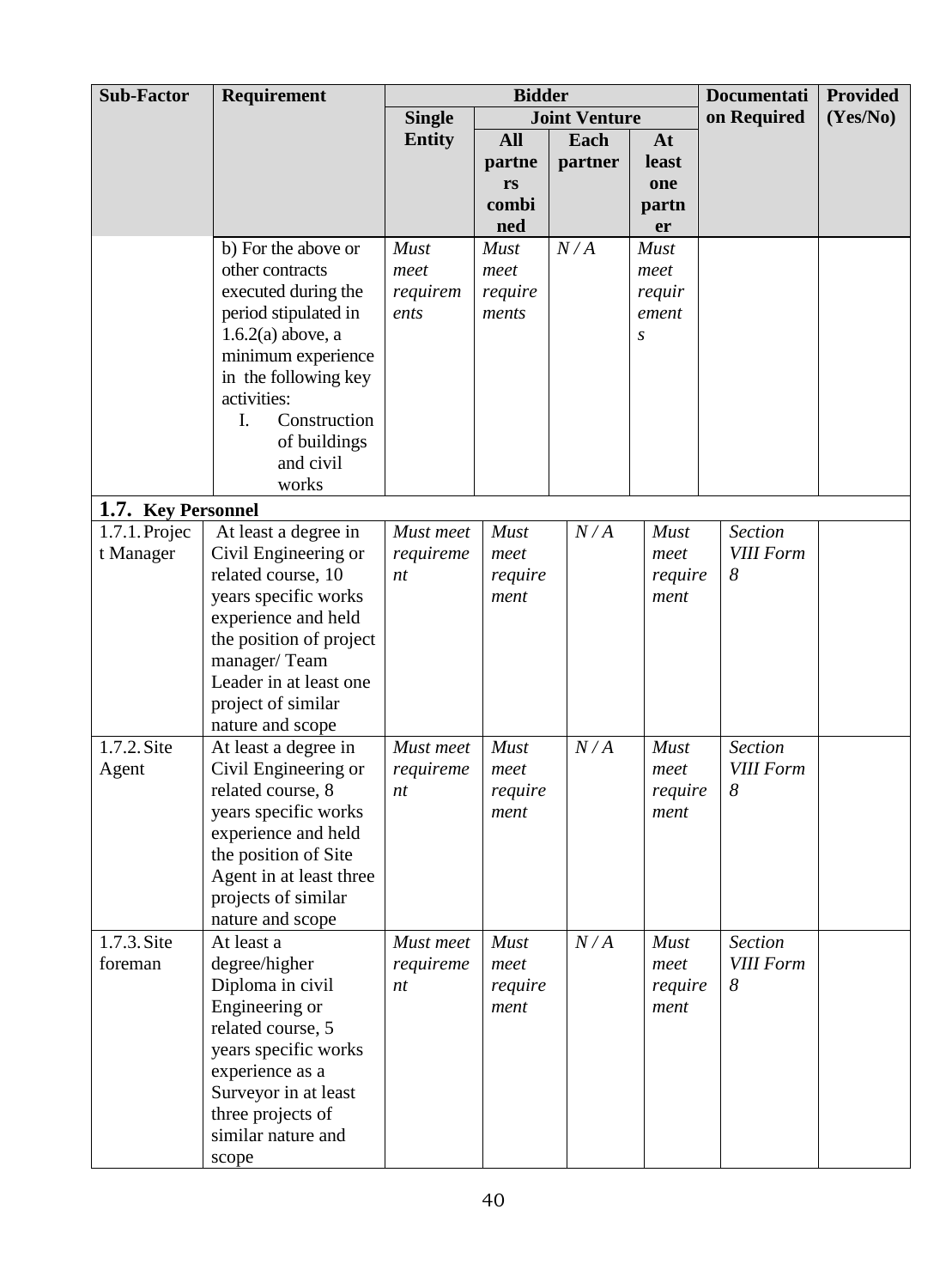| <b>Sub-Factor</b>  | Requirement                               | <b>Bidder</b> |                 |                      | <b>Documentati</b> | <b>Provided</b>                    |          |
|--------------------|-------------------------------------------|---------------|-----------------|----------------------|--------------------|------------------------------------|----------|
|                    |                                           | <b>Single</b> |                 | <b>Joint Venture</b> |                    | on Required                        | (Yes/No) |
|                    |                                           | <b>Entity</b> | <b>All</b>      | Each                 | At                 |                                    |          |
|                    |                                           |               | partne          | partner              | least              |                                    |          |
|                    |                                           |               | rs              |                      | one                |                                    |          |
|                    |                                           |               | combi           |                      | partn              |                                    |          |
|                    |                                           |               | ned             |                      | er                 |                                    |          |
|                    | b) For the above or                       | Must          | <b>Must</b>     | N/A                  | <b>Must</b>        |                                    |          |
|                    | other contracts                           | meet          | meet            |                      | meet               |                                    |          |
|                    | executed during the                       | requirem      | require         |                      | requir             |                                    |          |
|                    | period stipulated in                      | ents          | ments           |                      | ement              |                                    |          |
|                    | $1.6.2(a)$ above, a                       |               |                 |                      | S                  |                                    |          |
|                    | minimum experience                        |               |                 |                      |                    |                                    |          |
|                    | in the following key                      |               |                 |                      |                    |                                    |          |
|                    | activities:                               |               |                 |                      |                    |                                    |          |
|                    | Construction<br>I.                        |               |                 |                      |                    |                                    |          |
|                    | of buildings                              |               |                 |                      |                    |                                    |          |
|                    | and civil                                 |               |                 |                      |                    |                                    |          |
|                    | works                                     |               |                 |                      |                    |                                    |          |
| 1.7. Key Personnel |                                           |               |                 |                      |                    |                                    |          |
| $1.7.1.$ Projec    | At least a degree in                      | Must meet     | <b>Must</b>     | N/A                  | Must               | <b>Section</b>                     |          |
| t Manager          | Civil Engineering or                      | requireme     | meet            |                      | meet               | <b>VIII Form</b>                   |          |
|                    | related course, 10                        | nt            | require         |                      | require            | 8                                  |          |
|                    | years specific works                      |               | ment            |                      | ment               |                                    |          |
|                    | experience and held                       |               |                 |                      |                    |                                    |          |
|                    | the position of project                   |               |                 |                      |                    |                                    |          |
|                    | manager/Team                              |               |                 |                      |                    |                                    |          |
|                    | Leader in at least one                    |               |                 |                      |                    |                                    |          |
|                    | project of similar                        |               |                 |                      |                    |                                    |          |
|                    | nature and scope                          | Must meet     |                 |                      |                    |                                    |          |
| 1.7.2. Site        | At least a degree in                      |               | Must            | N/A                  | <b>Must</b>        | <b>Section</b><br><b>VIII Form</b> |          |
| Agent              | Civil Engineering or<br>related course, 8 | requireme     | meet            |                      | meet               | 8                                  |          |
|                    | years specific works                      | nt            | require<br>ment |                      | require<br>ment    |                                    |          |
|                    | experience and held                       |               |                 |                      |                    |                                    |          |
|                    | the position of Site                      |               |                 |                      |                    |                                    |          |
|                    | Agent in at least three                   |               |                 |                      |                    |                                    |          |
|                    | projects of similar                       |               |                 |                      |                    |                                    |          |
|                    | nature and scope                          |               |                 |                      |                    |                                    |          |
| 1.7.3. Site        | At least a                                | Must meet     | <b>Must</b>     | N/A                  | <b>Must</b>        | <b>Section</b>                     |          |
| foreman            | degree/higher                             | requireme     | meet            |                      | meet               | <b>VIII Form</b>                   |          |
|                    | Diploma in civil                          | nt            | require         |                      | require            | 8                                  |          |
|                    | Engineering or                            |               | ment            |                      | ment               |                                    |          |
|                    | related course, 5                         |               |                 |                      |                    |                                    |          |
|                    | years specific works                      |               |                 |                      |                    |                                    |          |
|                    | experience as a                           |               |                 |                      |                    |                                    |          |
|                    | Surveyor in at least                      |               |                 |                      |                    |                                    |          |
|                    | three projects of                         |               |                 |                      |                    |                                    |          |
|                    | similar nature and                        |               |                 |                      |                    |                                    |          |
|                    | scope                                     |               |                 |                      |                    |                                    |          |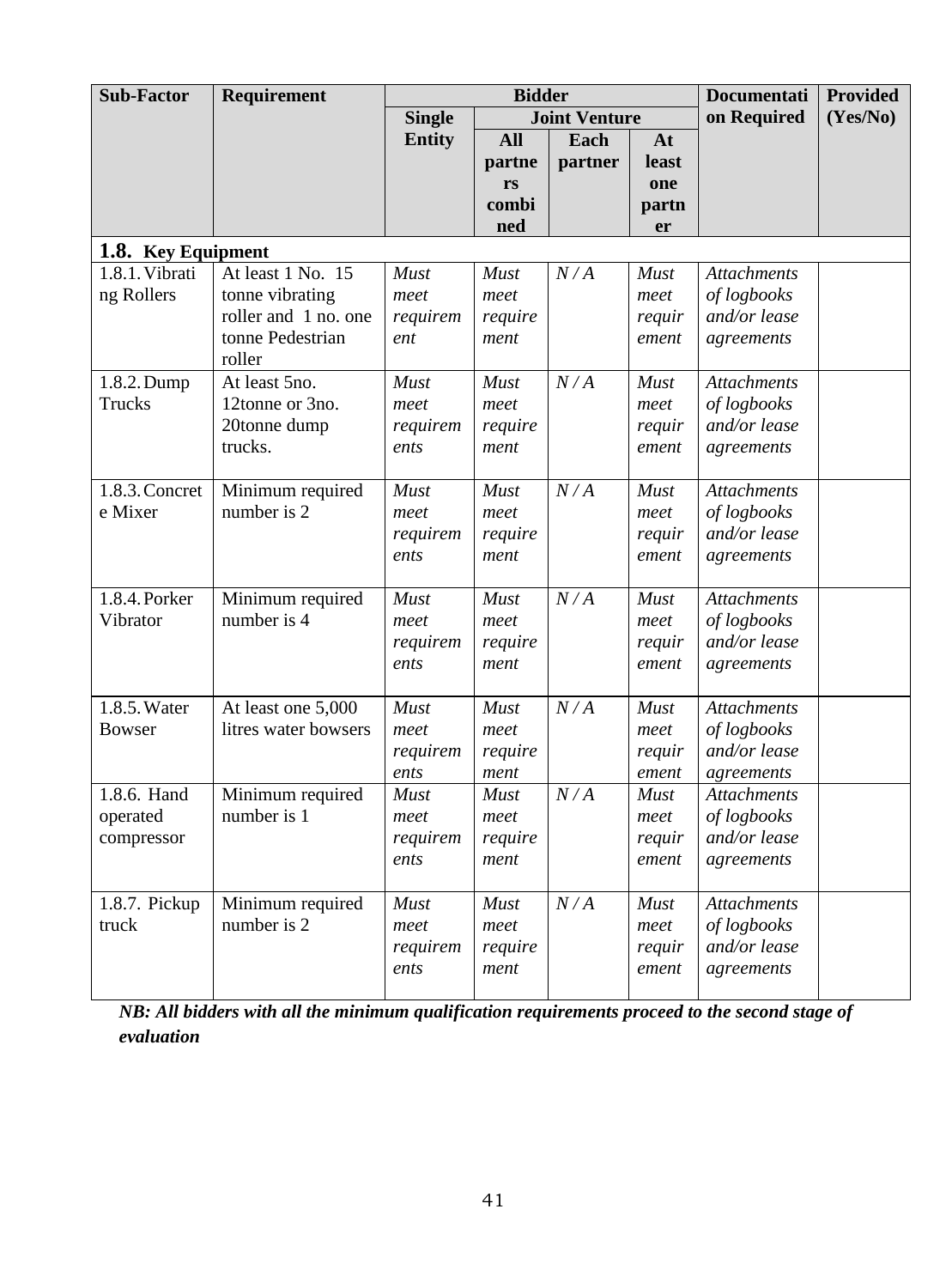| <b>Sub-Factor</b>       | Requirement                     | <b>Bidder</b>    |                 |                      | <b>Documentati</b> | <b>Provided</b>                   |          |
|-------------------------|---------------------------------|------------------|-----------------|----------------------|--------------------|-----------------------------------|----------|
|                         |                                 | <b>Single</b>    |                 | <b>Joint Venture</b> |                    | on Required                       | (Yes/No) |
|                         |                                 | <b>Entity</b>    | <b>All</b>      | Each                 | At                 |                                   |          |
|                         |                                 |                  | partne          | partner              | least              |                                   |          |
|                         |                                 |                  | rs              |                      | one                |                                   |          |
|                         |                                 |                  | combi           |                      | partn              |                                   |          |
|                         |                                 |                  | ned             |                      | er                 |                                   |          |
| 1.8. Key Equipment      |                                 |                  |                 |                      |                    |                                   |          |
| 1.8.1. Vibrati          | At least 1 No. 15               | <b>Must</b>      | Must            | N/A                  | <b>Must</b>        | <b>Attachments</b>                |          |
| ng Rollers              | tonne vibrating                 | meet             | meet            |                      | meet               | of logbooks                       |          |
|                         | roller and 1 no. one            | requirem         | require         |                      | requir             | and/or lease                      |          |
|                         | tonne Pedestrian<br>roller      | ent              | ment            |                      | ement              | agreements                        |          |
| 1.8.2. Dump             | At least 5no.                   | <b>Must</b>      | Must            | N/A                  | <b>Must</b>        | <b>Attachments</b>                |          |
| Trucks                  | 12tonne or 3no.                 | meet             | meet            |                      | meet               | of logbooks                       |          |
|                         | 20tonne dump                    | requirem         | require         |                      | requir             | and/or lease                      |          |
|                         | trucks.                         | ents             | ment            |                      | ement              | agreements                        |          |
|                         |                                 |                  |                 |                      |                    |                                   |          |
| 1.8.3. Concret          | Minimum required                | <b>Must</b>      | Must            | N/A                  | <b>Must</b>        | <b>Attachments</b>                |          |
| e Mixer                 | number is 2                     | meet             | meet            |                      | meet               | of logbooks                       |          |
|                         |                                 | requirem         | require         |                      | requir             | and/or lease                      |          |
|                         |                                 | ents             | ment            |                      | ement              | agreements                        |          |
| 1.8.4. Porker           | Minimum required                | Must             | <b>Must</b>     | N/A                  | <b>Must</b>        | <b>Attachments</b>                |          |
| Vibrator                | number is 4                     | meet             | meet            |                      | meet               | of logbooks                       |          |
|                         |                                 | requirem         | require         |                      | requir             | and/or lease                      |          |
|                         |                                 | ents             | ment            |                      | ement              | agreements                        |          |
|                         |                                 |                  |                 |                      |                    |                                   |          |
| 1.8.5. Water            | At least one 5,000              | <b>Must</b>      | <b>Must</b>     | N/A                  | <b>Must</b>        | <b>Attachments</b>                |          |
| Bowser                  | litres water bowsers            | meet             | meet            |                      | meet               | of logbooks                       |          |
|                         |                                 | requirem         | require         |                      | requir             | and/or lease                      |          |
|                         |                                 | ents             | ment            |                      | ement              | agreements                        |          |
| 1.8.6. Hand<br>operated | Minimum required<br>number is 1 | <b>Must</b>      | <b>Must</b>     | N/A                  | <b>Must</b>        | <b>Attachments</b><br>of logbooks |          |
|                         |                                 | meet<br>requirem | meet            |                      | meet               | and/or lease                      |          |
| compressor              |                                 | ents             | require<br>ment |                      | requir<br>ement    | agreements                        |          |
|                         |                                 |                  |                 |                      |                    |                                   |          |
| 1.8.7. Pickup           | Minimum required                | <b>Must</b>      | <b>Must</b>     | N/A                  | <b>Must</b>        | <b>Attachments</b>                |          |
| truck                   | number is 2                     | meet             | meet            |                      | meet               | of logbooks                       |          |
|                         |                                 | requirem         | require         |                      | requir             | and/or lease                      |          |
|                         |                                 | ents             | ment            |                      | ement              | agreements                        |          |
|                         |                                 |                  |                 |                      |                    |                                   |          |

*NB: All bidders with all the minimum qualification requirements proceed to the second stage of evaluation*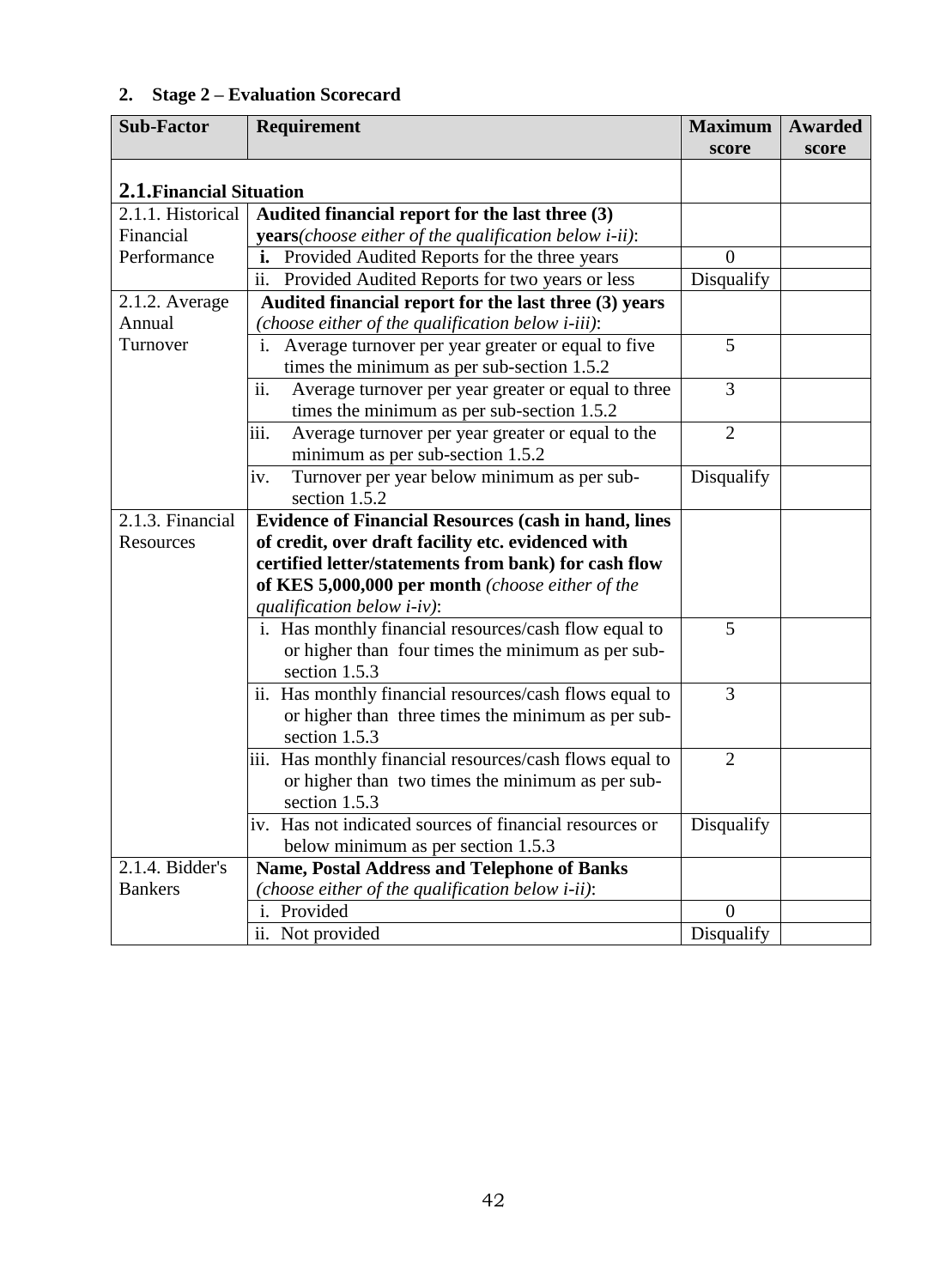# **2. Stage 2 – Evaluation Scorecard**

| <b>Sub-Factor</b>        | Requirement                                                            | <b>Maximum</b> | Awarded |
|--------------------------|------------------------------------------------------------------------|----------------|---------|
|                          |                                                                        | score          | score   |
| 2.1. Financial Situation |                                                                        |                |         |
| 2.1.1. Historical        | Audited financial report for the last three (3)                        |                |         |
| Financial                | <b>years</b> ( <i>choose either of the qualification below i-ii</i> ): |                |         |
| Performance              | Provided Audited Reports for the three years                           | $\Omega$       |         |
|                          | Provided Audited Reports for two years or less<br>ii.                  | Disqualify     |         |
| 2.1.2. Average           | Audited financial report for the last three (3) years                  |                |         |
| Annual                   | (choose either of the qualification below <i>i-iii</i> ):              |                |         |
| Turnover                 | Average turnover per year greater or equal to five<br>$\mathbf{i}$ .   | 5              |         |
|                          | times the minimum as per sub-section 1.5.2                             |                |         |
|                          | ii.<br>Average turnover per year greater or equal to three             | 3              |         |
|                          | times the minimum as per sub-section 1.5.2                             |                |         |
|                          | iii.<br>Average turnover per year greater or equal to the              | $\overline{2}$ |         |
|                          | minimum as per sub-section 1.5.2                                       |                |         |
|                          | Turnover per year below minimum as per sub-<br>iv.                     | Disqualify     |         |
|                          | section 1.5.2                                                          |                |         |
| 2.1.3. Financial         | <b>Evidence of Financial Resources (cash in hand, lines</b>            |                |         |
| Resources                | of credit, over draft facility etc. evidenced with                     |                |         |
|                          | certified letter/statements from bank) for cash flow                   |                |         |
|                          | of KES 5,000,000 per month (choose either of the                       |                |         |
|                          | qualification below $i$ -iv):                                          |                |         |
|                          | i. Has monthly financial resources/cash flow equal to                  | 5              |         |
|                          | or higher than four times the minimum as per sub-                      |                |         |
|                          | section 1.5.3                                                          |                |         |
|                          | ii. Has monthly financial resources/cash flows equal to                | 3              |         |
|                          | or higher than three times the minimum as per sub-                     |                |         |
|                          | section 1.5.3                                                          |                |         |
|                          | iii. Has monthly financial resources/cash flows equal to               | $\overline{2}$ |         |
|                          | or higher than two times the minimum as per sub-                       |                |         |
|                          | section 1.5.3                                                          |                |         |
|                          | iv. Has not indicated sources of financial resources or                | Disqualify     |         |
|                          | below minimum as per section 1.5.3                                     |                |         |
| 2.1.4. Bidder's          | <b>Name, Postal Address and Telephone of Banks</b>                     |                |         |
| <b>Bankers</b>           | (choose either of the qualification below $i$ -ii):                    |                |         |
|                          | i. Provided                                                            | $\Omega$       |         |
|                          | ii. Not provided                                                       | Disqualify     |         |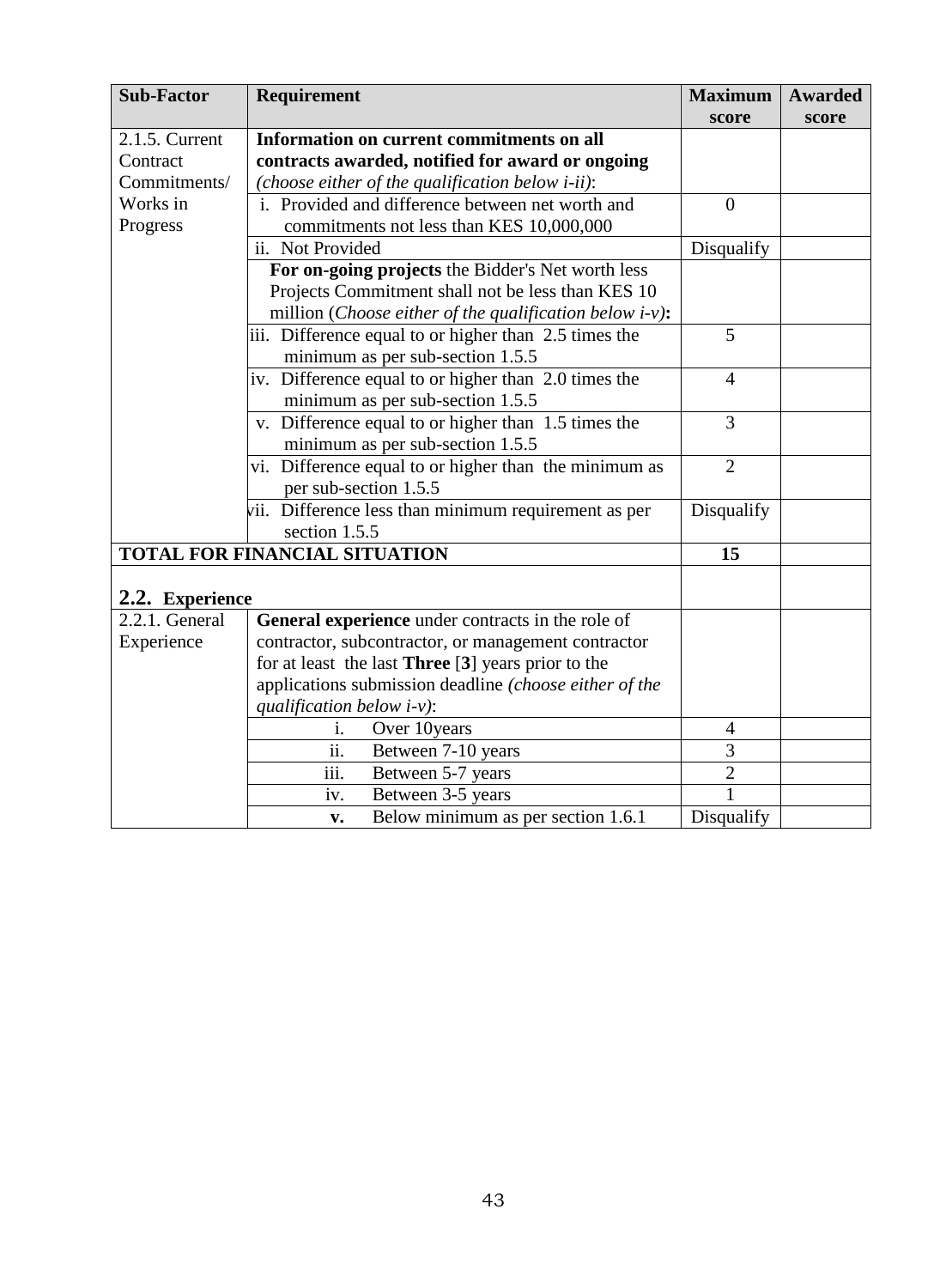| <b>Sub-Factor</b> | <b>Requirement</b>                                               | <b>Maximum</b>   | Awarded |
|-------------------|------------------------------------------------------------------|------------------|---------|
|                   |                                                                  | score            | score   |
| 2.1.5. Current    | Information on current commitments on all                        |                  |         |
| Contract          | contracts awarded, notified for award or ongoing                 |                  |         |
| Commitments/      | (choose either of the qualification below $i$ -ii):              |                  |         |
| Works in          | i. Provided and difference between net worth and                 | $\boldsymbol{0}$ |         |
| Progress          | commitments not less than KES 10,000,000                         |                  |         |
|                   | ii. Not Provided                                                 | Disqualify       |         |
|                   | For on-going projects the Bidder's Net worth less                |                  |         |
|                   | Projects Commitment shall not be less than KES 10                |                  |         |
|                   | million ( <i>Choose either of the qualification below i-v</i> ): |                  |         |
|                   | iii. Difference equal to or higher than 2.5 times the            | 5                |         |
|                   | minimum as per sub-section 1.5.5                                 |                  |         |
|                   | iv. Difference equal to or higher than 2.0 times the             | $\overline{4}$   |         |
|                   | minimum as per sub-section 1.5.5                                 |                  |         |
|                   | v. Difference equal to or higher than 1.5 times the              | 3                |         |
|                   | minimum as per sub-section 1.5.5                                 |                  |         |
|                   | vi. Difference equal to or higher than the minimum as            | $\overline{2}$   |         |
|                   | per sub-section 1.5.5                                            |                  |         |
|                   | vii. Difference less than minimum requirement as per             | Disqualify       |         |
|                   | section 1.5.5                                                    |                  |         |
|                   | TOTAL FOR FINANCIAL SITUATION                                    | 15               |         |
| 2.2. Experience   |                                                                  |                  |         |
| 2.2.1. General    | General experience under contracts in the role of                |                  |         |
| Experience        | contractor, subcontractor, or management contractor              |                  |         |
|                   | for at least the last Three [3] years prior to the               |                  |         |
|                   | applications submission deadline (choose either of the           |                  |         |
|                   | qualification below $i$ -v):                                     |                  |         |
|                   | Over 10years<br>i.                                               | $\overline{4}$   |         |
|                   | ii.<br>Between 7-10 years                                        | 3                |         |
|                   | $\overline{\text{iii}}$ .<br>Between 5-7 years                   | $\overline{2}$   |         |
|                   | Between 3-5 years<br>iv.                                         | $\mathbf{1}$     |         |
|                   | Below minimum as per section 1.6.1<br>v.                         | Disqualify       |         |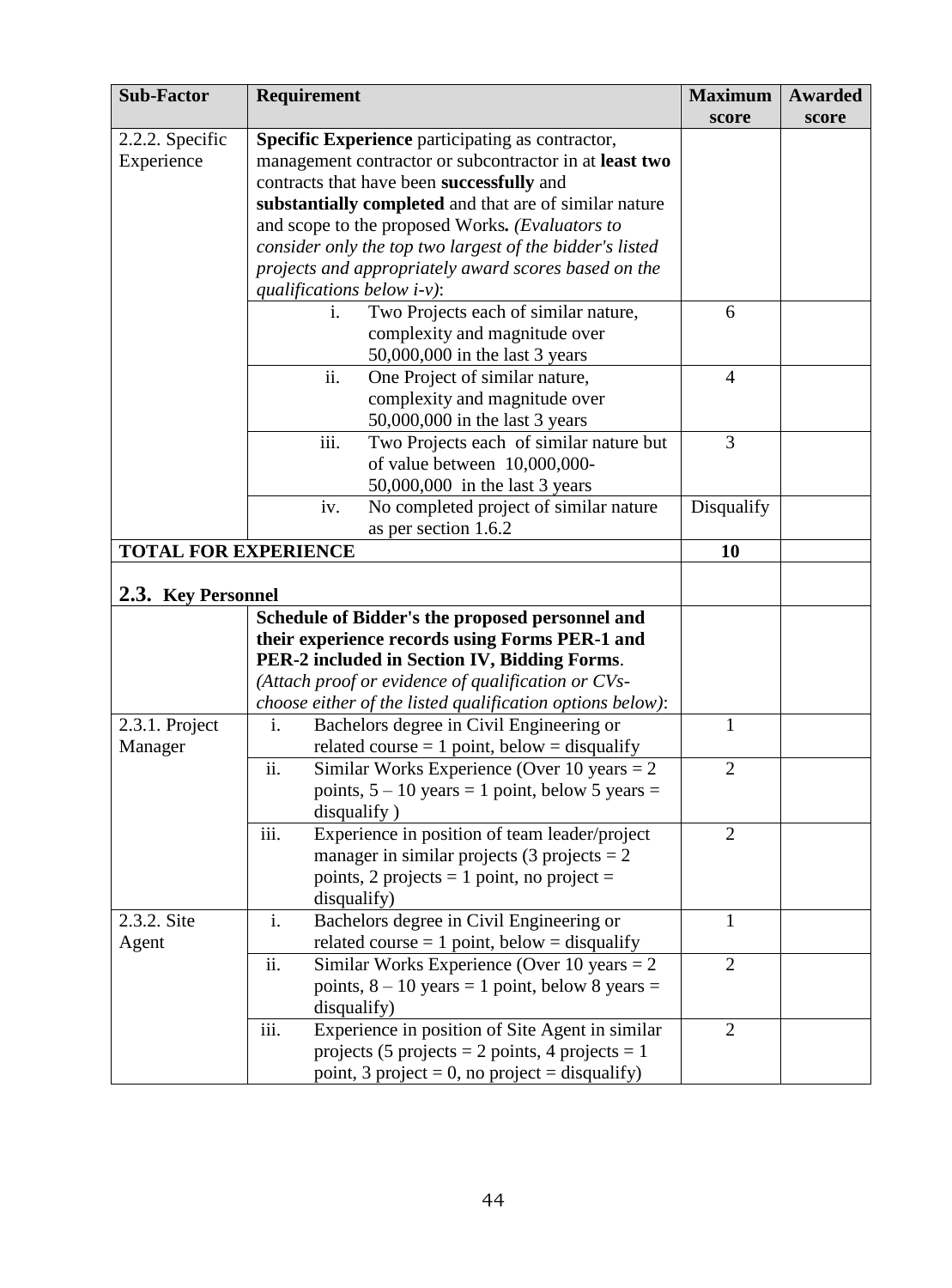| <b>Sub-Factor</b>           | <b>Requirement</b>                                         | <b>Maximum</b> | Awarded |
|-----------------------------|------------------------------------------------------------|----------------|---------|
|                             |                                                            | score          | score   |
| 2.2.2. Specific             | <b>Specific Experience</b> participating as contractor,    |                |         |
| Experience                  | management contractor or subcontractor in at least two     |                |         |
|                             | contracts that have been successfully and                  |                |         |
|                             | substantially completed and that are of similar nature     |                |         |
|                             | and scope to the proposed Works. (Evaluators to            |                |         |
|                             | consider only the top two largest of the bidder's listed   |                |         |
|                             | projects and appropriately award scores based on the       |                |         |
|                             | qualifications below $i-v$ ):                              |                |         |
|                             | Two Projects each of similar nature,<br>1.                 | 6              |         |
|                             | complexity and magnitude over                              |                |         |
|                             | 50,000,000 in the last 3 years                             |                |         |
|                             | ii.<br>One Project of similar nature,                      | $\overline{4}$ |         |
|                             | complexity and magnitude over                              |                |         |
|                             | 50,000,000 in the last 3 years                             |                |         |
|                             | iii.<br>Two Projects each of similar nature but            | 3              |         |
|                             | of value between 10,000,000-                               |                |         |
|                             | 50,000,000 in the last 3 years                             |                |         |
|                             | No completed project of similar nature<br>iv.              | Disqualify     |         |
|                             | as per section 1.6.2                                       |                |         |
| <b>TOTAL FOR EXPERIENCE</b> |                                                            | 10             |         |
|                             |                                                            |                |         |
| 2.3. Key Personnel          |                                                            |                |         |
|                             | Schedule of Bidder's the proposed personnel and            |                |         |
|                             | their experience records using Forms PER-1 and             |                |         |
|                             | PER-2 included in Section IV, Bidding Forms.               |                |         |
|                             | (Attach proof or evidence of qualification or CVs-         |                |         |
|                             | choose either of the listed qualification options below):  |                |         |
| 2.3.1. Project              | Bachelors degree in Civil Engineering or<br>$\mathbf{i}$ . | 1              |         |
| Manager                     | related course $= 1$ point, below $=$ disqualify           |                |         |
|                             | ii.<br>Similar Works Experience (Over 10 years $= 2$ )     | $\overline{2}$ |         |
|                             | points, $5 - 10$ years = 1 point, below 5 years =          |                |         |
|                             | disqualify)                                                |                |         |
|                             | iii.<br>Experience in position of team leader/project      | $\overline{2}$ |         |
|                             | manager in similar projects (3 projects $= 2$              |                |         |
|                             | points, 2 projects = 1 point, no project =                 |                |         |
|                             | disqualify)                                                |                |         |
| 2.3.2. Site                 | i.<br>Bachelors degree in Civil Engineering or             | 1              |         |
| Agent                       | related course $= 1$ point, below $=$ disqualify           |                |         |
|                             | ii.<br>Similar Works Experience (Over 10 years $= 2$ )     | $\overline{2}$ |         |
|                             | points, $8 - 10$ years = 1 point, below 8 years =          |                |         |
|                             | disqualify)                                                |                |         |
|                             | iii.<br>Experience in position of Site Agent in similar    | $\overline{2}$ |         |
|                             | projects (5 projects = 2 points, 4 projects = 1            |                |         |
|                             | point, 3 project = 0, no project = disqualify)             |                |         |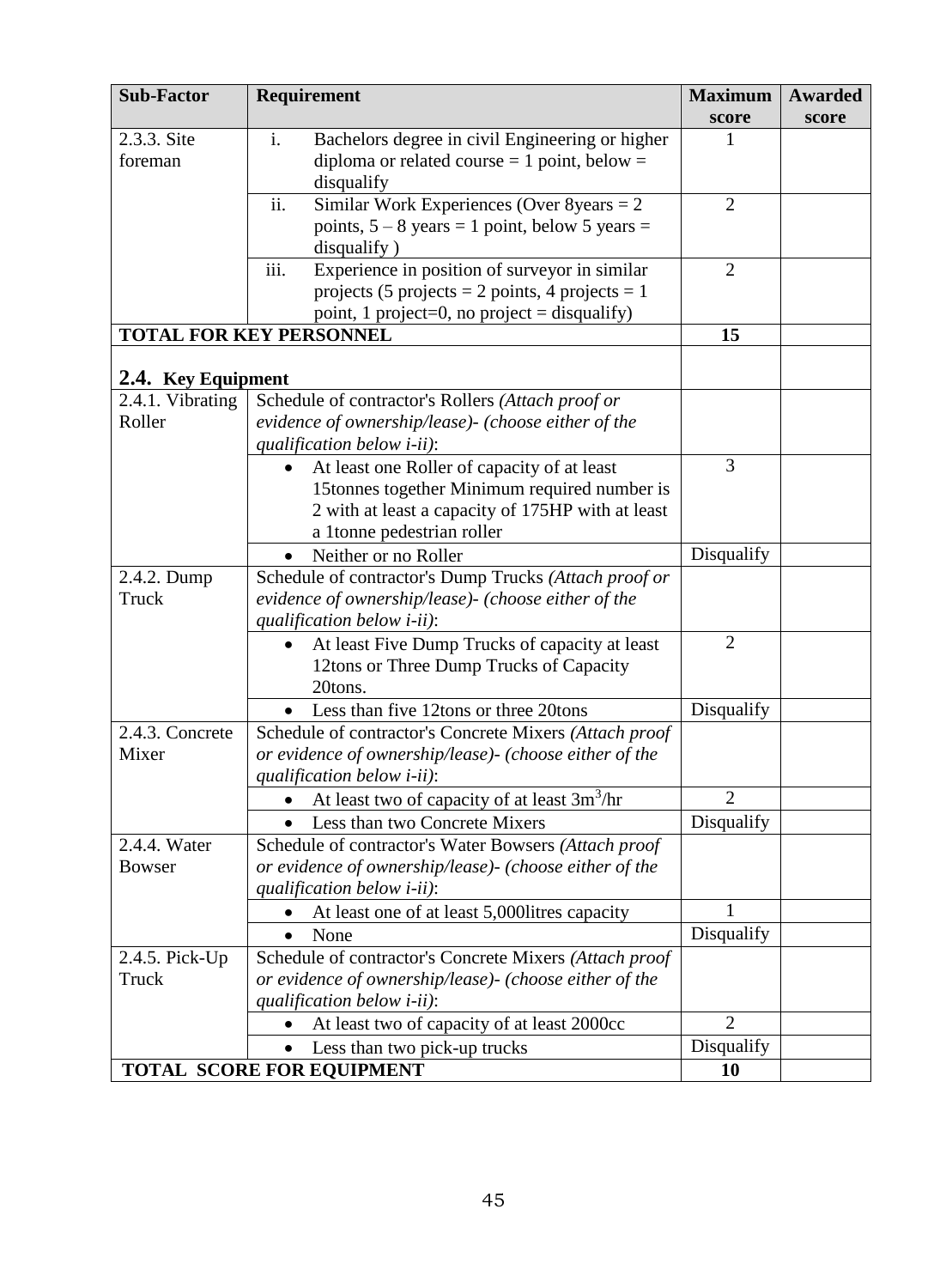| <b>Sub-Factor</b>                                          | Requirement                                                                                   | <b>Maximum</b> | <b>Awarded</b> |
|------------------------------------------------------------|-----------------------------------------------------------------------------------------------|----------------|----------------|
|                                                            |                                                                                               | score          | score          |
| 2.3.3. Site                                                | Bachelors degree in civil Engineering or higher<br>i.                                         |                |                |
| foreman                                                    | diploma or related course $= 1$ point, below $=$                                              |                |                |
|                                                            | disqualify                                                                                    |                |                |
|                                                            | Similar Work Experiences (Over $8$ years = 2<br>ii.                                           | $\overline{2}$ |                |
|                                                            | points, $5 - 8$ years = 1 point, below 5 years =                                              |                |                |
|                                                            | disqualify)                                                                                   |                |                |
|                                                            | iii.<br>Experience in position of surveyor in similar                                         | $\overline{2}$ |                |
|                                                            | projects (5 projects = 2 points, 4 projects = 1                                               |                |                |
|                                                            | point, 1 project=0, no project = disqualify)<br><b>TOTAL FOR KEY PERSONNEL</b>                | 15             |                |
|                                                            |                                                                                               |                |                |
| 2.4. Key Equipment                                         |                                                                                               |                |                |
| 2.4.1. Vibrating                                           | Schedule of contractor's Rollers (Attach proof or                                             |                |                |
| Roller                                                     | evidence of ownership/lease)- (choose either of the                                           |                |                |
|                                                            | qualification below <i>i-ii</i> ):                                                            |                |                |
|                                                            | At least one Roller of capacity of at least<br>$\bullet$                                      | 3              |                |
|                                                            | 15tonnes together Minimum required number is                                                  |                |                |
|                                                            | 2 with at least a capacity of 175HP with at least                                             |                |                |
|                                                            | a 1tonne pedestrian roller                                                                    |                |                |
|                                                            | Neither or no Roller                                                                          | Disqualify     |                |
| 2.4.2. Dump                                                | Schedule of contractor's Dump Trucks (Attach proof or                                         |                |                |
| Truck                                                      | evidence of ownership/lease)- (choose either of the                                           |                |                |
|                                                            | qualification below <i>i-ii</i> ):                                                            |                |                |
|                                                            | At least Five Dump Trucks of capacity at least                                                | $\overline{2}$ |                |
|                                                            | 12tons or Three Dump Trucks of Capacity                                                       |                |                |
|                                                            | 20tons.                                                                                       |                |                |
|                                                            | Less than five 12tons or three 20tons                                                         | Disqualify     |                |
| 2.4.3. Concrete<br>Mixer                                   | Schedule of contractor's Concrete Mixers (Attach proof                                        |                |                |
|                                                            | or evidence of ownership/lease) - (choose either of the<br>qualification below <i>i-ii</i> ): |                |                |
|                                                            | At least two of capacity of at least $3m^3/hr$<br>$\bullet$                                   | $\overline{2}$ |                |
|                                                            | Less than two Concrete Mixers<br>$\bullet$                                                    | Disqualify     |                |
| 2.4.4. Water                                               | Schedule of contractor's Water Bowsers (Attach proof                                          |                |                |
| <b>Bowser</b>                                              | or evidence of ownership/lease) - (choose either of the                                       |                |                |
|                                                            | qualification below <i>i-ii</i> ):                                                            |                |                |
| At least one of at least 5,000litres capacity<br>$\bullet$ |                                                                                               |                |                |
|                                                            | None<br>$\bullet$                                                                             | Disqualify     |                |
| 2.4.5. Pick-Up                                             | Schedule of contractor's Concrete Mixers (Attach proof                                        |                |                |
| Truck                                                      | or evidence of ownership/lease)- (choose either of the                                        |                |                |
|                                                            | qualification below <i>i-ii</i> ):                                                            |                |                |
|                                                            | At least two of capacity of at least 2000cc                                                   | $\overline{2}$ |                |
|                                                            | Less than two pick-up trucks<br>$\bullet$                                                     | Disqualify     |                |
|                                                            | <b>TOTAL SCORE FOR EQUIPMENT</b>                                                              | 10             |                |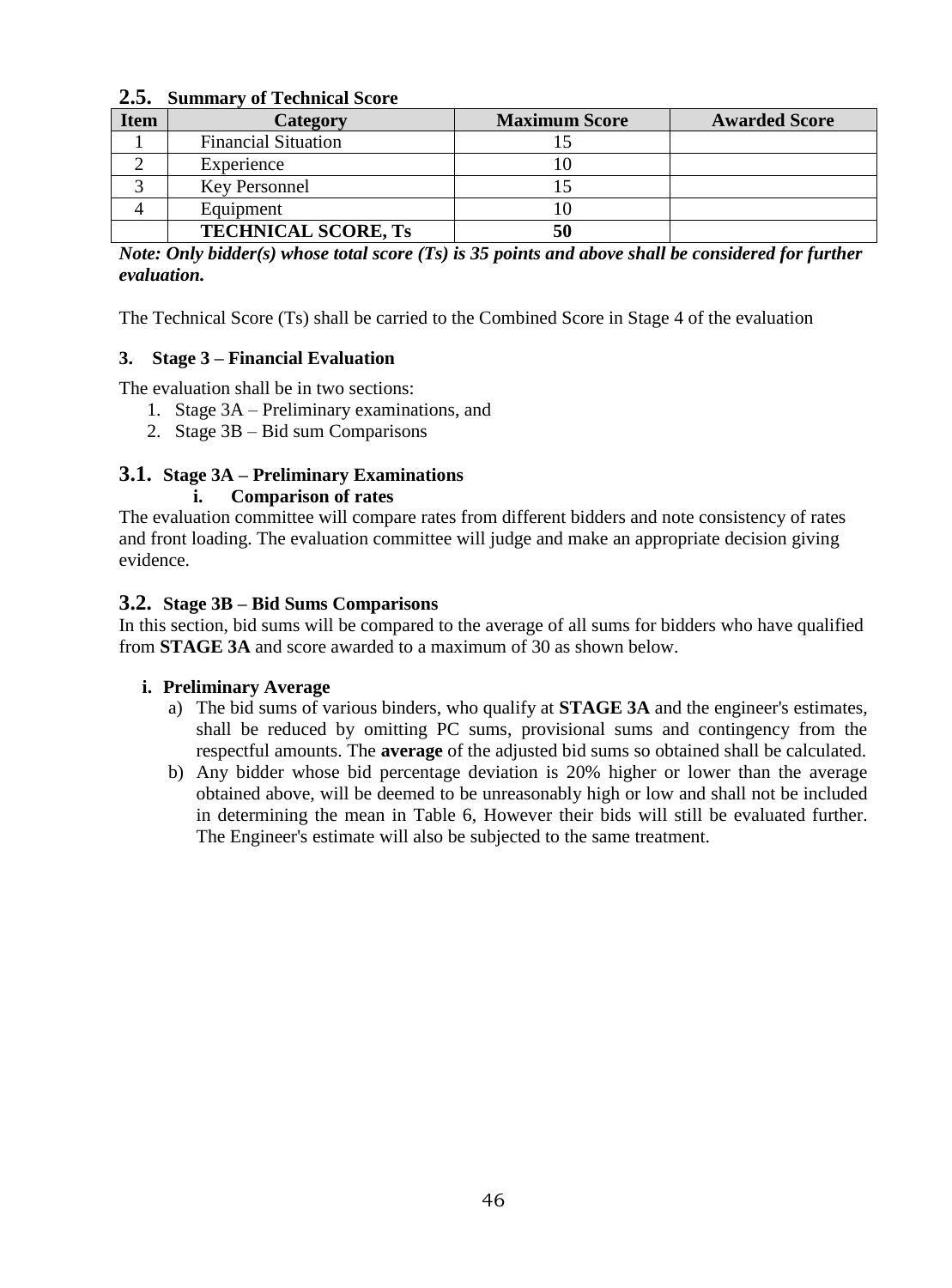#### **2.5. Summary of Technical Score**

| <b>Item</b> | Category                   | <b>Maximum Score</b> | <b>Awarded Score</b> |
|-------------|----------------------------|----------------------|----------------------|
|             | <b>Financial Situation</b> |                      |                      |
|             | Experience                 |                      |                      |
|             | Key Personnel              |                      |                      |
|             | Equipment                  |                      |                      |
|             | <b>TECHNICAL SCORE, Ts</b> | 50                   |                      |

*Note: Only bidder(s) whose total score (Ts) is 35 points and above shall be considered for further evaluation.* 

The Technical Score (Ts) shall be carried to the Combined Score in Stage 4 of the evaluation

#### **3. Stage 3 – Financial Evaluation**

The evaluation shall be in two sections:

- 1. Stage 3A Preliminary examinations, and
- 2. Stage 3B Bid sum Comparisons

#### **3.1. Stage 3A – Preliminary Examinations**

#### **i. Comparison of rates**

The evaluation committee will compare rates from different bidders and note consistency of rates and front loading. The evaluation committee will judge and make an appropriate decision giving evidence.

#### **3.2. Stage 3B – Bid Sums Comparisons**

In this section, bid sums will be compared to the average of all sums for bidders who have qualified from **STAGE 3A** and score awarded to a maximum of 30 as shown below.

#### **i. Preliminary Average**

- a) The bid sums of various binders, who qualify at **STAGE 3A** and the engineer's estimates, shall be reduced by omitting PC sums, provisional sums and contingency from the respectful amounts. The **average** of the adjusted bid sums so obtained shall be calculated.
- b) Any bidder whose bid percentage deviation is 20% higher or lower than the average obtained above, will be deemed to be unreasonably high or low and shall not be included in determining the mean in Table 6, However their bids will still be evaluated further. The Engineer's estimate will also be subjected to the same treatment.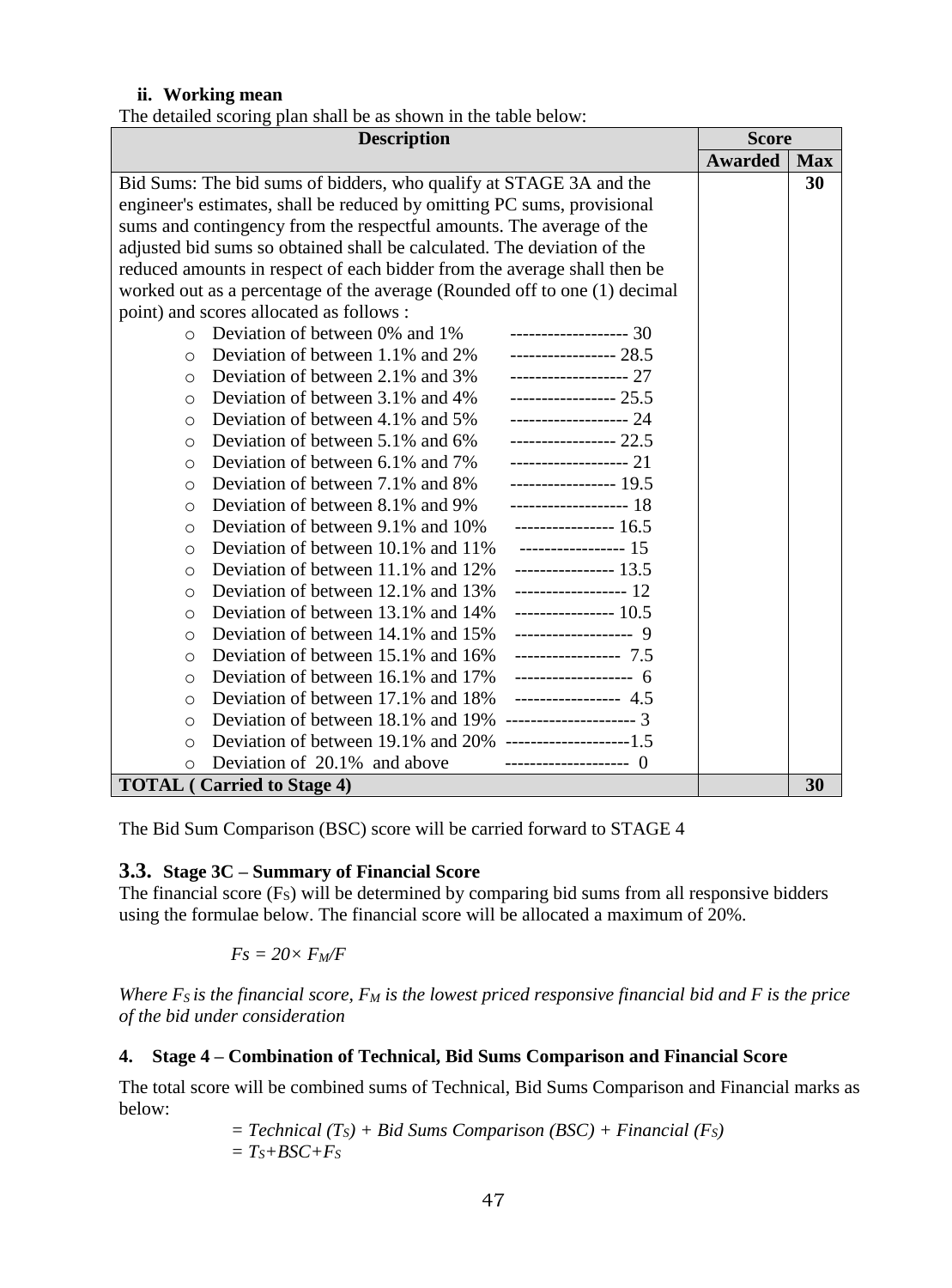#### **ii. Working mean**

The detailed scoring plan shall be as shown in the table below:

| <b>Description</b>                                                        |                | <b>Score</b> |
|---------------------------------------------------------------------------|----------------|--------------|
|                                                                           | <b>Awarded</b> | <b>Max</b>   |
| Bid Sums: The bid sums of bidders, who qualify at STAGE 3A and the        |                | 30           |
| engineer's estimates, shall be reduced by omitting PC sums, provisional   |                |              |
| sums and contingency from the respectful amounts. The average of the      |                |              |
| adjusted bid sums so obtained shall be calculated. The deviation of the   |                |              |
| reduced amounts in respect of each bidder from the average shall then be  |                |              |
| worked out as a percentage of the average (Rounded off to one (1) decimal |                |              |
| point) and scores allocated as follows :                                  |                |              |
| Deviation of between 0% and 1%<br>------------------- 30<br>$\Omega$      |                |              |
| Deviation of between 1.1% and 2%<br>----------------- 28.5<br>$\circ$     |                |              |
| Deviation of between 2.1% and 3%<br>------------------- 27<br>$\circ$     |                |              |
| ----------------- 25.5<br>Deviation of between 3.1% and 4%<br>$\bigcirc$  |                |              |
| Deviation of between 4.1% and 5%<br>------------------- 24<br>$\Omega$    |                |              |
| Deviation of between 5.1% and 6%<br>----------------- 22.5<br>$\bigcirc$  |                |              |
| Deviation of between 6.1% and 7%<br>------------------- 21<br>$\circ$     |                |              |
| ----------------- 19.5<br>Deviation of between 7.1% and 8%<br>$\circ$     |                |              |
| Deviation of between 8.1% and 9%<br>------------------- 18<br>$\circ$     |                |              |
| Deviation of between 9.1% and 10%<br>$--------- 16.5$<br>$\circ$          |                |              |
| Deviation of between 10.1% and 11%<br>------------------ 15<br>$\circ$    |                |              |
| Deviation of between 11.1% and 12%<br>$------ 13.5$<br>$\circ$            |                |              |
| ------------------ 12<br>Deviation of between 12.1% and 13%<br>$\circ$    |                |              |
| Deviation of between 13.1% and 14%<br>$--------- 10.5$<br>$\circ$         |                |              |
| Deviation of between 14.1% and 15%<br>------------------- 9<br>$\Omega$   |                |              |
| Deviation of between 15.1% and 16%<br>$--------- 7.5$<br>$\circ$          |                |              |
| Deviation of between 16.1% and 17%<br>------------------- 6<br>$\circ$    |                |              |
| ----------------- 4.5<br>Deviation of between 17.1% and 18%<br>$\circ$    |                |              |
| --------------------- 3<br>Deviation of between 18.1% and 19%<br>$\circ$  |                |              |
| $\bigcirc$                                                                |                |              |
| Deviation of 20.1% and above<br>--------------------- ()<br>$\circ$       |                |              |
| <b>TOTAL</b> (Carried to Stage 4)                                         |                | 30           |

The Bid Sum Comparison (BSC) score will be carried forward to STAGE 4

#### **3.3. Stage 3C – Summary of Financial Score**

The financial score  $(F<sub>S</sub>)$  will be determined by comparing bid sums from all responsive bidders using the formulae below. The financial score will be allocated a maximum of 20%.

$$
Fs = 20 \times F_M/F
$$

*Where FS is the financial score, F<sup>M</sup> is the lowest priced responsive financial bid and F is the price of the bid under consideration*

#### **4. Stage 4 – Combination of Technical, Bid Sums Comparison and Financial Score**

The total score will be combined sums of Technical, Bid Sums Comparison and Financial marks as below:

$$
= Technical (Ts) + Bid Sums Comparison (BSC) + Financial (Fs)
$$
  
= Ts+ BSC+Fs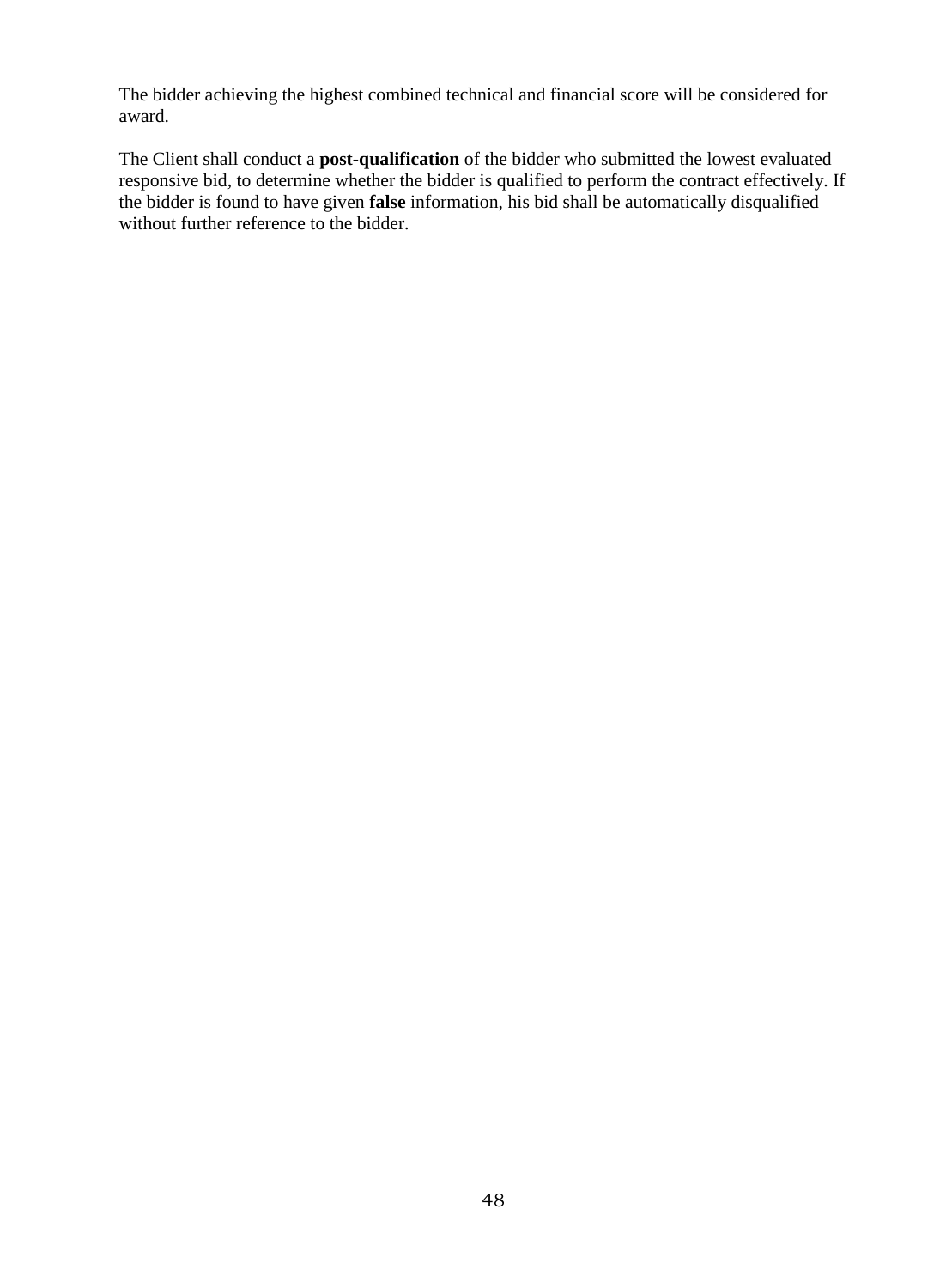The bidder achieving the highest combined technical and financial score will be considered for award.

<span id="page-47-0"></span>The Client shall conduct a **post-qualification** of the bidder who submitted the lowest evaluated responsive bid, to determine whether the bidder is qualified to perform the contract effectively. If the bidder is found to have given **false** information, his bid shall be automatically disqualified without further reference to the bidder.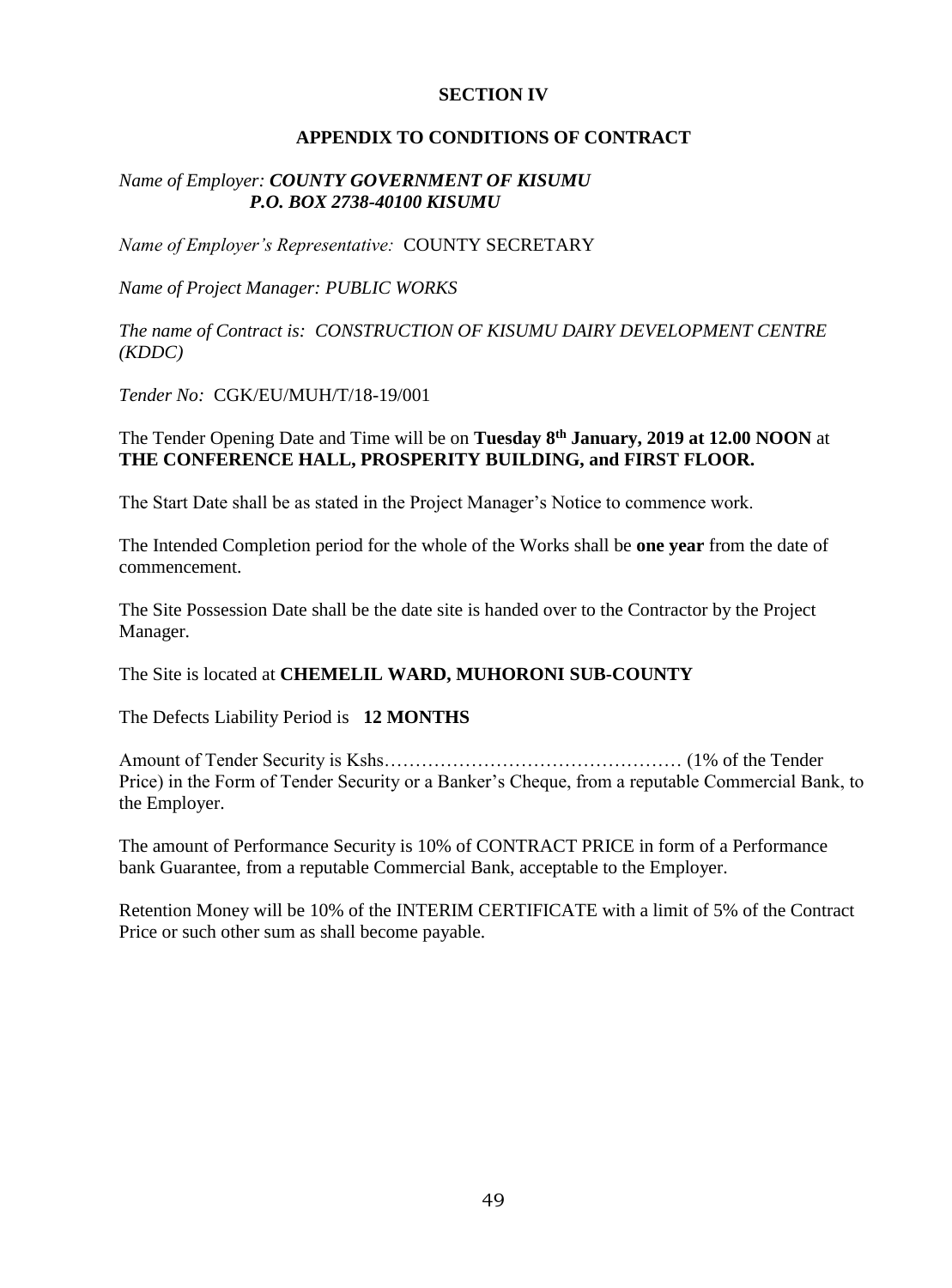#### **SECTION IV**

#### **APPENDIX TO CONDITIONS OF CONTRACT**

#### <span id="page-48-0"></span>*Name of Employer: COUNTY GOVERNMENT OF KISUMU P.O. BOX 2738-40100 KISUMU*

*Name of Employer's Representative:* COUNTY SECRETARY

*Name of Project Manager: PUBLIC WORKS* 

*The name of Contract is: CONSTRUCTION OF KISUMU DAIRY DEVELOPMENT CENTRE (KDDC)*

*Tender No:* CGK/EU/MUH/T/18-19/001

#### The Tender Opening Date and Time will be on **Tuesday 8th January, 2019 at 12.00 NOON** at **THE CONFERENCE HALL, PROSPERITY BUILDING, and FIRST FLOOR.**

The Start Date shall be as stated in the Project Manager's Notice to commence work.

The Intended Completion period for the whole of the Works shall be **one year** from the date of commencement.

The Site Possession Date shall be the date site is handed over to the Contractor by the Project Manager.

The Site is located at **CHEMELIL WARD, MUHORONI SUB-COUNTY**

The Defects Liability Period is **12 MONTHS**

Amount of Tender Security is Kshs………………………………………… (1% of the Tender Price) in the Form of Tender Security or a Banker's Cheque, from a reputable Commercial Bank, to the Employer.

The amount of Performance Security is 10% of CONTRACT PRICE in form of a Performance bank Guarantee, from a reputable Commercial Bank, acceptable to the Employer.

<span id="page-48-1"></span>Retention Money will be 10% of the INTERIM CERTIFICATE with a limit of 5% of the Contract Price or such other sum as shall become payable.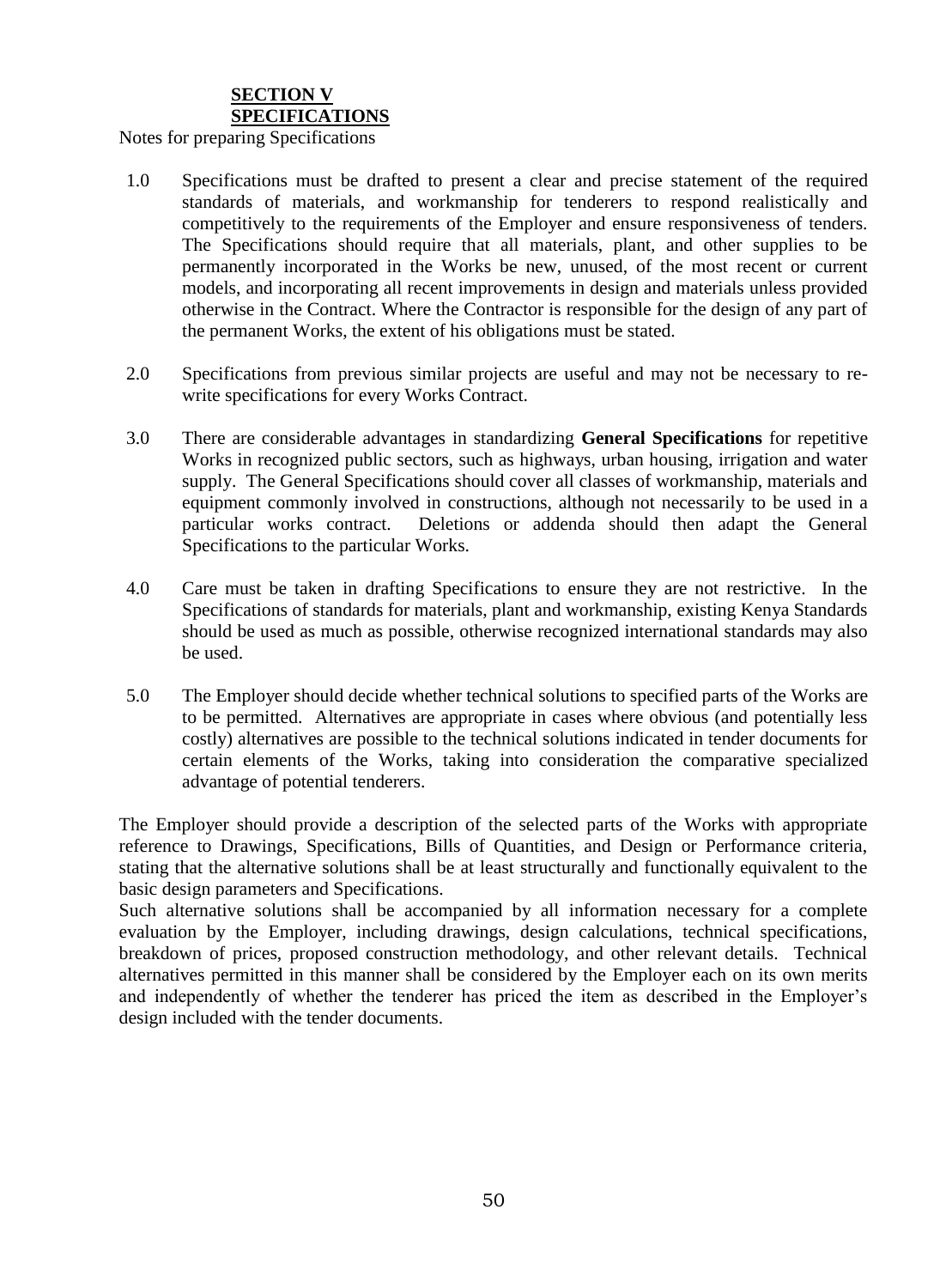#### **SECTION V SPECIFICATIONS**

Notes for preparing Specifications

- 1.0 Specifications must be drafted to present a clear and precise statement of the required standards of materials, and workmanship for tenderers to respond realistically and competitively to the requirements of the Employer and ensure responsiveness of tenders. The Specifications should require that all materials, plant, and other supplies to be permanently incorporated in the Works be new, unused, of the most recent or current models, and incorporating all recent improvements in design and materials unless provided otherwise in the Contract. Where the Contractor is responsible for the design of any part of the permanent Works, the extent of his obligations must be stated.
- 2.0 Specifications from previous similar projects are useful and may not be necessary to rewrite specifications for every Works Contract.
- 3.0 There are considerable advantages in standardizing **General Specifications** for repetitive Works in recognized public sectors, such as highways, urban housing, irrigation and water supply. The General Specifications should cover all classes of workmanship, materials and equipment commonly involved in constructions, although not necessarily to be used in a particular works contract. Deletions or addenda should then adapt the General Specifications to the particular Works.
- 4.0 Care must be taken in drafting Specifications to ensure they are not restrictive. In the Specifications of standards for materials, plant and workmanship, existing Kenya Standards should be used as much as possible, otherwise recognized international standards may also be used.
- 5.0 The Employer should decide whether technical solutions to specified parts of the Works are to be permitted. Alternatives are appropriate in cases where obvious (and potentially less costly) alternatives are possible to the technical solutions indicated in tender documents for certain elements of the Works, taking into consideration the comparative specialized advantage of potential tenderers.

The Employer should provide a description of the selected parts of the Works with appropriate reference to Drawings, Specifications, Bills of Quantities, and Design or Performance criteria, stating that the alternative solutions shall be at least structurally and functionally equivalent to the basic design parameters and Specifications.

<span id="page-49-0"></span>Such alternative solutions shall be accompanied by all information necessary for a complete evaluation by the Employer, including drawings, design calculations, technical specifications, breakdown of prices, proposed construction methodology, and other relevant details. Technical alternatives permitted in this manner shall be considered by the Employer each on its own merits and independently of whether the tenderer has priced the item as described in the Employer's design included with the tender documents.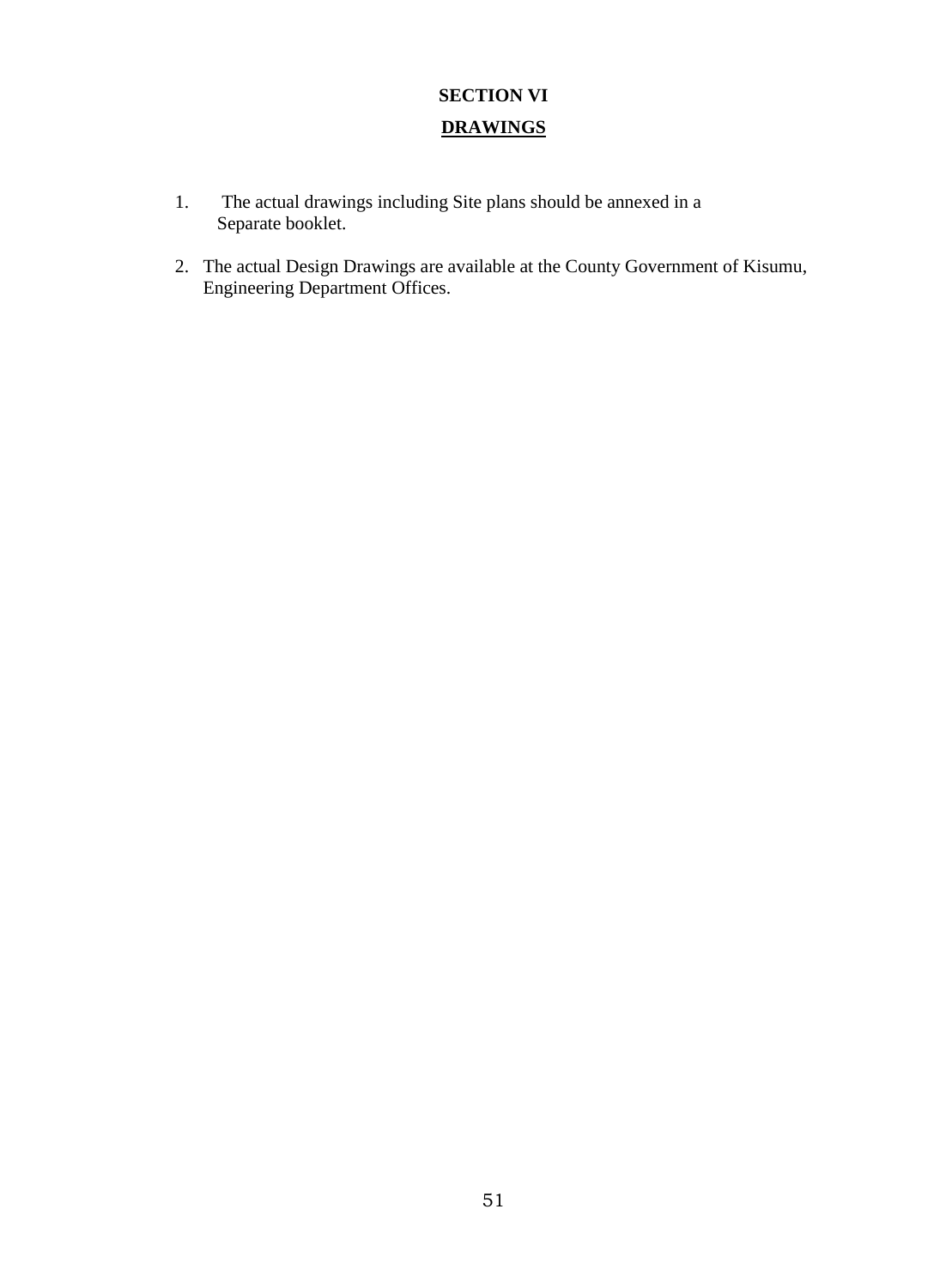# **SECTION VI DRAWINGS**

- <span id="page-50-0"></span>1. The actual drawings including Site plans should be annexed in a Separate booklet.
- <span id="page-50-1"></span>2. The actual Design Drawings are available at the County Government of Kisumu, Engineering Department Offices.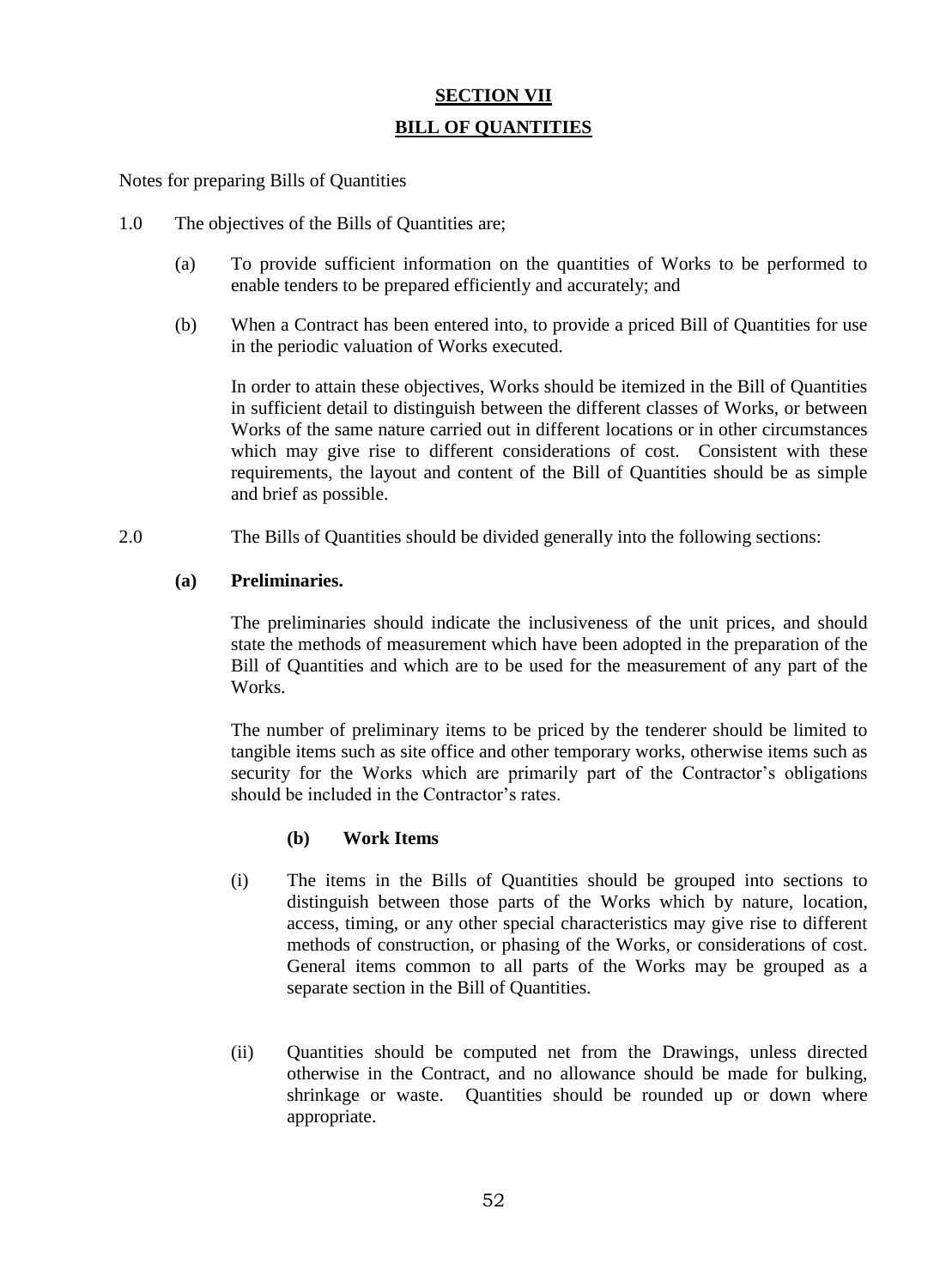#### **SECTION VII**

#### **BILL OF QUANTITIES**

Notes for preparing Bills of Quantities

- 1.0 The objectives of the Bills of Quantities are;
	- (a) To provide sufficient information on the quantities of Works to be performed to enable tenders to be prepared efficiently and accurately; and
	- (b) When a Contract has been entered into, to provide a priced Bill of Quantities for use in the periodic valuation of Works executed.

In order to attain these objectives, Works should be itemized in the Bill of Quantities in sufficient detail to distinguish between the different classes of Works, or between Works of the same nature carried out in different locations or in other circumstances which may give rise to different considerations of cost. Consistent with these requirements, the layout and content of the Bill of Quantities should be as simple and brief as possible.

2.0 The Bills of Quantities should be divided generally into the following sections:

#### **(a) Preliminaries.**

The preliminaries should indicate the inclusiveness of the unit prices, and should state the methods of measurement which have been adopted in the preparation of the Bill of Quantities and which are to be used for the measurement of any part of the Works.

The number of preliminary items to be priced by the tenderer should be limited to tangible items such as site office and other temporary works, otherwise items such as security for the Works which are primarily part of the Contractor's obligations should be included in the Contractor's rates.

#### **(b) Work Items**

- (i) The items in the Bills of Quantities should be grouped into sections to distinguish between those parts of the Works which by nature, location, access, timing, or any other special characteristics may give rise to different methods of construction, or phasing of the Works, or considerations of cost. General items common to all parts of the Works may be grouped as a separate section in the Bill of Quantities.
- (ii) Quantities should be computed net from the Drawings, unless directed otherwise in the Contract, and no allowance should be made for bulking, shrinkage or waste. Quantities should be rounded up or down where appropriate.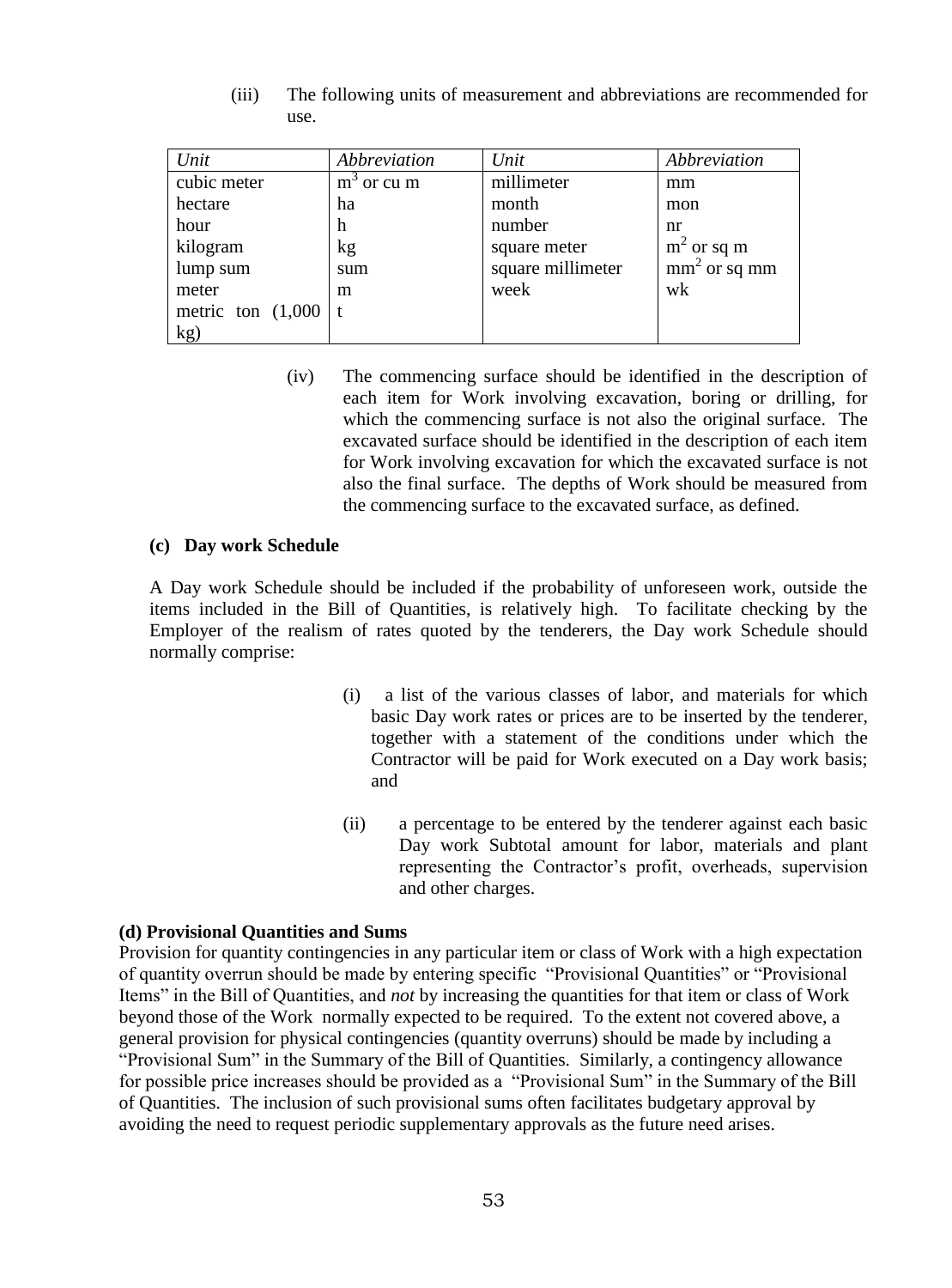| Unit                 | Abbreviation | Unit              | Abbreviation   |
|----------------------|--------------|-------------------|----------------|
| cubic meter          | $m3$ or cu m | millimeter        | mm             |
| hectare              | ha           | month             | mon            |
| hour                 | h            | number            | nr             |
| kilogram             | kg           | square meter      | $m2$ or sq m   |
| lump sum             | sum          | square millimeter | $mm2$ or sq mm |
| meter                | m            | week              | wk             |
| metric ton $(1,000)$ |              |                   |                |
| kg)                  |              |                   |                |

(iii) The following units of measurement and abbreviations are recommended for use.

(iv) The commencing surface should be identified in the description of each item for Work involving excavation, boring or drilling, for which the commencing surface is not also the original surface. The excavated surface should be identified in the description of each item for Work involving excavation for which the excavated surface is not also the final surface. The depths of Work should be measured from the commencing surface to the excavated surface, as defined.

#### **(c) Day work Schedule**

A Day work Schedule should be included if the probability of unforeseen work, outside the items included in the Bill of Quantities, is relatively high. To facilitate checking by the Employer of the realism of rates quoted by the tenderers, the Day work Schedule should normally comprise:

- (i) a list of the various classes of labor, and materials for which basic Day work rates or prices are to be inserted by the tenderer, together with a statement of the conditions under which the Contractor will be paid for Work executed on a Day work basis; and
- (ii) a percentage to be entered by the tenderer against each basic Day work Subtotal amount for labor, materials and plant representing the Contractor's profit, overheads, supervision and other charges.

#### **(d) Provisional Quantities and Sums**

Provision for quantity contingencies in any particular item or class of Work with a high expectation of quantity overrun should be made by entering specific "Provisional Quantities" or "Provisional Items" in the Bill of Quantities, and *not* by increasing the quantities for that item or class of Work beyond those of the Work normally expected to be required. To the extent not covered above, a general provision for physical contingencies (quantity overruns) should be made by including a "Provisional Sum" in the Summary of the Bill of Quantities. Similarly, a contingency allowance for possible price increases should be provided as a "Provisional Sum" in the Summary of the Bill of Quantities. The inclusion of such provisional sums often facilitates budgetary approval by avoiding the need to request periodic supplementary approvals as the future need arises.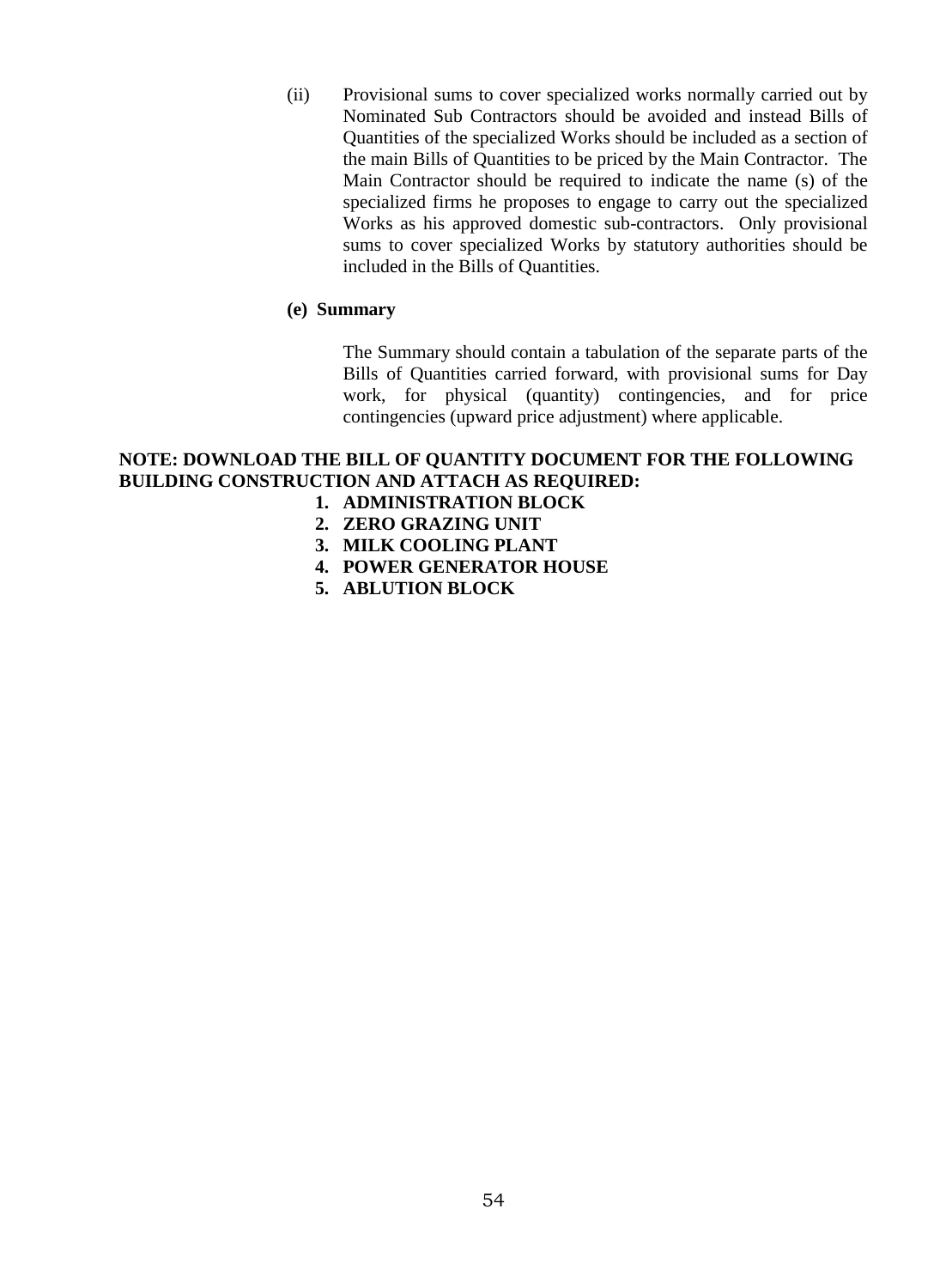(ii) Provisional sums to cover specialized works normally carried out by Nominated Sub Contractors should be avoided and instead Bills of Quantities of the specialized Works should be included as a section of the main Bills of Quantities to be priced by the Main Contractor. The Main Contractor should be required to indicate the name (s) of the specialized firms he proposes to engage to carry out the specialized Works as his approved domestic sub-contractors. Only provisional sums to cover specialized Works by statutory authorities should be included in the Bills of Quantities.

#### **(e) Summary**

The Summary should contain a tabulation of the separate parts of the Bills of Quantities carried forward, with provisional sums for Day work, for physical (quantity) contingencies, and for price contingencies (upward price adjustment) where applicable.

#### <span id="page-53-0"></span>**NOTE: DOWNLOAD THE BILL OF QUANTITY DOCUMENT FOR THE FOLLOWING BUILDING CONSTRUCTION AND ATTACH AS REQUIRED:**

- **1. ADMINISTRATION BLOCK**
- **2. ZERO GRAZING UNIT**
- **3. MILK COOLING PLANT**
- **4. POWER GENERATOR HOUSE**
- **5. ABLUTION BLOCK**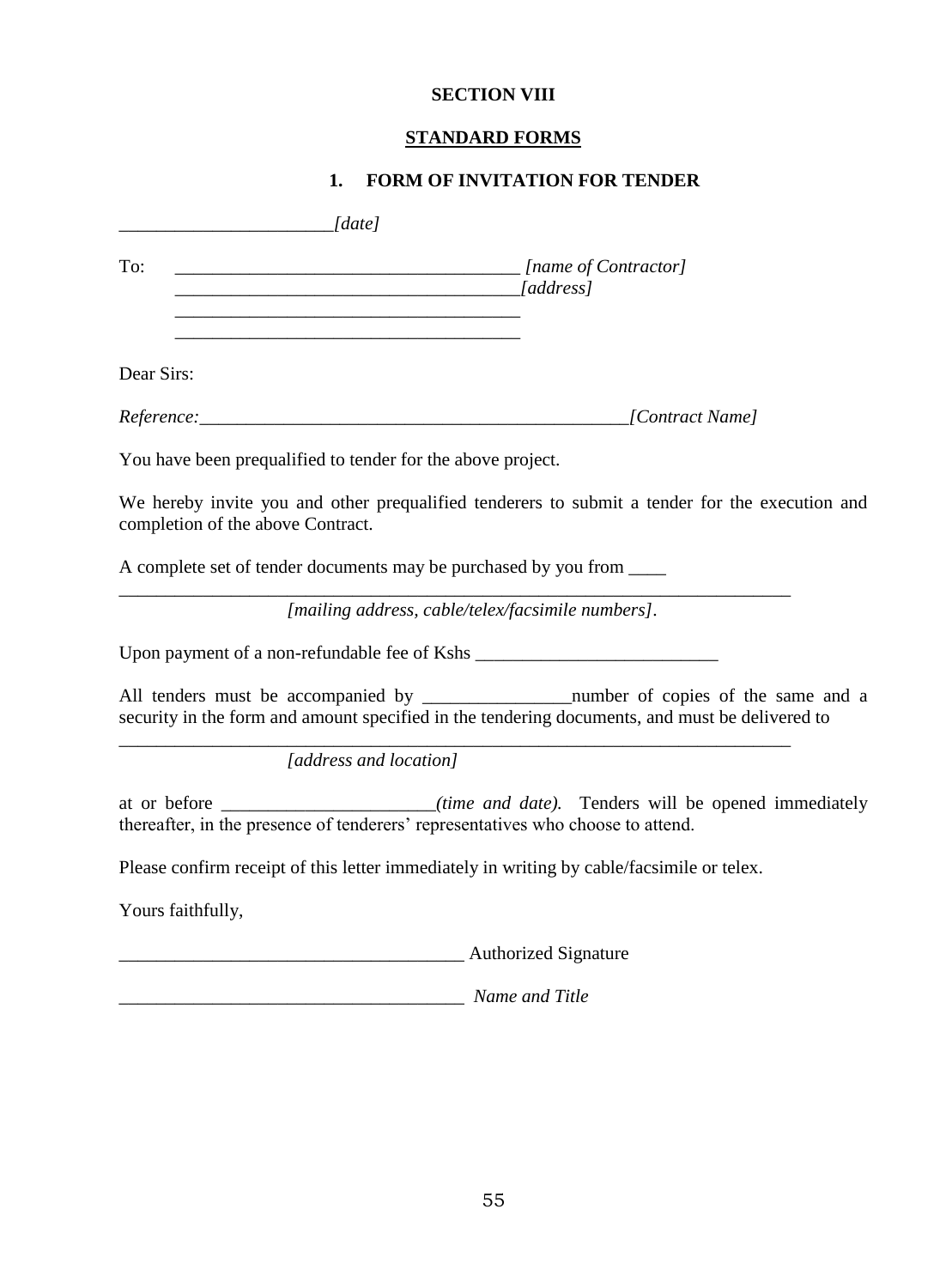# **SECTION VIII**

# **STANDARD FORMS**

# **1. FORM OF INVITATION FOR TENDER**

<span id="page-54-1"></span><span id="page-54-0"></span>

|                                   | [date]                                                                                                                                                                                          |
|-----------------------------------|-------------------------------------------------------------------------------------------------------------------------------------------------------------------------------------------------|
| To:                               | [name of Contractor]<br>$\sqrt{address}$                                                                                                                                                        |
| Dear Sirs:                        | <u> 1980 - Johann Barn, fransk politik (d. 1980)</u>                                                                                                                                            |
|                                   | [Contract Name]                                                                                                                                                                                 |
|                                   | You have been prequalified to tender for the above project.                                                                                                                                     |
| completion of the above Contract. | We hereby invite you and other prequalified tenderers to submit a tender for the execution and                                                                                                  |
|                                   | A complete set of tender documents may be purchased by you from ______                                                                                                                          |
|                                   | [mailing address, cable/telex/facsimile numbers].                                                                                                                                               |
|                                   |                                                                                                                                                                                                 |
|                                   | All tenders must be accompanied by ________________________number of copies of the same and a<br>security in the form and amount specified in the tendering documents, and must be delivered to |
|                                   | [address and location]                                                                                                                                                                          |
|                                   | at or before ______________________(time and date). Tenders will be opened immediately<br>thereafter, in the presence of tenderers' representatives who choose to attend.                       |
|                                   | Please confirm receipt of this letter immediately in writing by cable/facsimile or telex.                                                                                                       |
| Yours faithfully,                 |                                                                                                                                                                                                 |
|                                   | <b>Example 2</b> Authorized Signature                                                                                                                                                           |
|                                   | Name and Title                                                                                                                                                                                  |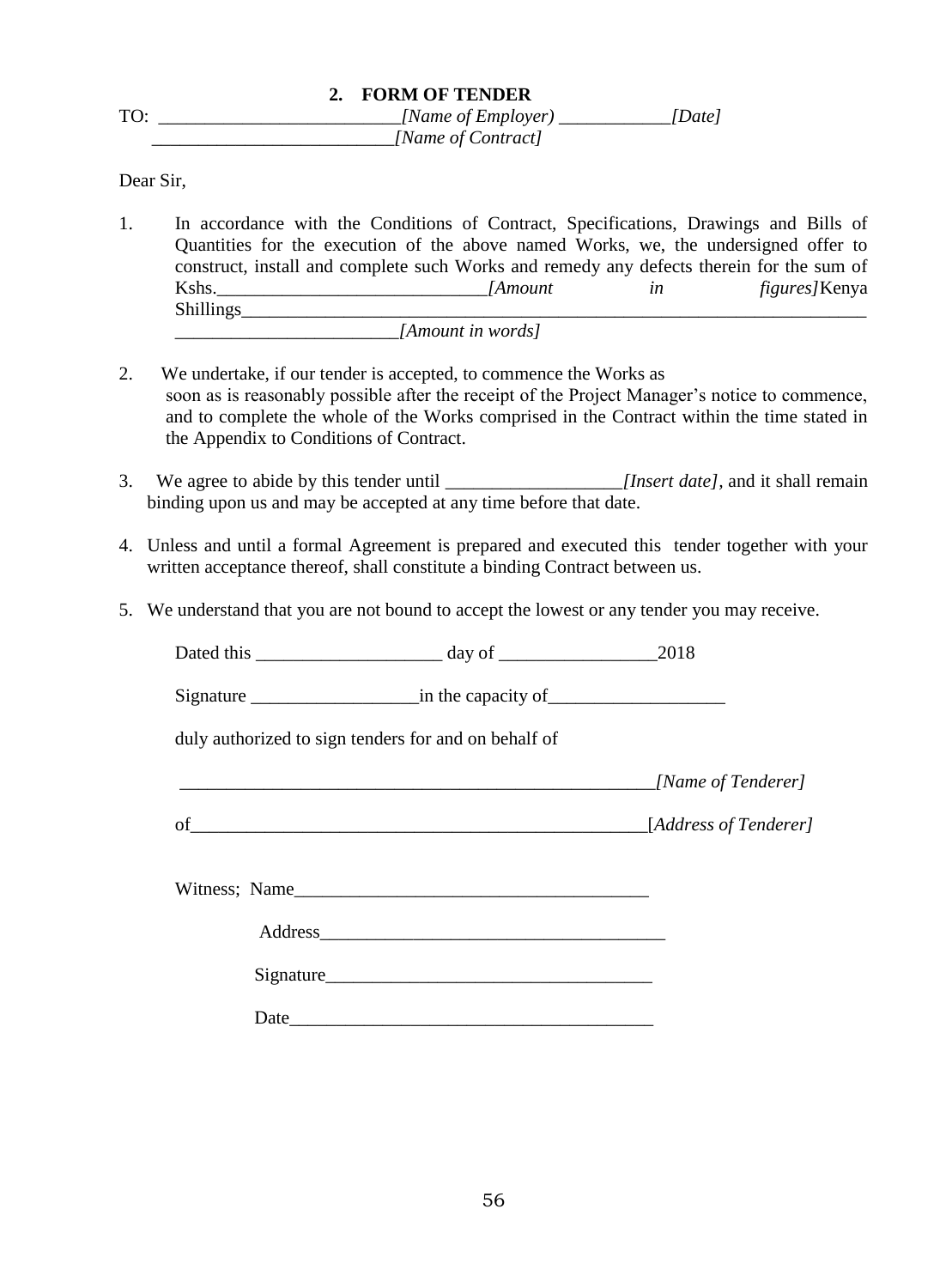<span id="page-55-0"></span>

|     | 2. FORM OF TENDER  |        |
|-----|--------------------|--------|
| TO: | [Name of Employer) | [Date] |
|     | [Name of Contract] |        |

Dear Sir,

- 1. In accordance with the Conditions of Contract, Specifications, Drawings and Bills of Quantities for the execution of the above named Works, we, the undersigned offer to construct, install and complete such Works and remedy any defects therein for the sum of Kshs.\_\_\_\_\_\_\_\_\_\_\_\_\_\_\_\_\_\_\_\_\_\_\_\_\_\_\_\_\_*[Amount in figures]*Kenya Shillings *\_\_\_\_\_\_\_\_\_\_\_\_\_\_\_\_\_\_\_\_\_\_\_\_[Amount in words]*
- 2. We undertake, if our tender is accepted, to commence the Works as soon as is reasonably possible after the receipt of the Project Manager's notice to commence, and to complete the whole of the Works comprised in the Contract within the time stated in the Appendix to Conditions of Contract.
- 3. We agree to abide by this tender until \_\_\_\_\_\_\_\_\_\_\_\_\_\_\_\_\_\_\_*[Insert date],* and it shall remain binding upon us and may be accepted at any time before that date.
- 4. Unless and until a formal Agreement is prepared and executed this tender together with your written acceptance thereof, shall constitute a binding Contract between us.
- 5. We understand that you are not bound to accept the lowest or any tender you may receive.

| duly authorized to sign tenders for and on behalf of |                           |
|------------------------------------------------------|---------------------------|
|                                                      | <i>Mame of Tenderer</i> ] |
| of $\overline{\phantom{a}}$                          | [Address of Tenderer]     |
| Witness; Name                                        |                           |
|                                                      |                           |
|                                                      |                           |
|                                                      |                           |
|                                                      |                           |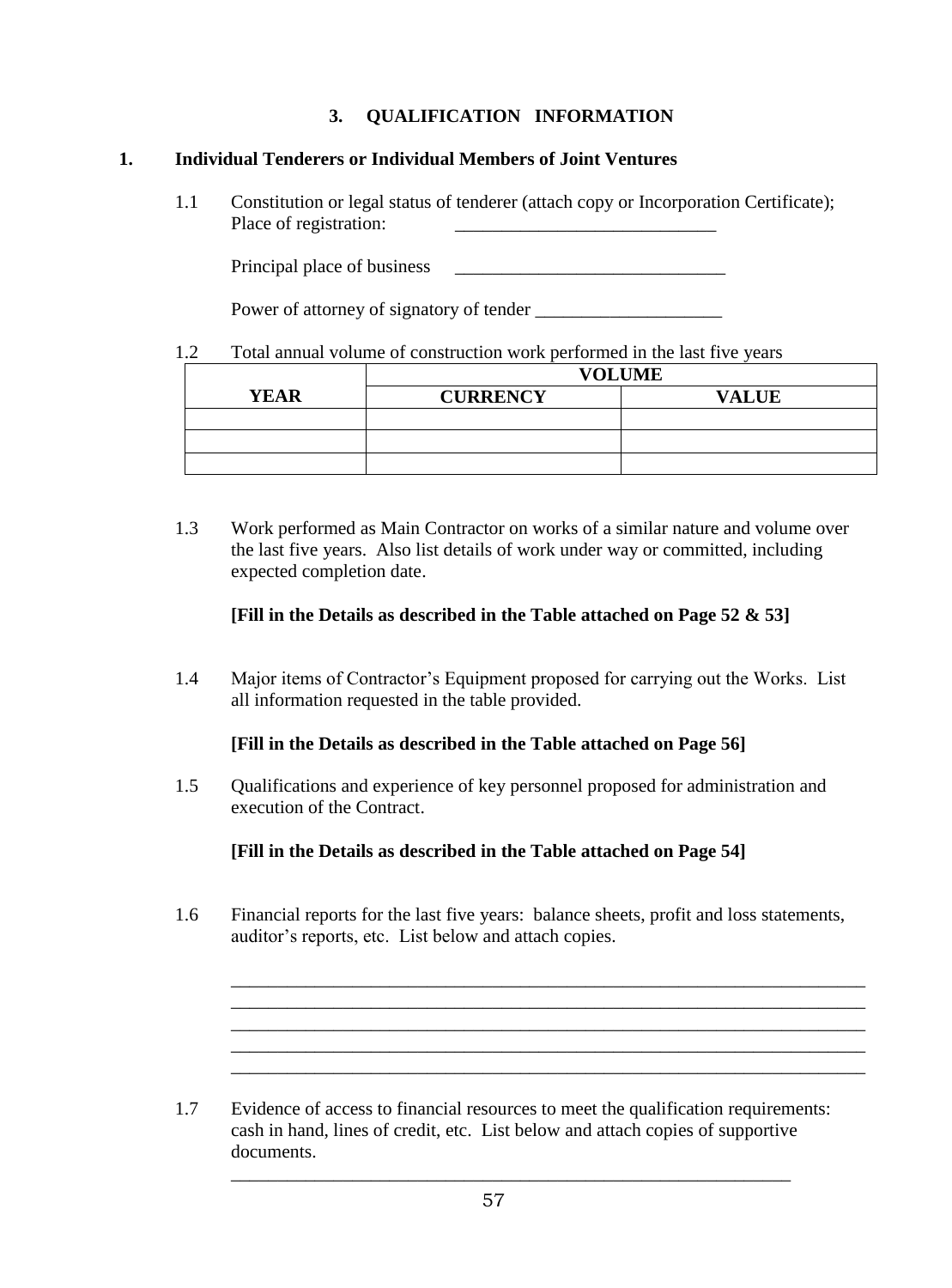# **3. QUALIFICATION INFORMATION**

#### <span id="page-56-0"></span>**1. Individual Tenderers or Individual Members of Joint Ventures**

1.1 Constitution or legal status of tenderer (attach copy or Incorporation Certificate); Place of registration:

Principal place of business

Power of attorney of signatory of tender

#### 1.2 Total annual volume of construction work performed in the last five years

|             | <b>VOLUME</b>                   |  |  |  |
|-------------|---------------------------------|--|--|--|
| <b>YEAR</b> | <b>CURRENCY</b><br><b>VALUE</b> |  |  |  |
|             |                                 |  |  |  |
|             |                                 |  |  |  |
|             |                                 |  |  |  |

1.3 Work performed as Main Contractor on works of a similar nature and volume over the last five years. Also list details of work under way or committed, including expected completion date.

#### **[Fill in the Details as described in the Table attached on Page 52 & 53]**

1.4 Major items of Contractor's Equipment proposed for carrying out the Works. List all information requested in the table provided.

#### **[Fill in the Details as described in the Table attached on Page 56]**

1.5 Qualifications and experience of key personnel proposed for administration and execution of the Contract.

**[Fill in the Details as described in the Table attached on Page 54]**

1.6 Financial reports for the last five years: balance sheets, profit and loss statements, auditor's reports, etc. List below and attach copies.

\_\_\_\_\_\_\_\_\_\_\_\_\_\_\_\_\_\_\_\_\_\_\_\_\_\_\_\_\_\_\_\_\_\_\_\_\_\_\_\_\_\_\_\_\_\_\_\_\_\_\_\_\_\_\_\_\_\_\_\_\_\_\_\_\_\_\_\_ \_\_\_\_\_\_\_\_\_\_\_\_\_\_\_\_\_\_\_\_\_\_\_\_\_\_\_\_\_\_\_\_\_\_\_\_\_\_\_\_\_\_\_\_\_\_\_\_\_\_\_\_\_\_\_\_\_\_\_\_\_\_\_\_\_\_\_\_ \_\_\_\_\_\_\_\_\_\_\_\_\_\_\_\_\_\_\_\_\_\_\_\_\_\_\_\_\_\_\_\_\_\_\_\_\_\_\_\_\_\_\_\_\_\_\_\_\_\_\_\_\_\_\_\_\_\_\_\_\_\_\_\_\_\_\_\_

\_\_\_\_\_\_\_\_\_\_\_\_\_\_\_\_\_\_\_\_\_\_\_\_\_\_\_\_\_\_\_\_\_\_\_\_\_\_\_\_\_\_\_\_\_\_\_\_\_\_\_\_\_\_\_\_\_\_\_\_\_\_\_\_\_\_\_\_

1.7 Evidence of access to financial resources to meet the qualification requirements: cash in hand, lines of credit, etc. List below and attach copies of supportive documents.

\_\_\_\_\_\_\_\_\_\_\_\_\_\_\_\_\_\_\_\_\_\_\_\_\_\_\_\_\_\_\_\_\_\_\_\_\_\_\_\_\_\_\_\_\_\_\_\_\_\_\_\_\_\_\_\_\_\_\_\_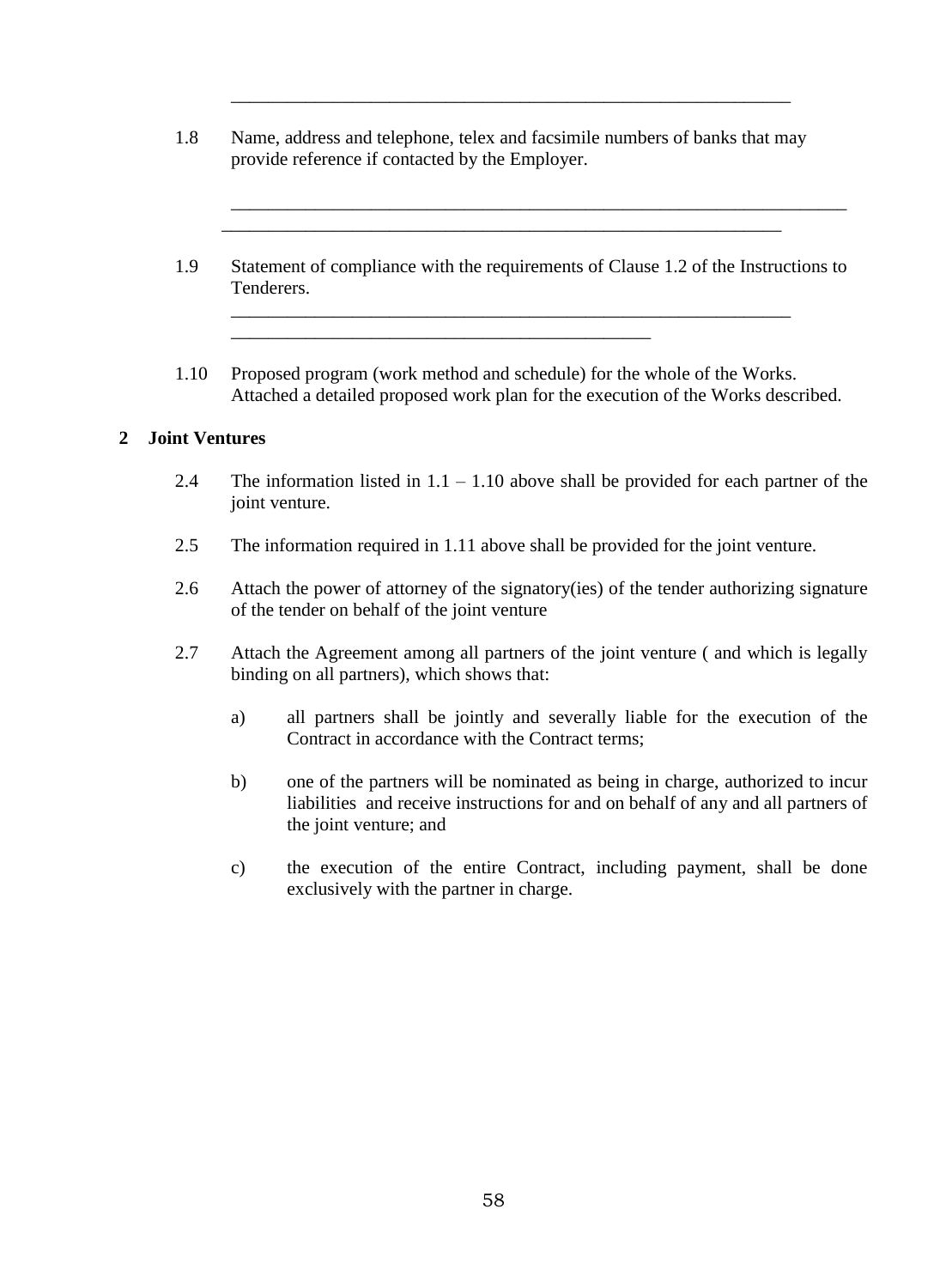1.8 Name, address and telephone, telex and facsimile numbers of banks that may provide reference if contacted by the Employer.

 $\overline{\phantom{a}}$  ,  $\overline{\phantom{a}}$  ,  $\overline{\phantom{a}}$  ,  $\overline{\phantom{a}}$  ,  $\overline{\phantom{a}}$  ,  $\overline{\phantom{a}}$  ,  $\overline{\phantom{a}}$  ,  $\overline{\phantom{a}}$  ,  $\overline{\phantom{a}}$  ,  $\overline{\phantom{a}}$  ,  $\overline{\phantom{a}}$  ,  $\overline{\phantom{a}}$  ,  $\overline{\phantom{a}}$  ,  $\overline{\phantom{a}}$  ,  $\overline{\phantom{a}}$  ,  $\overline{\phantom{a}}$ 

\_\_\_\_\_\_\_\_\_\_\_\_\_\_\_\_\_\_\_\_\_\_\_\_\_\_\_\_\_\_\_\_\_\_\_\_\_\_\_\_\_\_\_\_\_

\_\_\_\_\_\_\_\_\_\_\_\_\_\_\_\_\_\_\_\_\_\_\_\_\_\_\_\_\_\_\_\_\_\_\_\_\_\_\_\_\_\_\_\_\_\_\_\_\_\_\_\_\_\_\_\_\_\_\_\_

1.9 Statement of compliance with the requirements of Clause 1.2 of the Instructions to Tenderers.

\_\_\_\_\_\_\_\_\_\_\_\_\_\_\_\_\_\_\_\_\_\_\_\_\_\_\_\_\_\_\_\_\_\_\_\_\_\_\_\_\_\_\_\_\_\_\_\_\_\_\_\_\_\_\_\_\_\_\_\_

\_\_\_\_\_\_\_\_\_\_\_\_\_\_\_\_\_\_\_\_\_\_\_\_\_\_\_\_\_\_\_\_\_\_\_\_\_\_\_\_\_\_\_\_\_\_\_\_\_\_\_\_\_\_\_\_\_\_\_\_\_\_\_\_\_\_

1.10 Proposed program (work method and schedule) for the whole of the Works. Attached a detailed proposed work plan for the execution of the Works described.

#### **2 Joint Ventures**

- 2.4 The information listed in  $1.1 1.10$  above shall be provided for each partner of the joint venture.
- 2.5 The information required in 1.11 above shall be provided for the joint venture.
- 2.6 Attach the power of attorney of the signatory(ies) of the tender authorizing signature of the tender on behalf of the joint venture
- <span id="page-57-0"></span>2.7 Attach the Agreement among all partners of the joint venture ( and which is legally binding on all partners), which shows that:
	- a) all partners shall be jointly and severally liable for the execution of the Contract in accordance with the Contract terms;
	- b) one of the partners will be nominated as being in charge, authorized to incur liabilities and receive instructions for and on behalf of any and all partners of the joint venture; and
	- c) the execution of the entire Contract, including payment, shall be done exclusively with the partner in charge.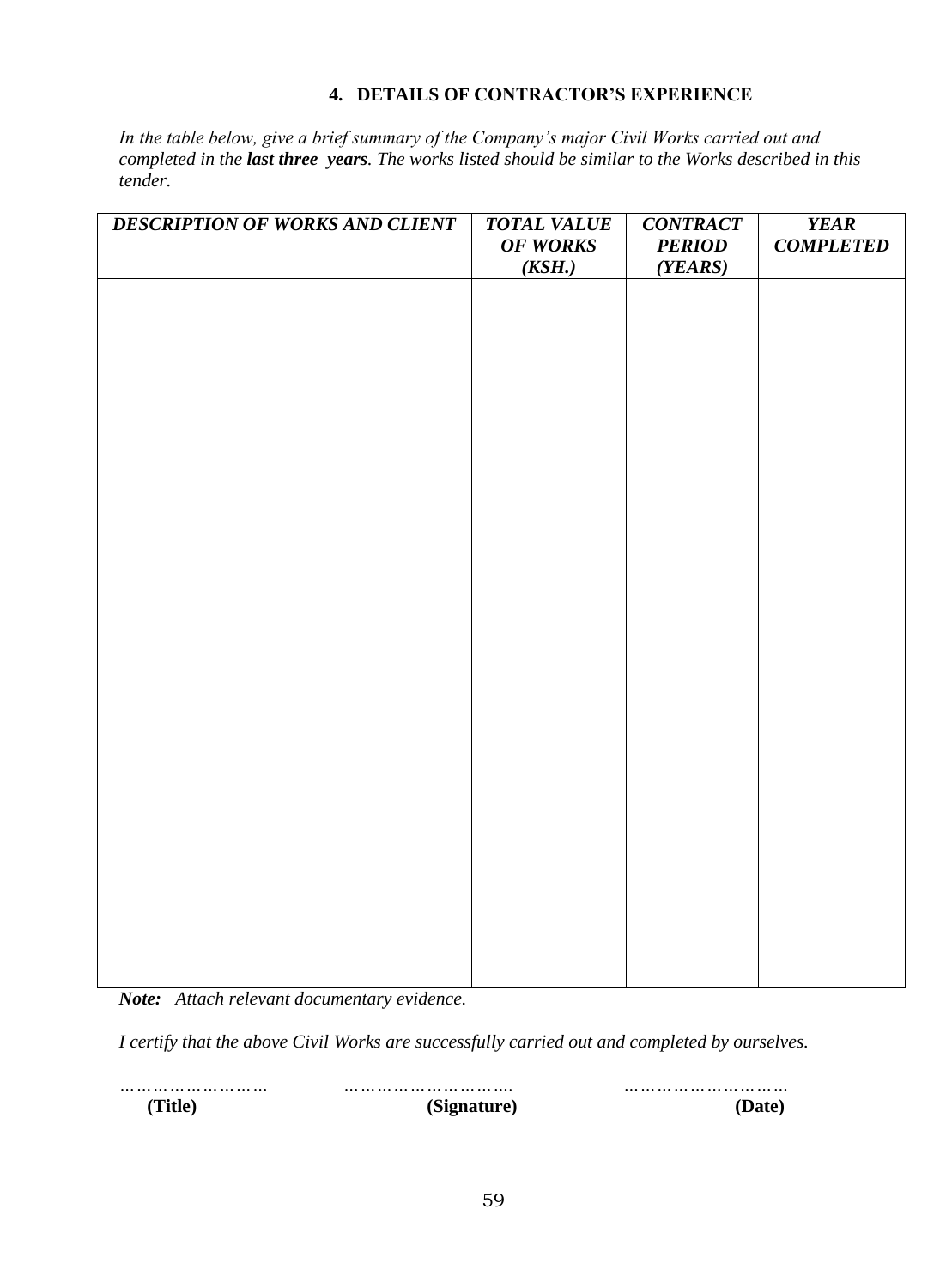#### **4. DETAILS OF CONTRACTOR'S EXPERIENCE**

*In the table below, give a brief summary of the Company's major Civil Works carried out and completed in the last three years. The works listed should be similar to the Works described in this tender.*

| DESCRIPTION OF WORKS AND CLIENT | <b>TOTAL VALUE</b><br><b>OF WORKS</b><br>(KSH.) | <b>CONTRACT</b><br><b>PERIOD</b><br>(YEARS) | <b>YEAR</b><br><b>COMPLETED</b> |
|---------------------------------|-------------------------------------------------|---------------------------------------------|---------------------------------|
|                                 |                                                 |                                             |                                 |
|                                 |                                                 |                                             |                                 |
|                                 |                                                 |                                             |                                 |
|                                 |                                                 |                                             |                                 |
|                                 |                                                 |                                             |                                 |
|                                 |                                                 |                                             |                                 |
|                                 |                                                 |                                             |                                 |
|                                 |                                                 |                                             |                                 |
|                                 |                                                 |                                             |                                 |
|                                 |                                                 |                                             |                                 |
|                                 |                                                 |                                             |                                 |
|                                 |                                                 |                                             |                                 |
|                                 |                                                 |                                             |                                 |

*Note: Attach relevant documentary evidence.*

*I certify that the above Civil Works are successfully carried out and completed by ourselves.*

*……………………… …………………………. …………………………*  **(Title) (Signature) (Date)**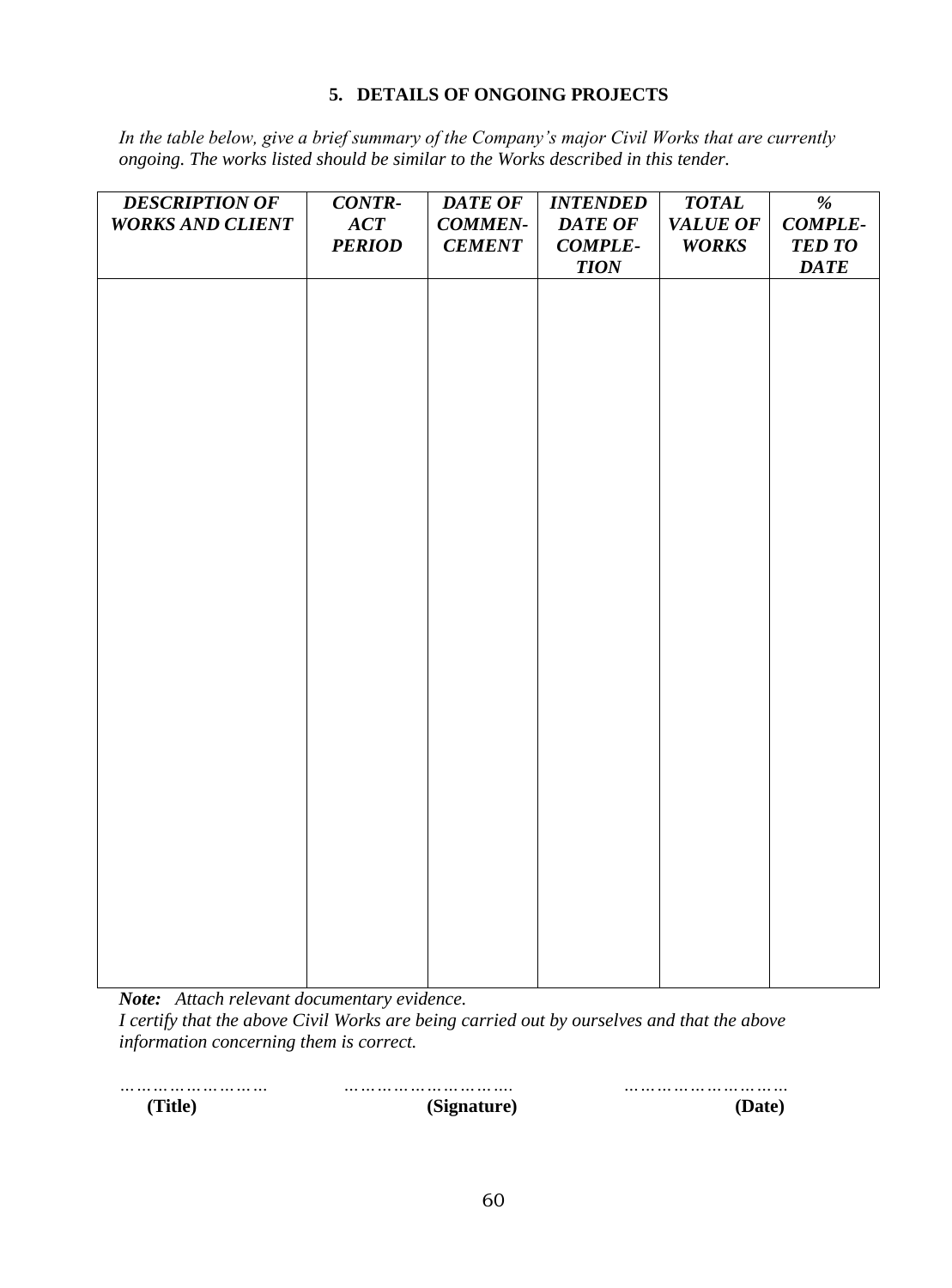#### **5. DETAILS OF ONGOING PROJECTS**

<span id="page-59-0"></span>*In the table below, give a brief summary of the Company's major Civil Works that are currently ongoing. The works listed should be similar to the Works described in this tender.*

| <b>DESCRIPTION OF</b><br><b>WORKS AND CLIENT</b> | <b>CONTR-</b><br>ACT<br><b>PERIOD</b> | <b>DATE OF</b><br><b>COMMEN-</b><br><b>CEMENT</b> | <b>INTENDED</b><br><b>DATE OF</b><br><b>COMPLE-</b><br><b>TION</b> | <b>TOTAL</b><br>VALUE OF<br><b>WORKS</b> | $\overline{\frac{\theta}{6}}$<br><b>COMPLE-</b><br><b>TED TO</b><br><b>DATE</b> |
|--------------------------------------------------|---------------------------------------|---------------------------------------------------|--------------------------------------------------------------------|------------------------------------------|---------------------------------------------------------------------------------|
|                                                  |                                       |                                                   |                                                                    |                                          |                                                                                 |
|                                                  |                                       |                                                   |                                                                    |                                          |                                                                                 |
|                                                  |                                       |                                                   |                                                                    |                                          |                                                                                 |
|                                                  |                                       |                                                   |                                                                    |                                          |                                                                                 |
|                                                  |                                       |                                                   |                                                                    |                                          |                                                                                 |
|                                                  |                                       |                                                   |                                                                    |                                          |                                                                                 |
|                                                  |                                       |                                                   |                                                                    |                                          |                                                                                 |
|                                                  |                                       |                                                   |                                                                    |                                          |                                                                                 |

*Note: Attach relevant documentary evidence.*

*I certify that the above Civil Works are being carried out by ourselves and that the above information concerning them is correct.*

*……………………… …………………………. …………………………*  **(Title) (Signature) (Date)**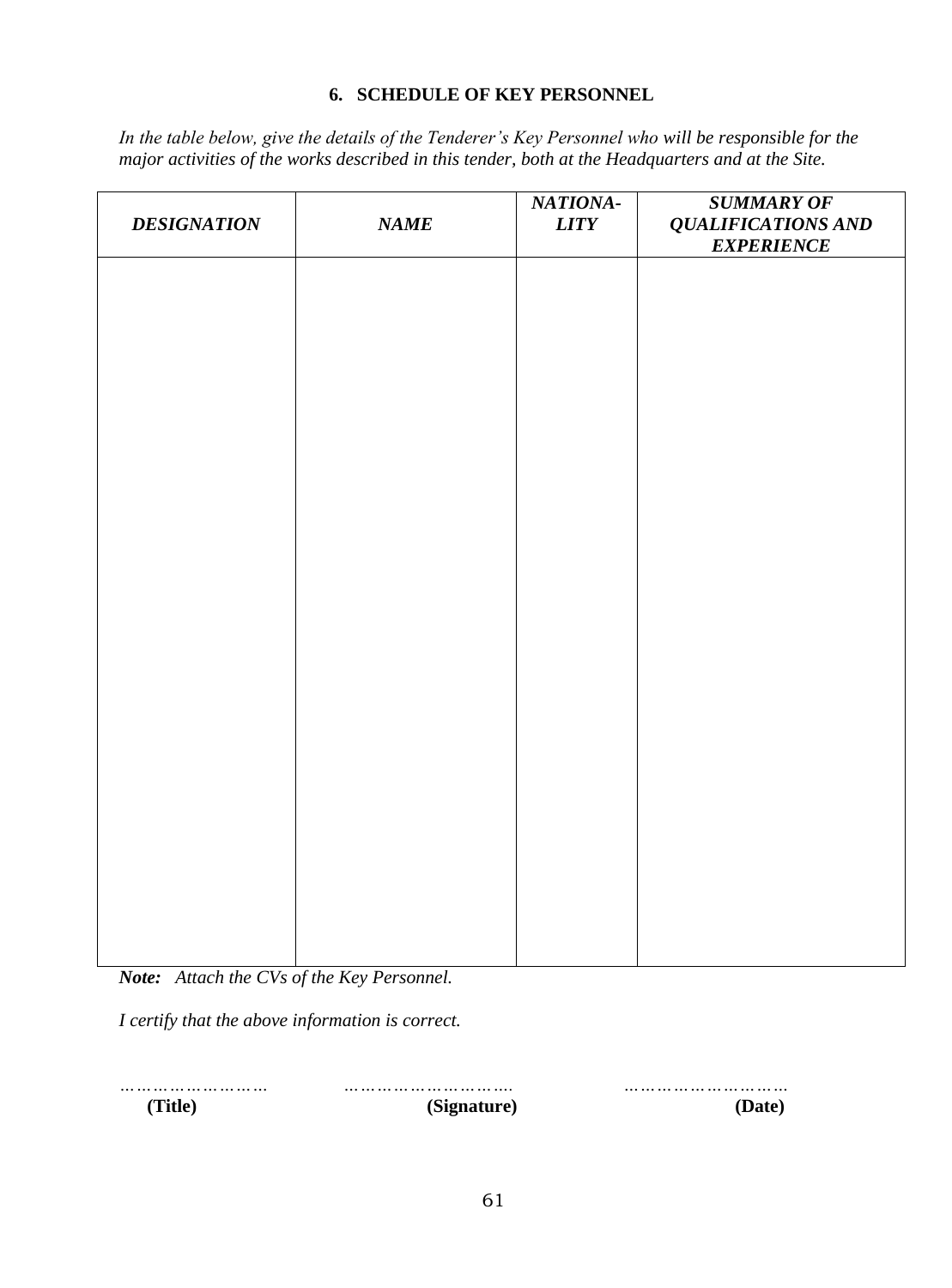#### **6. SCHEDULE OF KEY PERSONNEL**

<span id="page-60-0"></span>*In the table below, give the details of the Tenderer's Key Personnel who will be responsible for the major activities of the works described in this tender, both at the Headquarters and at the Site.*

| <b>DESIGNATION</b> | NAME | NATIONA-<br><b>LITY</b> | <b>SUMMARY OF</b><br><b>QUALIFICATIONS AND</b><br><b>EXPERIENCE</b> |
|--------------------|------|-------------------------|---------------------------------------------------------------------|
|                    |      |                         |                                                                     |
|                    |      |                         |                                                                     |
|                    |      |                         |                                                                     |
|                    |      |                         |                                                                     |
|                    |      |                         |                                                                     |
|                    |      |                         |                                                                     |
|                    |      |                         |                                                                     |
|                    |      |                         |                                                                     |
|                    |      |                         |                                                                     |
|                    |      |                         |                                                                     |
|                    |      |                         |                                                                     |

*Note: Attach the CVs of the Key Personnel.*

*I certify that the above information is correct.*

 **(Title) (Signature) (Date)**

*……………………… …………………………. …………………………*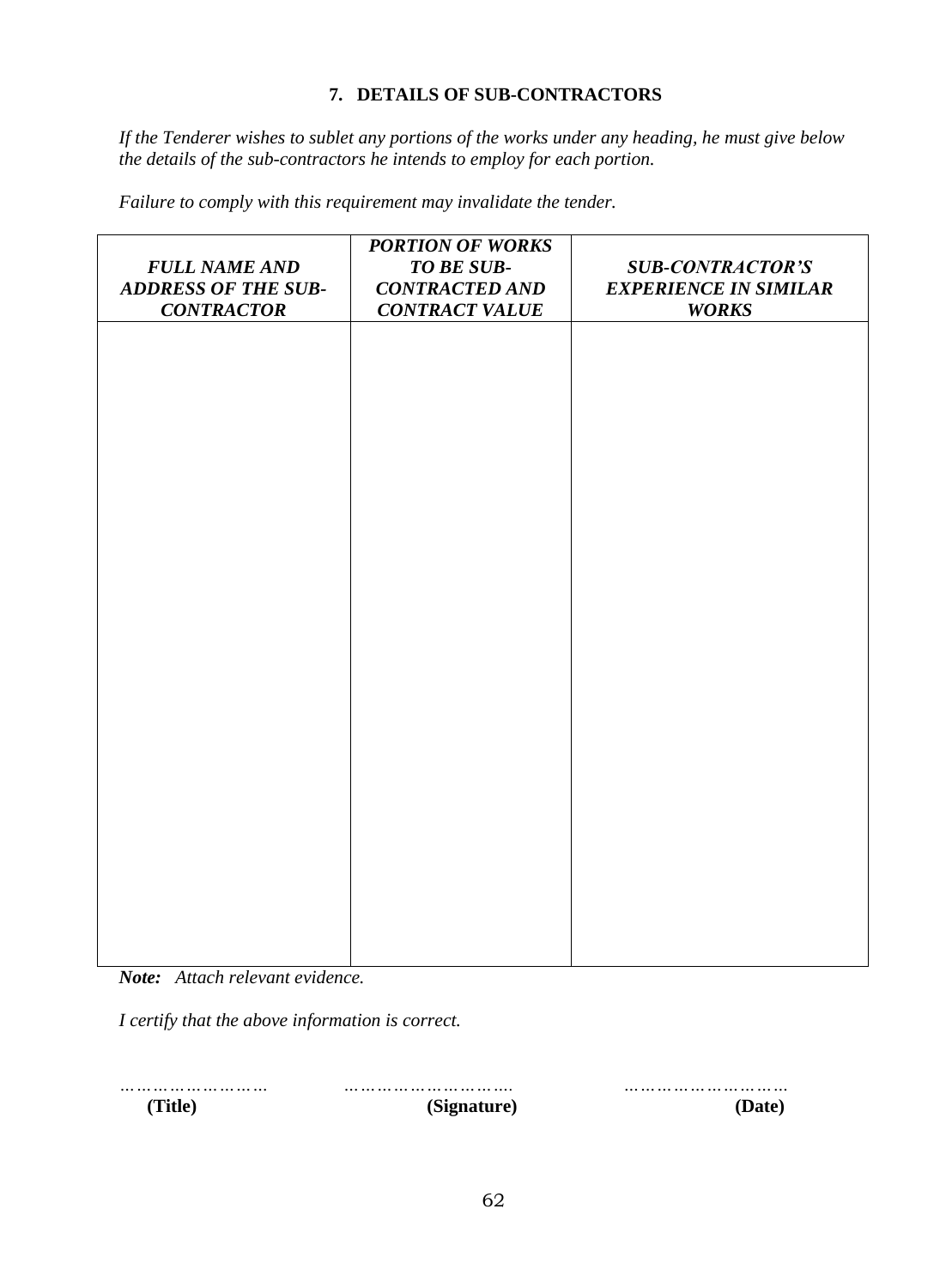#### **7. DETAILS OF SUB-CONTRACTORS**

<span id="page-61-0"></span>*If the Tenderer wishes to sublet any portions of the works under any heading, he must give below the details of the sub-contractors he intends to employ for each portion.*

*Failure to comply with this requirement may invalidate the tender.*

| <b>FULL NAME AND</b><br><b>ADDRESS OF THE SUB-</b><br><b>CONTRACTOR</b> | <b>PORTION OF WORKS</b><br>TO BE SUB-<br><b>CONTRACTED AND</b><br><b>CONTRACT VALUE</b> | <b>SUB-CONTRACTOR'S</b><br><b>EXPERIENCE IN SIMILAR</b><br><b>WORKS</b> |
|-------------------------------------------------------------------------|-----------------------------------------------------------------------------------------|-------------------------------------------------------------------------|
|                                                                         |                                                                                         |                                                                         |
|                                                                         |                                                                                         |                                                                         |
|                                                                         |                                                                                         |                                                                         |
|                                                                         |                                                                                         |                                                                         |
|                                                                         |                                                                                         |                                                                         |
|                                                                         |                                                                                         |                                                                         |
|                                                                         |                                                                                         |                                                                         |
|                                                                         |                                                                                         |                                                                         |

*Note: Attach relevant evidence.*

*I certify that the above information is correct.*

 **(Title) (Signature) (Date)**

*……………………… …………………………. …………………………*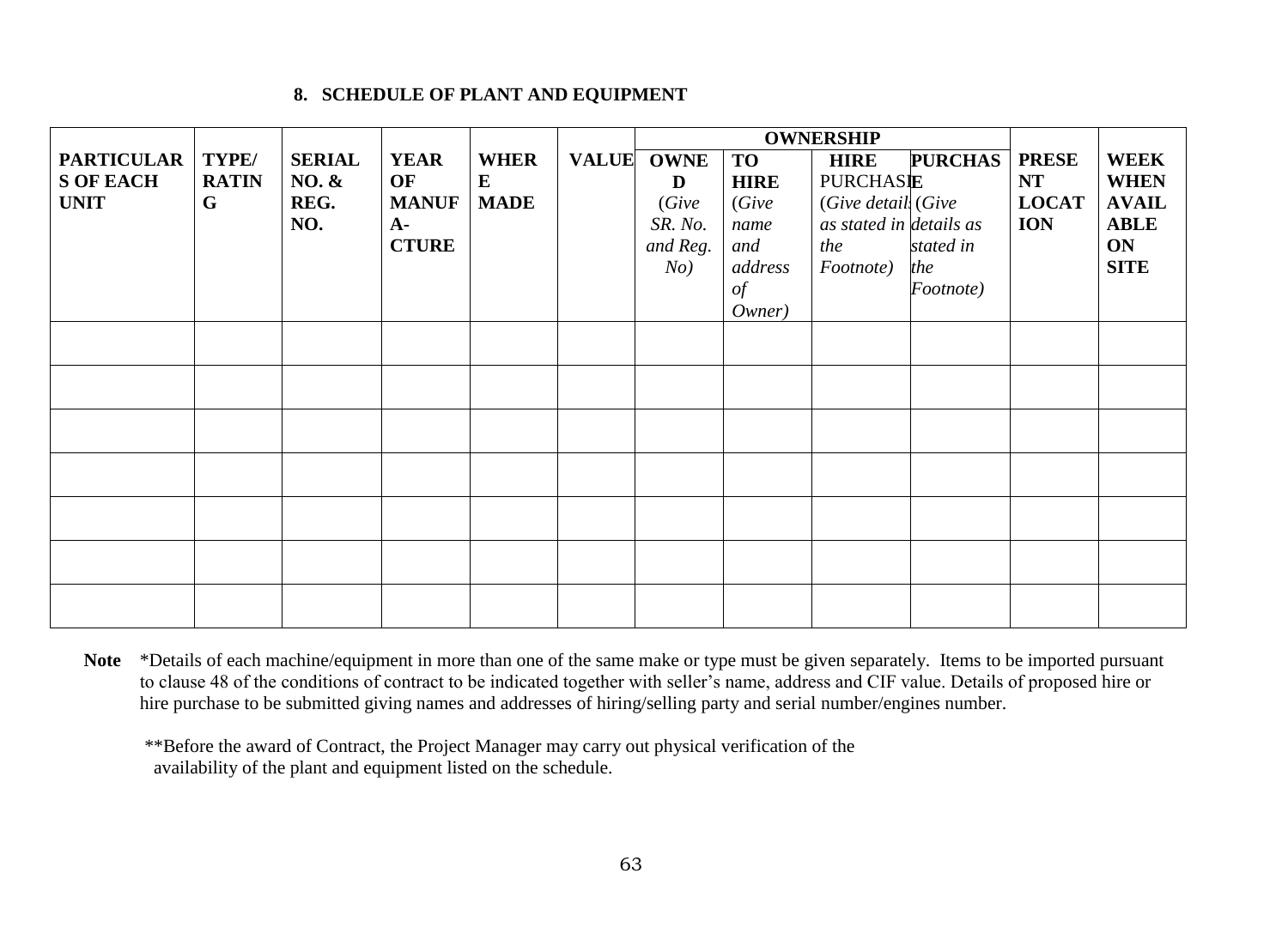#### **8. SCHEDULE OF PLANT AND EQUIPMENT**

|                    |              |                  |              |             |              | <b>OWNERSHIP</b> |             |                         |                |              |              |
|--------------------|--------------|------------------|--------------|-------------|--------------|------------------|-------------|-------------------------|----------------|--------------|--------------|
| PARTICULAR   TYPE/ |              | <b>SERIAL</b>    | <b>YEAR</b>  | <b>WHER</b> | <b>VALUE</b> | <b>OWNE</b>      | <b>TO</b>   | <b>HIRE</b>             | <b>PURCHAS</b> | <b>PRESE</b> | <b>WEEK</b>  |
| <b>S OF EACH</b>   | <b>RATIN</b> | <b>NO. &amp;</b> | OF           | ${\bf E}$   |              | D                | <b>HIRE</b> | <b>PURCHASIE</b>        |                | <b>NT</b>    | <b>WHEN</b>  |
| <b>UNIT</b>        | G            | REG.             | <b>MANUF</b> | <b>MADE</b> |              | (Give            | (Give       | (Give detail, (Give     |                | <b>LOCAT</b> | <b>AVAIL</b> |
|                    |              | NO.              | $A-$         |             |              | SR. No.          | name        | as stated in details as |                | <b>ION</b>   | <b>ABLE</b>  |
|                    |              |                  | <b>CTURE</b> |             |              | and Reg.         | and         | the                     | stated in      |              | ON           |
|                    |              |                  |              |             |              | No)              | address     | Footnote)               | the            |              | <b>SITE</b>  |
|                    |              |                  |              |             |              |                  | of          |                         | Footnote)      |              |              |
|                    |              |                  |              |             |              |                  | Owner)      |                         |                |              |              |
|                    |              |                  |              |             |              |                  |             |                         |                |              |              |
|                    |              |                  |              |             |              |                  |             |                         |                |              |              |
|                    |              |                  |              |             |              |                  |             |                         |                |              |              |
|                    |              |                  |              |             |              |                  |             |                         |                |              |              |
|                    |              |                  |              |             |              |                  |             |                         |                |              |              |
|                    |              |                  |              |             |              |                  |             |                         |                |              |              |
|                    |              |                  |              |             |              |                  |             |                         |                |              |              |
|                    |              |                  |              |             |              |                  |             |                         |                |              |              |
|                    |              |                  |              |             |              |                  |             |                         |                |              |              |
|                    |              |                  |              |             |              |                  |             |                         |                |              |              |
|                    |              |                  |              |             |              |                  |             |                         |                |              |              |
|                    |              |                  |              |             |              |                  |             |                         |                |              |              |
|                    |              |                  |              |             |              |                  |             |                         |                |              |              |

<span id="page-62-0"></span>**Note** \*Details of each machine/equipment in more than one of the same make or type must be given separately. Items to be imported pursuant to clause 48 of the conditions of contract to be indicated together with seller's name, address and CIF value. Details of proposed hire or hire purchase to be submitted giving names and addresses of hiring/selling party and serial number/engines number.

\*\*Before the award of Contract, the Project Manager may carry out physical verification of the availability of the plant and equipment listed on the schedule.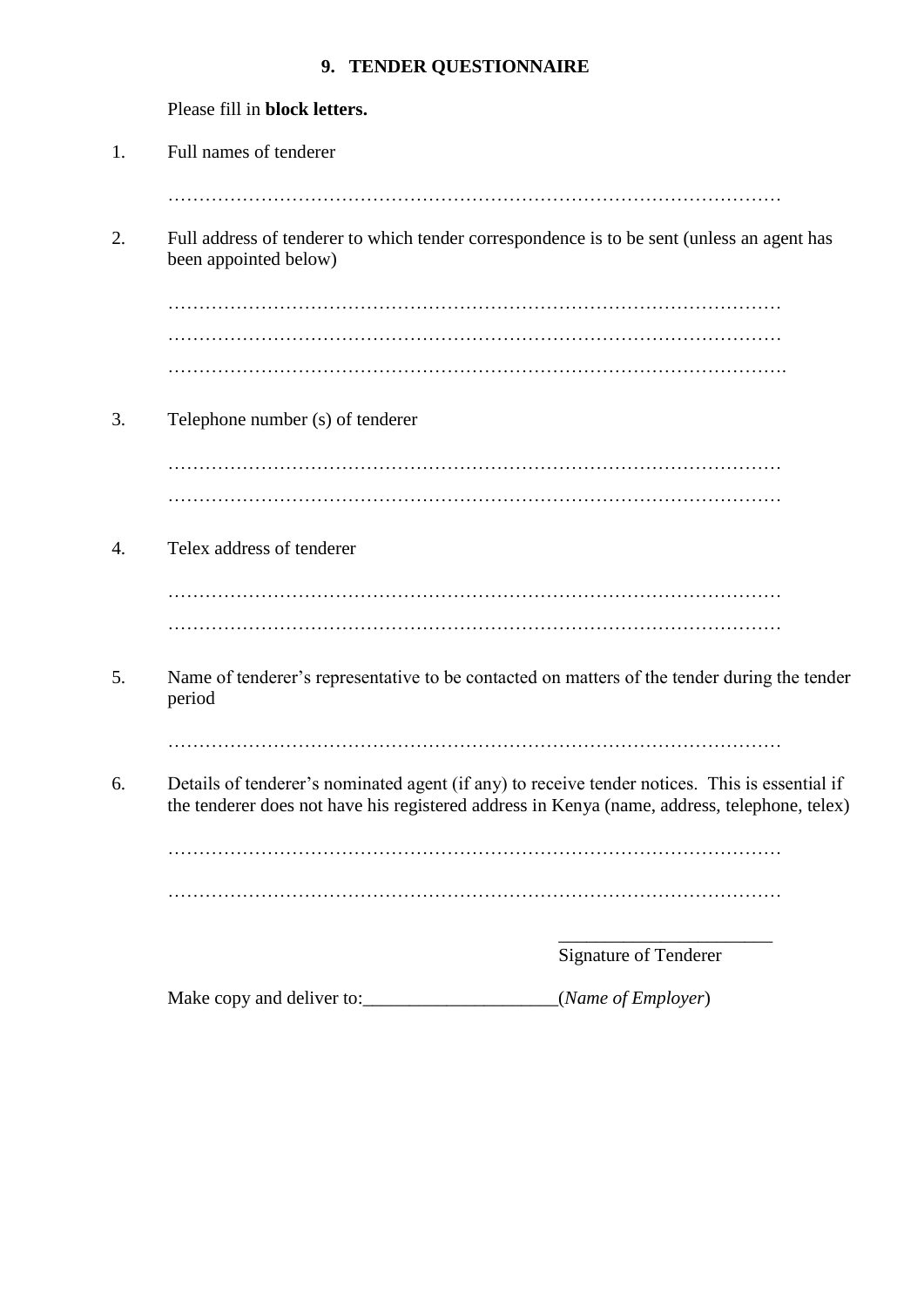# **9. TENDER QUESTIONNAIRE**

<span id="page-63-0"></span>

|    | Please fill in block letters.                                                                                                                                                                  |
|----|------------------------------------------------------------------------------------------------------------------------------------------------------------------------------------------------|
| 1. | Full names of tenderer                                                                                                                                                                         |
|    |                                                                                                                                                                                                |
| 2. | Full address of tenderer to which tender correspondence is to be sent (unless an agent has<br>been appointed below)                                                                            |
|    |                                                                                                                                                                                                |
|    |                                                                                                                                                                                                |
|    |                                                                                                                                                                                                |
| 3. | Telephone number (s) of tenderer                                                                                                                                                               |
|    |                                                                                                                                                                                                |
|    |                                                                                                                                                                                                |
| 4. | Telex address of tenderer                                                                                                                                                                      |
|    |                                                                                                                                                                                                |
|    |                                                                                                                                                                                                |
| 5. | Name of tenderer's representative to be contacted on matters of the tender during the tender<br>period                                                                                         |
|    |                                                                                                                                                                                                |
| 6. | Details of tenderer's nominated agent (if any) to receive tender notices. This is essential if<br>the tenderer does not have his registered address in Kenya (name, address, telephone, telex) |
|    |                                                                                                                                                                                                |
|    |                                                                                                                                                                                                |
|    | <b>Signature of Tenderer</b>                                                                                                                                                                   |

Make copy and deliver to:\_\_\_\_\_\_\_\_\_\_\_\_\_\_\_\_\_\_\_\_\_(*Name of Employer*)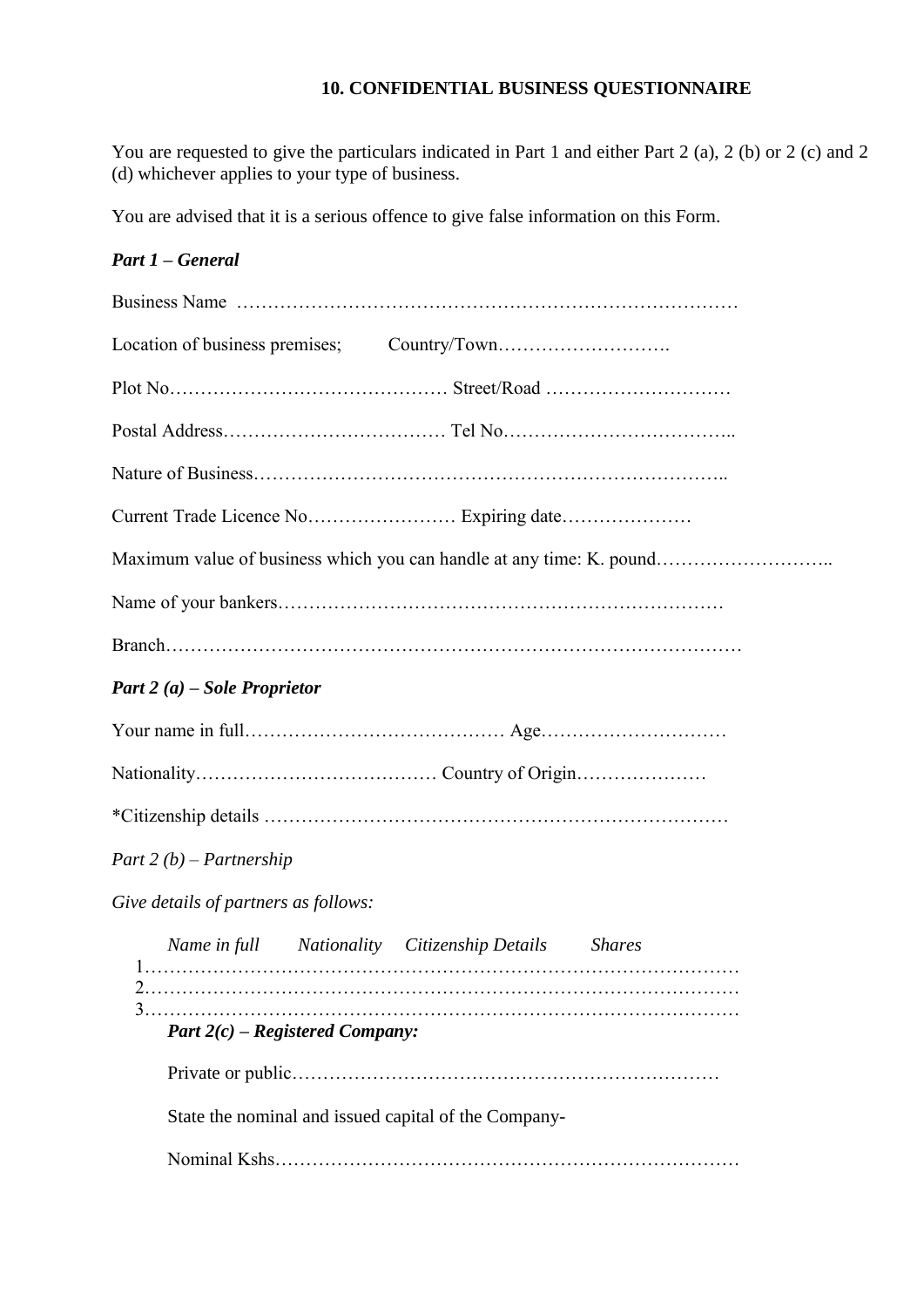# **10. CONFIDENTIAL BUSINESS QUESTIONNAIRE**

<span id="page-64-0"></span>You are requested to give the particulars indicated in Part 1 and either Part 2 (a), 2 (b) or 2 (c) and 2 (d) whichever applies to your type of business.

You are advised that it is a serious offence to give false information on this Form.

#### *Part 1 – General*

| Maximum value of business which you can handle at any time: K. pound |
|----------------------------------------------------------------------|
|                                                                      |
|                                                                      |
| Part 2 (a) – Sole Proprietor                                         |
|                                                                      |
|                                                                      |
|                                                                      |
| Part 2 $(b)$ – Partnership                                           |
| Give details of partners as follows:                                 |
| Name in full Nationality Citizenship Details Shares                  |
| Part $2(c)$ – Registered Company:                                    |
|                                                                      |
| State the nominal and issued capital of the Company-                 |
|                                                                      |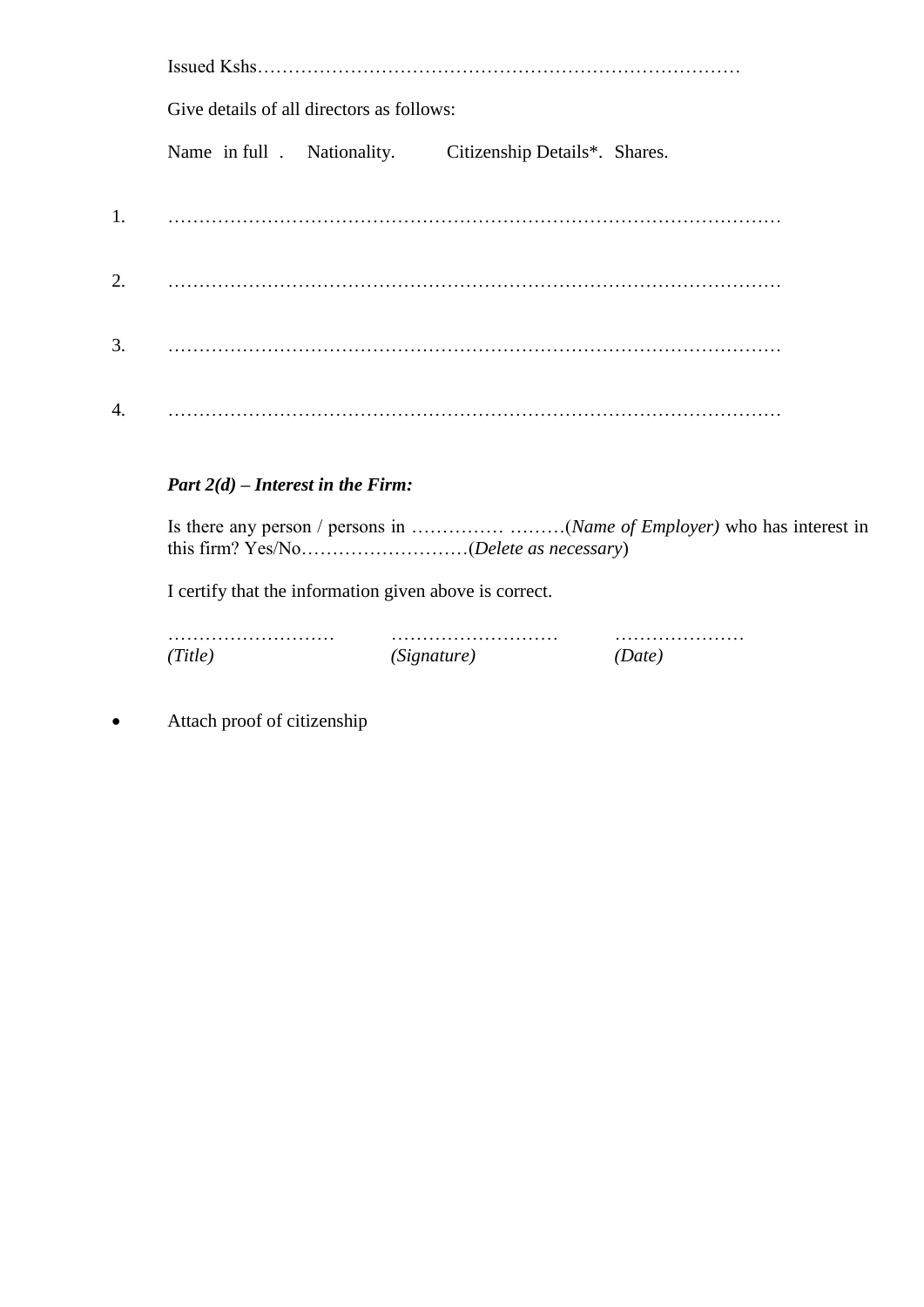|    | Give details of all directors as follows:                 |  |  |  |
|----|-----------------------------------------------------------|--|--|--|
|    | Name in full . Nationality. Citizenship Details*. Shares. |  |  |  |
|    |                                                           |  |  |  |
| 2. |                                                           |  |  |  |
| 3. |                                                           |  |  |  |
| 4. |                                                           |  |  |  |

#### *Part 2(d) – Interest in the Firm:*

Is there any person / persons in …………… ………(*Name of Employer)* who has interest in this firm? Yes/No………………………(*Delete as necessary*)

I certify that the information given above is correct.

| (Title) | (Signature) |  |
|---------|-------------|--|

Attach proof of citizenship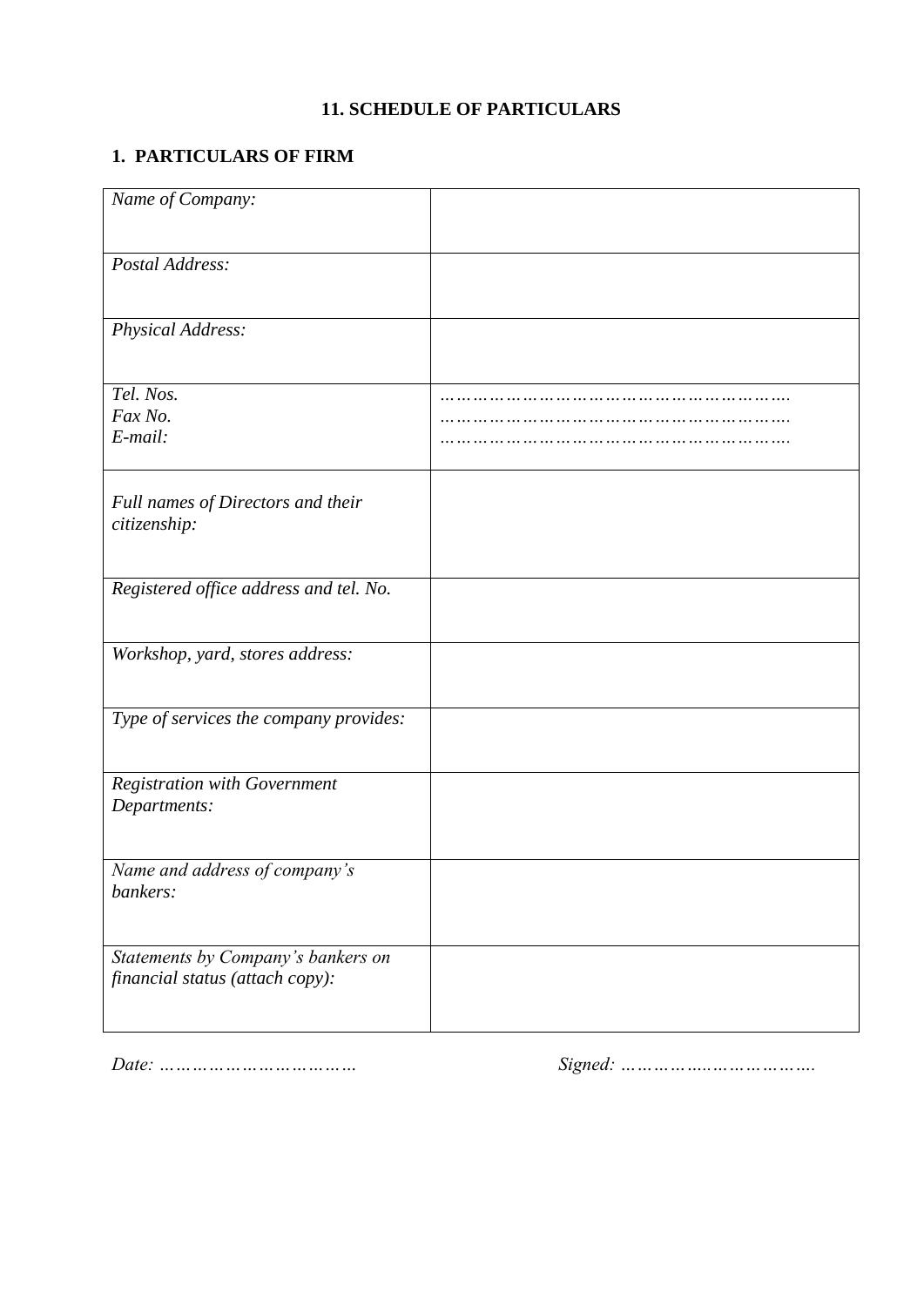# **11. SCHEDULE OF PARTICULARS**

# <span id="page-66-0"></span>**1. PARTICULARS OF FIRM**

| Name of Company:                                                      |  |
|-----------------------------------------------------------------------|--|
| Postal Address:                                                       |  |
| Physical Address:                                                     |  |
| Tel. Nos.<br>Fax No.<br>E-mail:                                       |  |
| Full names of Directors and their<br>citizenship:                     |  |
| Registered office address and tel. No.                                |  |
| Workshop, yard, stores address:                                       |  |
| Type of services the company provides:                                |  |
| <b>Registration with Government</b><br>Departments:                   |  |
| Name and address of company's<br>bankers:                             |  |
| Statements by Company's bankers on<br>financial status (attach copy): |  |

*Date: ……………………………… Signed: ……………..……………….*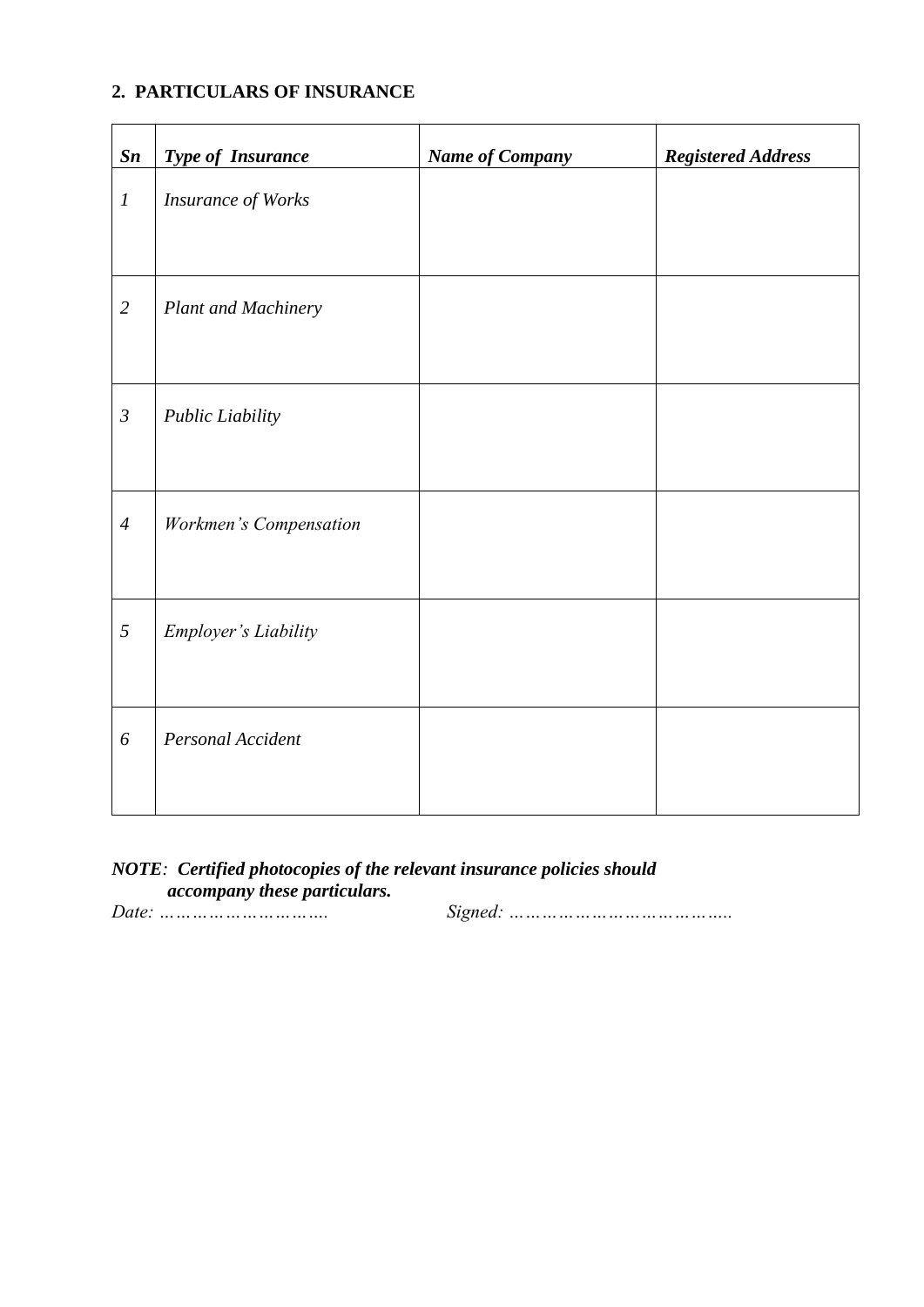## **2. PARTICULARS OF INSURANCE**

| $\mathbf{S}\mathbf{n}$ | <b>Type of Insurance</b>    | <b>Name of Company</b> | <b>Registered Address</b> |
|------------------------|-----------------------------|------------------------|---------------------------|
| $\boldsymbol{l}$       | <b>Insurance of Works</b>   |                        |                           |
| $\overline{2}$         | <b>Plant and Machinery</b>  |                        |                           |
| $\mathfrak{Z}$         | Public Liability            |                        |                           |
| $\overline{4}$         | Workmen's Compensation      |                        |                           |
| 5                      | <b>Employer's Liability</b> |                        |                           |
| 6                      | Personal Accident           |                        |                           |

#### *NOTE: Certified photocopies of the relevant insurance policies should accompany these particulars.*

*Date: …………………………. Signed: …………………………………..*